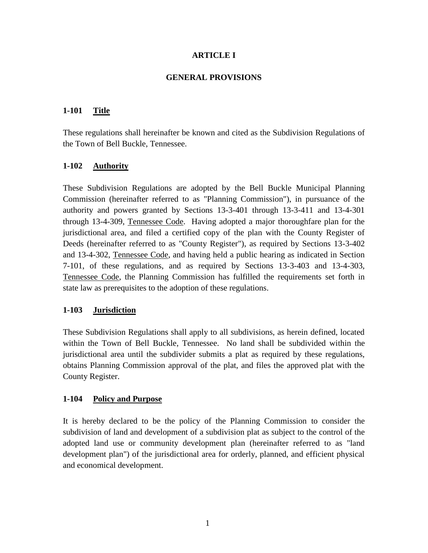### **ARTICLE I**

#### **GENERAL PROVISIONS**

## **1-101 Title**

These regulations shall hereinafter be known and cited as the Subdivision Regulations of the Town of Bell Buckle, Tennessee.

# **1-102 Authority**

These Subdivision Regulations are adopted by the Bell Buckle Municipal Planning Commission (hereinafter referred to as "Planning Commission"), in pursuance of the authority and powers granted by Sections 13-3-401 through 13-3-411 and 13-4-301 through 13-4-309, Tennessee Code. Having adopted a major thoroughfare plan for the jurisdictional area, and filed a certified copy of the plan with the County Register of Deeds (hereinafter referred to as "County Register"), as required by Sections 13-3-402 and 13-4-302, Tennessee Code, and having held a public hearing as indicated in Section 7-101, of these regulations, and as required by Sections 13-3-403 and 13-4-303, Tennessee Code, the Planning Commission has fulfilled the requirements set forth in state law as prerequisites to the adoption of these regulations.

#### **1-103 Jurisdiction**

These Subdivision Regulations shall apply to all subdivisions, as herein defined, located within the Town of Bell Buckle, Tennessee. No land shall be subdivided within the jurisdictional area until the subdivider submits a plat as required by these regulations, obtains Planning Commission approval of the plat, and files the approved plat with the County Register.

# **1-104 Policy and Purpose**

It is hereby declared to be the policy of the Planning Commission to consider the subdivision of land and development of a subdivision plat as subject to the control of the adopted land use or community development plan (hereinafter referred to as "land development plan") of the jurisdictional area for orderly, planned, and efficient physical and economical development.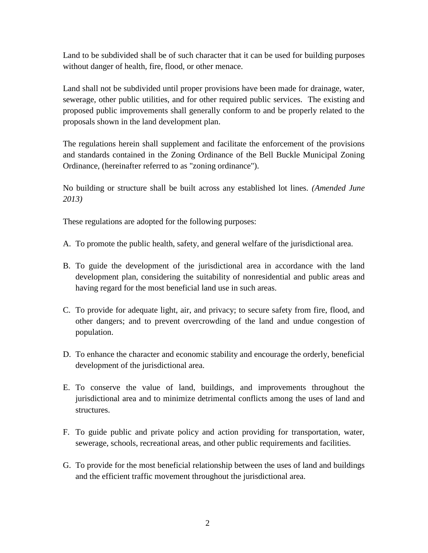Land to be subdivided shall be of such character that it can be used for building purposes without danger of health, fire, flood, or other menace.

Land shall not be subdivided until proper provisions have been made for drainage, water, sewerage, other public utilities, and for other required public services. The existing and proposed public improvements shall generally conform to and be properly related to the proposals shown in the land development plan.

The regulations herein shall supplement and facilitate the enforcement of the provisions and standards contained in the Zoning Ordinance of the Bell Buckle Municipal Zoning Ordinance, (hereinafter referred to as "zoning ordinance").

No building or structure shall be built across any established lot lines. *(Amended June 2013)*

These regulations are adopted for the following purposes:

- A. To promote the public health, safety, and general welfare of the jurisdictional area.
- B. To guide the development of the jurisdictional area in accordance with the land development plan, considering the suitability of nonresidential and public areas and having regard for the most beneficial land use in such areas.
- C. To provide for adequate light, air, and privacy; to secure safety from fire, flood, and other dangers; and to prevent overcrowding of the land and undue congestion of population.
- D. To enhance the character and economic stability and encourage the orderly, beneficial development of the jurisdictional area.
- E. To conserve the value of land, buildings, and improvements throughout the jurisdictional area and to minimize detrimental conflicts among the uses of land and structures.
- F. To guide public and private policy and action providing for transportation, water, sewerage, schools, recreational areas, and other public requirements and facilities.
- G. To provide for the most beneficial relationship between the uses of land and buildings and the efficient traffic movement throughout the jurisdictional area.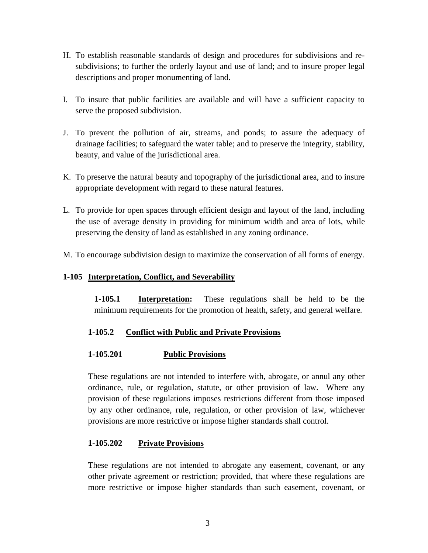- H. To establish reasonable standards of design and procedures for subdivisions and resubdivisions; to further the orderly layout and use of land; and to insure proper legal descriptions and proper monumenting of land.
- I. To insure that public facilities are available and will have a sufficient capacity to serve the proposed subdivision.
- J. To prevent the pollution of air, streams, and ponds; to assure the adequacy of drainage facilities; to safeguard the water table; and to preserve the integrity, stability, beauty, and value of the jurisdictional area.
- K. To preserve the natural beauty and topography of the jurisdictional area, and to insure appropriate development with regard to these natural features.
- L. To provide for open spaces through efficient design and layout of the land, including the use of average density in providing for minimum width and area of lots, while preserving the density of land as established in any zoning ordinance.
- M. To encourage subdivision design to maximize the conservation of all forms of energy.

# **1-105 Interpretation, Conflict, and Severability**

**1-105.1 Interpretation:** These regulations shall be held to be the minimum requirements for the promotion of health, safety, and general welfare.

# **1-105.2 Conflict with Public and Private Provisions**

# **1-105.201 Public Provisions**

These regulations are not intended to interfere with, abrogate, or annul any other ordinance, rule, or regulation, statute, or other provision of law. Where any provision of these regulations imposes restrictions different from those imposed by any other ordinance, rule, regulation, or other provision of law, whichever provisions are more restrictive or impose higher standards shall control.

# **1-105.202 Private Provisions**

These regulations are not intended to abrogate any easement, covenant, or any other private agreement or restriction; provided, that where these regulations are more restrictive or impose higher standards than such easement, covenant, or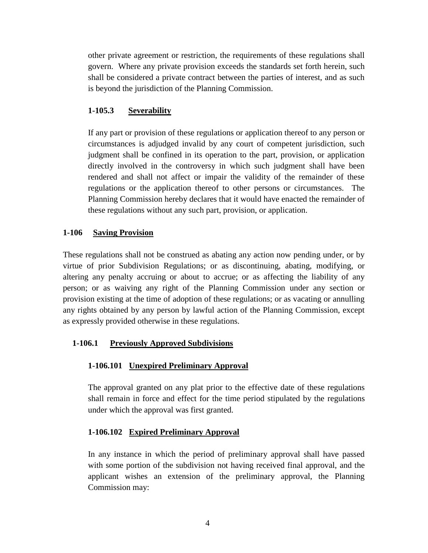other private agreement or restriction, the requirements of these regulations shall govern. Where any private provision exceeds the standards set forth herein, such shall be considered a private contract between the parties of interest, and as such is beyond the jurisdiction of the Planning Commission.

### **1-105.3 Severability**

If any part or provision of these regulations or application thereof to any person or circumstances is adjudged invalid by any court of competent jurisdiction, such judgment shall be confined in its operation to the part, provision, or application directly involved in the controversy in which such judgment shall have been rendered and shall not affect or impair the validity of the remainder of these regulations or the application thereof to other persons or circumstances. The Planning Commission hereby declares that it would have enacted the remainder of these regulations without any such part, provision, or application.

### **1-106 Saving Provision**

These regulations shall not be construed as abating any action now pending under, or by virtue of prior Subdivision Regulations; or as discontinuing, abating, modifying, or altering any penalty accruing or about to accrue; or as affecting the liability of any person; or as waiving any right of the Planning Commission under any section or provision existing at the time of adoption of these regulations; or as vacating or annulling any rights obtained by any person by lawful action of the Planning Commission, except as expressly provided otherwise in these regulations.

# **1-106.1 Previously Approved Subdivisions**

# **1-106.101 Unexpired Preliminary Approval**

The approval granted on any plat prior to the effective date of these regulations shall remain in force and effect for the time period stipulated by the regulations under which the approval was first granted.

# **1-106.102 Expired Preliminary Approval**

In any instance in which the period of preliminary approval shall have passed with some portion of the subdivision not having received final approval, and the applicant wishes an extension of the preliminary approval, the Planning Commission may: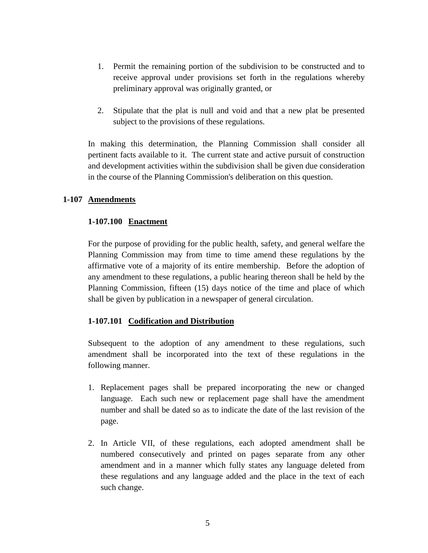- 1. Permit the remaining portion of the subdivision to be constructed and to receive approval under provisions set forth in the regulations whereby preliminary approval was originally granted, or
- 2. Stipulate that the plat is null and void and that a new plat be presented subject to the provisions of these regulations.

In making this determination, the Planning Commission shall consider all pertinent facts available to it. The current state and active pursuit of construction and development activities within the subdivision shall be given due consideration in the course of the Planning Commission's deliberation on this question.

#### **1-107 Amendments**

#### **1-107.100 Enactment**

For the purpose of providing for the public health, safety, and general welfare the Planning Commission may from time to time amend these regulations by the affirmative vote of a majority of its entire membership. Before the adoption of any amendment to these regulations, a public hearing thereon shall be held by the Planning Commission, fifteen (15) days notice of the time and place of which shall be given by publication in a newspaper of general circulation.

#### **1-107.101 Codification and Distribution**

Subsequent to the adoption of any amendment to these regulations, such amendment shall be incorporated into the text of these regulations in the following manner.

- 1. Replacement pages shall be prepared incorporating the new or changed language. Each such new or replacement page shall have the amendment number and shall be dated so as to indicate the date of the last revision of the page.
- 2. In Article VII, of these regulations, each adopted amendment shall be numbered consecutively and printed on pages separate from any other amendment and in a manner which fully states any language deleted from these regulations and any language added and the place in the text of each such change.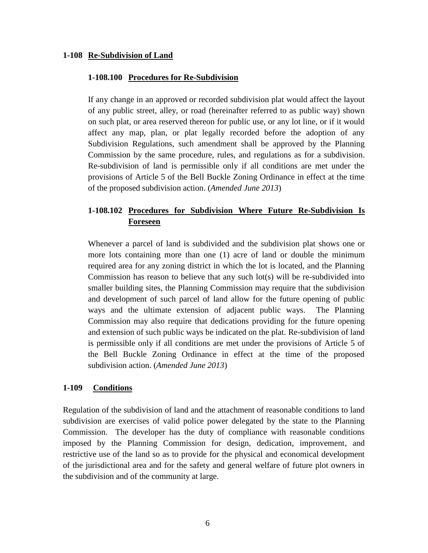#### **1-108 Re-Subdivision of Land**

#### **1-108.100 Procedures for Re-Subdivision**

If any change in an approved or recorded subdivision plat would affect the layout of any public street, alley, or road (hereinafter referred to as public way) shown on such plat, or area reserved thereon for public use, or any lot line, or if it would affect any map, plan, or plat legally recorded before the adoption of any Subdivision Regulations, such amendment shall be approved by the Planning Commission by the same procedure, rules, and regulations as for a subdivision. Re-subdivision of land is permissible only if all conditions are met under the provisions of Article 5 of the Bell Buckle Zoning Ordinance in effect at the time of the proposed subdivision action. (*Amended June 2013*)

# **1-108.102 Procedures for Subdivision Where Future Re-Subdivision Is Foreseen**

Whenever a parcel of land is subdivided and the subdivision plat shows one or more lots containing more than one (1) acre of land or double the minimum required area for any zoning district in which the lot is located, and the Planning Commission has reason to believe that any such lot(s) will be re-subdivided into smaller building sites, the Planning Commission may require that the subdivision and development of such parcel of land allow for the future opening of public ways and the ultimate extension of adjacent public ways. The Planning Commission may also require that dedications providing for the future opening and extension of such public ways be indicated on the plat. Re-subdivision of land is permissible only if all conditions are met under the provisions of Article 5 of the Bell Buckle Zoning Ordinance in effect at the time of the proposed subdivision action. (*Amended June 2013*)

#### **1-109 Conditions**

Regulation of the subdivision of land and the attachment of reasonable conditions to land subdivision are exercises of valid police power delegated by the state to the Planning Commission. The developer has the duty of compliance with reasonable conditions imposed by the Planning Commission for design, dedication, improvement, and restrictive use of the land so as to provide for the physical and economical development of the jurisdictional area and for the safety and general welfare of future plot owners in the subdivision and of the community at large.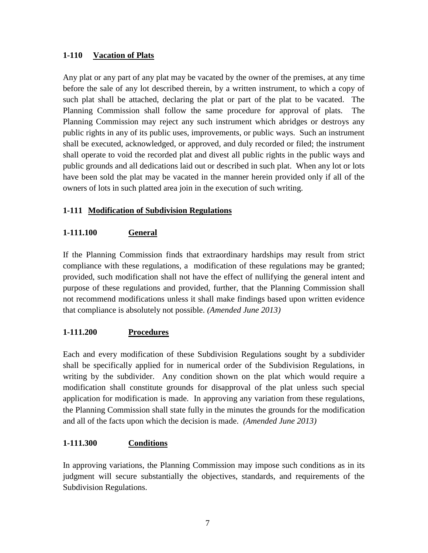# **1-110 Vacation of Plats**

Any plat or any part of any plat may be vacated by the owner of the premises, at any time before the sale of any lot described therein, by a written instrument, to which a copy of such plat shall be attached, declaring the plat or part of the plat to be vacated. The Planning Commission shall follow the same procedure for approval of plats. The Planning Commission may reject any such instrument which abridges or destroys any public rights in any of its public uses, improvements, or public ways. Such an instrument shall be executed, acknowledged, or approved, and duly recorded or filed; the instrument shall operate to void the recorded plat and divest all public rights in the public ways and public grounds and all dedications laid out or described in such plat. When any lot or lots have been sold the plat may be vacated in the manner herein provided only if all of the owners of lots in such platted area join in the execution of such writing.

# **1-111 Modification of Subdivision Regulations**

# **1-111.100 General**

If the Planning Commission finds that extraordinary hardships may result from strict compliance with these regulations, a modification of these regulations may be granted; provided, such modification shall not have the effect of nullifying the general intent and purpose of these regulations and provided, further, that the Planning Commission shall not recommend modifications unless it shall make findings based upon written evidence that compliance is absolutely not possible. *(Amended June 2013)*

# **1-111.200 Procedures**

Each and every modification of these Subdivision Regulations sought by a subdivider shall be specifically applied for in numerical order of the Subdivision Regulations, in writing by the subdivider. Any condition shown on the plat which would require a modification shall constitute grounds for disapproval of the plat unless such special application for modification is made. In approving any variation from these regulations, the Planning Commission shall state fully in the minutes the grounds for the modification and all of the facts upon which the decision is made. *(Amended June 2013)*

# **1-111.300 Conditions**

In approving variations, the Planning Commission may impose such conditions as in its judgment will secure substantially the objectives, standards, and requirements of the Subdivision Regulations.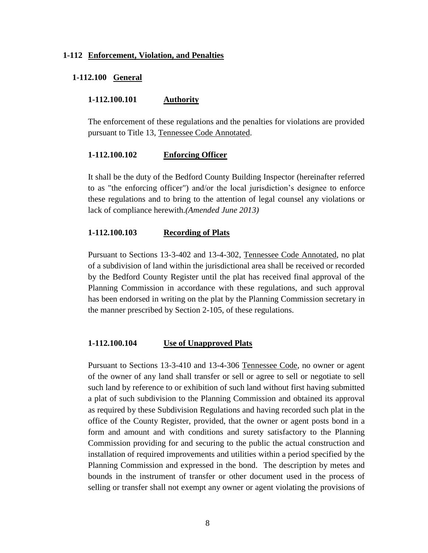#### **1-112 Enforcement, Violation, and Penalties**

#### **1-112.100 General**

#### **1-112.100.101 Authority**

The enforcement of these regulations and the penalties for violations are provided pursuant to Title 13, Tennessee Code Annotated.

#### **1-112.100.102 Enforcing Officer**

It shall be the duty of the Bedford County Building Inspector (hereinafter referred to as "the enforcing officer") and/or the local jurisdiction's designee to enforce these regulations and to bring to the attention of legal counsel any violations or lack of compliance herewith.*(Amended June 2013)*

#### **1-112.100.103 Recording of Plats**

Pursuant to Sections 13-3-402 and 13-4-302, Tennessee Code Annotated, no plat of a subdivision of land within the jurisdictional area shall be received or recorded by the Bedford County Register until the plat has received final approval of the Planning Commission in accordance with these regulations, and such approval has been endorsed in writing on the plat by the Planning Commission secretary in the manner prescribed by Section 2-105, of these regulations.

#### **1-112.100.104 Use of Unapproved Plats**

Pursuant to Sections 13-3-410 and 13-4-306 Tennessee Code, no owner or agent of the owner of any land shall transfer or sell or agree to sell or negotiate to sell such land by reference to or exhibition of such land without first having submitted a plat of such subdivision to the Planning Commission and obtained its approval as required by these Subdivision Regulations and having recorded such plat in the office of the County Register, provided, that the owner or agent posts bond in a form and amount and with conditions and surety satisfactory to the Planning Commission providing for and securing to the public the actual construction and installation of required improvements and utilities within a period specified by the Planning Commission and expressed in the bond. The description by metes and bounds in the instrument of transfer or other document used in the process of selling or transfer shall not exempt any owner or agent violating the provisions of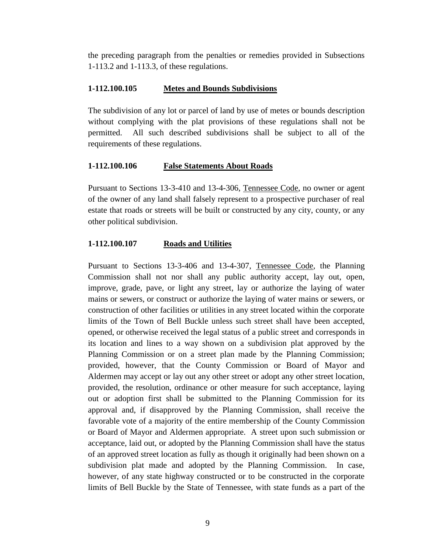the preceding paragraph from the penalties or remedies provided in Subsections 1-113.2 and 1-113.3, of these regulations.

#### **1-112.100.105 Metes and Bounds Subdivisions**

The subdivision of any lot or parcel of land by use of metes or bounds description without complying with the plat provisions of these regulations shall not be permitted. All such described subdivisions shall be subject to all of the requirements of these regulations.

### **1-112.100.106 False Statements About Roads**

Pursuant to Sections 13-3-410 and 13-4-306, Tennessee Code, no owner or agent of the owner of any land shall falsely represent to a prospective purchaser of real estate that roads or streets will be built or constructed by any city, county, or any other political subdivision.

### **1-112.100.107 Roads and Utilities**

Pursuant to Sections 13-3-406 and 13-4-307, Tennessee Code, the Planning Commission shall not nor shall any public authority accept, lay out, open, improve, grade, pave, or light any street, lay or authorize the laying of water mains or sewers, or construct or authorize the laying of water mains or sewers, or construction of other facilities or utilities in any street located within the corporate limits of the Town of Bell Buckle unless such street shall have been accepted, opened, or otherwise received the legal status of a public street and corresponds in its location and lines to a way shown on a subdivision plat approved by the Planning Commission or on a street plan made by the Planning Commission; provided, however, that the County Commission or Board of Mayor and Aldermen may accept or lay out any other street or adopt any other street location, provided, the resolution, ordinance or other measure for such acceptance, laying out or adoption first shall be submitted to the Planning Commission for its approval and, if disapproved by the Planning Commission, shall receive the favorable vote of a majority of the entire membership of the County Commission or Board of Mayor and Aldermen appropriate. A street upon such submission or acceptance, laid out, or adopted by the Planning Commission shall have the status of an approved street location as fully as though it originally had been shown on a subdivision plat made and adopted by the Planning Commission. In case, however, of any state highway constructed or to be constructed in the corporate limits of Bell Buckle by the State of Tennessee, with state funds as a part of the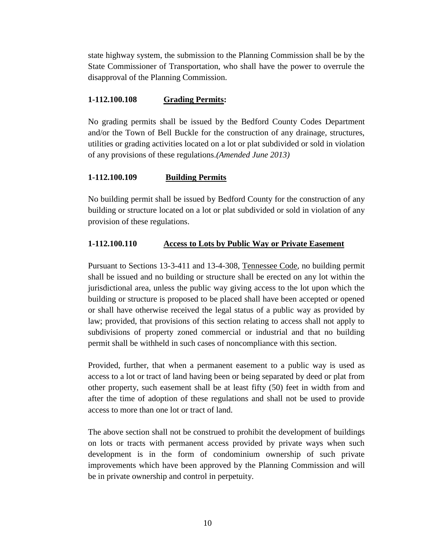state highway system, the submission to the Planning Commission shall be by the State Commissioner of Transportation, who shall have the power to overrule the disapproval of the Planning Commission.

#### **1-112.100.108 Grading Permits:**

No grading permits shall be issued by the Bedford County Codes Department and/or the Town of Bell Buckle for the construction of any drainage, structures, utilities or grading activities located on a lot or plat subdivided or sold in violation of any provisions of these regulations.*(Amended June 2013)*

# **1-112.100.109 Building Permits**

No building permit shall be issued by Bedford County for the construction of any building or structure located on a lot or plat subdivided or sold in violation of any provision of these regulations.

# **1-112.100.110 Access to Lots by Public Way or Private Easement**

Pursuant to Sections 13-3-411 and 13-4-308, Tennessee Code, no building permit shall be issued and no building or structure shall be erected on any lot within the jurisdictional area, unless the public way giving access to the lot upon which the building or structure is proposed to be placed shall have been accepted or opened or shall have otherwise received the legal status of a public way as provided by law; provided, that provisions of this section relating to access shall not apply to subdivisions of property zoned commercial or industrial and that no building permit shall be withheld in such cases of noncompliance with this section.

Provided, further, that when a permanent easement to a public way is used as access to a lot or tract of land having been or being separated by deed or plat from other property, such easement shall be at least fifty (50) feet in width from and after the time of adoption of these regulations and shall not be used to provide access to more than one lot or tract of land.

The above section shall not be construed to prohibit the development of buildings on lots or tracts with permanent access provided by private ways when such development is in the form of condominium ownership of such private improvements which have been approved by the Planning Commission and will be in private ownership and control in perpetuity.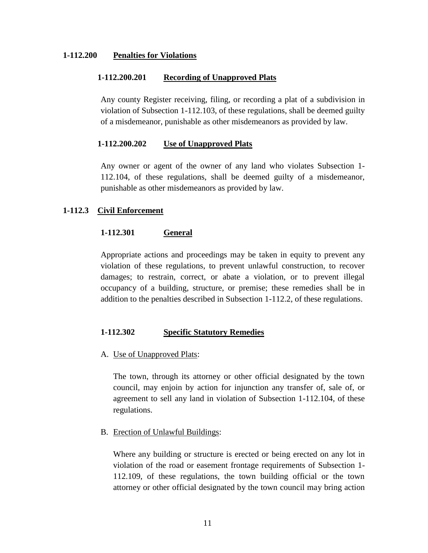#### **1-112.200 Penalties for Violations**

#### **1-112.200.201 Recording of Unapproved Plats**

Any county Register receiving, filing, or recording a plat of a subdivision in violation of Subsection 1-112.103, of these regulations, shall be deemed guilty of a misdemeanor, punishable as other misdemeanors as provided by law.

#### **1-112.200.202 Use of Unapproved Plats**

Any owner or agent of the owner of any land who violates Subsection 1- 112.104, of these regulations, shall be deemed guilty of a misdemeanor, punishable as other misdemeanors as provided by law.

#### **1-112.3 Civil Enforcement**

#### **1-112.301 General**

Appropriate actions and proceedings may be taken in equity to prevent any violation of these regulations, to prevent unlawful construction, to recover damages; to restrain, correct, or abate a violation, or to prevent illegal occupancy of a building, structure, or premise; these remedies shall be in addition to the penalties described in Subsection 1-112.2, of these regulations.

#### **1-112.302 Specific Statutory Remedies**

#### A. Use of Unapproved Plats:

The town, through its attorney or other official designated by the town council, may enjoin by action for injunction any transfer of, sale of, or agreement to sell any land in violation of Subsection 1-112.104, of these regulations.

#### B. Erection of Unlawful Buildings:

Where any building or structure is erected or being erected on any lot in violation of the road or easement frontage requirements of Subsection 1- 112.109, of these regulations, the town building official or the town attorney or other official designated by the town council may bring action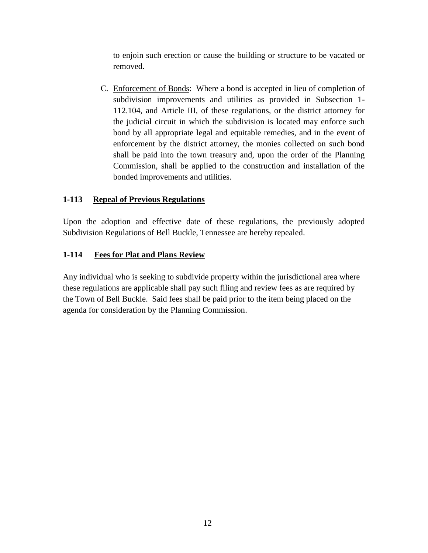to enjoin such erection or cause the building or structure to be vacated or removed.

C. Enforcement of Bonds: Where a bond is accepted in lieu of completion of subdivision improvements and utilities as provided in Subsection 1- 112.104, and Article III, of these regulations, or the district attorney for the judicial circuit in which the subdivision is located may enforce such bond by all appropriate legal and equitable remedies, and in the event of enforcement by the district attorney, the monies collected on such bond shall be paid into the town treasury and, upon the order of the Planning Commission, shall be applied to the construction and installation of the bonded improvements and utilities.

# **1-113 Repeal of Previous Regulations**

Upon the adoption and effective date of these regulations, the previously adopted Subdivision Regulations of Bell Buckle, Tennessee are hereby repealed.

# **1-114 Fees for Plat and Plans Review**

Any individual who is seeking to subdivide property within the jurisdictional area where these regulations are applicable shall pay such filing and review fees as are required by the Town of Bell Buckle. Said fees shall be paid prior to the item being placed on the agenda for consideration by the Planning Commission.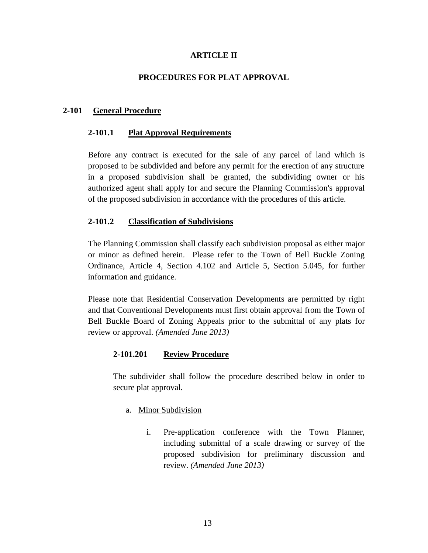## **ARTICLE II**

#### **PROCEDURES FOR PLAT APPROVAL**

#### **2-101 General Procedure**

#### **2-101.1 Plat Approval Requirements**

Before any contract is executed for the sale of any parcel of land which is proposed to be subdivided and before any permit for the erection of any structure in a proposed subdivision shall be granted, the subdividing owner or his authorized agent shall apply for and secure the Planning Commission's approval of the proposed subdivision in accordance with the procedures of this article.

#### **2-101.2 Classification of Subdivisions**

The Planning Commission shall classify each subdivision proposal as either major or minor as defined herein. Please refer to the Town of Bell Buckle Zoning Ordinance, Article 4, Section 4.102 and Article 5, Section 5.045, for further information and guidance.

Please note that Residential Conservation Developments are permitted by right and that Conventional Developments must first obtain approval from the Town of Bell Buckle Board of Zoning Appeals prior to the submittal of any plats for review or approval. *(Amended June 2013)*

#### **2-101.201 Review Procedure**

The subdivider shall follow the procedure described below in order to secure plat approval.

- a. Minor Subdivision
	- i. Pre-application conference with the Town Planner, including submittal of a scale drawing or survey of the proposed subdivision for preliminary discussion and review. *(Amended June 2013)*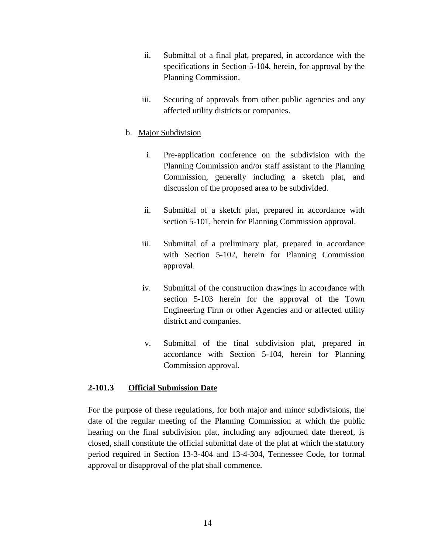- ii. Submittal of a final plat, prepared, in accordance with the specifications in Section 5-104, herein, for approval by the Planning Commission.
- iii. Securing of approvals from other public agencies and any affected utility districts or companies.

### b. Major Subdivision

- i. Pre-application conference on the subdivision with the Planning Commission and/or staff assistant to the Planning Commission, generally including a sketch plat, and discussion of the proposed area to be subdivided.
- ii. Submittal of a sketch plat, prepared in accordance with section 5-101, herein for Planning Commission approval.
- iii. Submittal of a preliminary plat, prepared in accordance with Section 5-102, herein for Planning Commission approval.
- iv. Submittal of the construction drawings in accordance with section 5-103 herein for the approval of the Town Engineering Firm or other Agencies and or affected utility district and companies.
- v. Submittal of the final subdivision plat, prepared in accordance with Section 5-104, herein for Planning Commission approval.

#### **2-101.3 Official Submission Date**

For the purpose of these regulations, for both major and minor subdivisions, the date of the regular meeting of the Planning Commission at which the public hearing on the final subdivision plat, including any adjourned date thereof, is closed, shall constitute the official submittal date of the plat at which the statutory period required in Section 13-3-404 and 13-4-304, Tennessee Code, for formal approval or disapproval of the plat shall commence.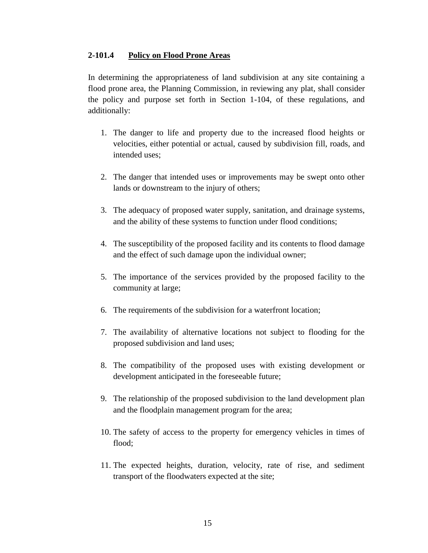#### **2-101.4 Policy on Flood Prone Areas**

In determining the appropriateness of land subdivision at any site containing a flood prone area, the Planning Commission, in reviewing any plat, shall consider the policy and purpose set forth in Section 1-104, of these regulations, and additionally:

- 1. The danger to life and property due to the increased flood heights or velocities, either potential or actual, caused by subdivision fill, roads, and intended uses;
- 2. The danger that intended uses or improvements may be swept onto other lands or downstream to the injury of others;
- 3. The adequacy of proposed water supply, sanitation, and drainage systems, and the ability of these systems to function under flood conditions;
- 4. The susceptibility of the proposed facility and its contents to flood damage and the effect of such damage upon the individual owner;
- 5. The importance of the services provided by the proposed facility to the community at large;
- 6. The requirements of the subdivision for a waterfront location;
- 7. The availability of alternative locations not subject to flooding for the proposed subdivision and land uses;
- 8. The compatibility of the proposed uses with existing development or development anticipated in the foreseeable future;
- 9. The relationship of the proposed subdivision to the land development plan and the floodplain management program for the area;
- 10. The safety of access to the property for emergency vehicles in times of flood;
- 11. The expected heights, duration, velocity, rate of rise, and sediment transport of the floodwaters expected at the site;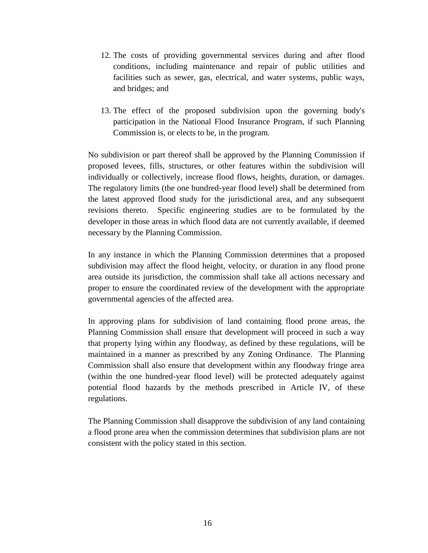- 12. The costs of providing governmental services during and after flood conditions, including maintenance and repair of public utilities and facilities such as sewer, gas, electrical, and water systems, public ways, and bridges; and
- 13. The effect of the proposed subdivision upon the governing body's participation in the National Flood Insurance Program, if such Planning Commission is, or elects to be, in the program.

No subdivision or part thereof shall be approved by the Planning Commission if proposed levees, fills, structures, or other features within the subdivision will individually or collectively, increase flood flows, heights, duration, or damages. The regulatory limits (the one hundred-year flood level) shall be determined from the latest approved flood study for the jurisdictional area, and any subsequent revisions thereto. Specific engineering studies are to be formulated by the developer in those areas in which flood data are not currently available, if deemed necessary by the Planning Commission.

In any instance in which the Planning Commission determines that a proposed subdivision may affect the flood height, velocity, or duration in any flood prone area outside its jurisdiction, the commission shall take all actions necessary and proper to ensure the coordinated review of the development with the appropriate governmental agencies of the affected area.

In approving plans for subdivision of land containing flood prone areas, the Planning Commission shall ensure that development will proceed in such a way that property lying within any floodway, as defined by these regulations, will be maintained in a manner as prescribed by any Zoning Ordinance. The Planning Commission shall also ensure that development within any floodway fringe area (within the one hundred-year flood level) will be protected adequately against potential flood hazards by the methods prescribed in Article IV, of these regulations.

The Planning Commission shall disapprove the subdivision of any land containing a flood prone area when the commission determines that subdivision plans are not consistent with the policy stated in this section.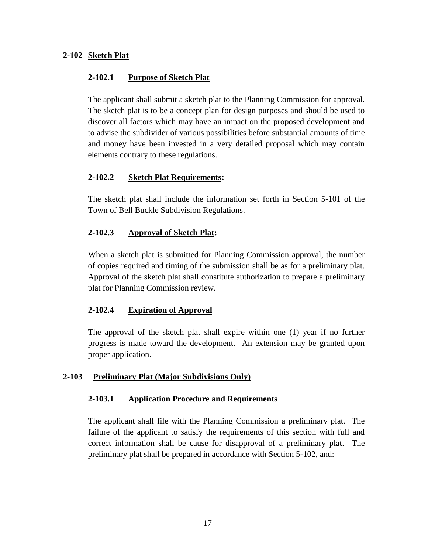# **2-102 Sketch Plat**

#### **2-102.1 Purpose of Sketch Plat**

The applicant shall submit a sketch plat to the Planning Commission for approval. The sketch plat is to be a concept plan for design purposes and should be used to discover all factors which may have an impact on the proposed development and to advise the subdivider of various possibilities before substantial amounts of time and money have been invested in a very detailed proposal which may contain elements contrary to these regulations.

### **2-102.2 Sketch Plat Requirements:**

The sketch plat shall include the information set forth in Section 5-101 of the Town of Bell Buckle Subdivision Regulations.

# **2-102.3 Approval of Sketch Plat:**

When a sketch plat is submitted for Planning Commission approval, the number of copies required and timing of the submission shall be as for a preliminary plat. Approval of the sketch plat shall constitute authorization to prepare a preliminary plat for Planning Commission review.

# **2-102.4 Expiration of Approval**

The approval of the sketch plat shall expire within one (1) year if no further progress is made toward the development. An extension may be granted upon proper application.

#### **2-103 Preliminary Plat (Major Subdivisions Only)**

#### **2-103.1 Application Procedure and Requirements**

The applicant shall file with the Planning Commission a preliminary plat. The failure of the applicant to satisfy the requirements of this section with full and correct information shall be cause for disapproval of a preliminary plat. The preliminary plat shall be prepared in accordance with Section 5-102, and: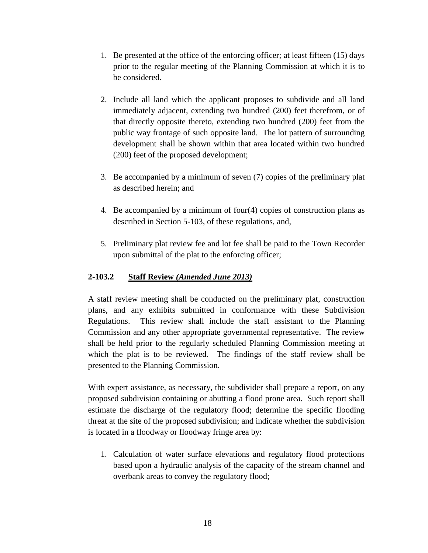- 1. Be presented at the office of the enforcing officer; at least fifteen (15) days prior to the regular meeting of the Planning Commission at which it is to be considered.
- 2. Include all land which the applicant proposes to subdivide and all land immediately adjacent, extending two hundred (200) feet therefrom, or of that directly opposite thereto, extending two hundred (200) feet from the public way frontage of such opposite land. The lot pattern of surrounding development shall be shown within that area located within two hundred (200) feet of the proposed development;
- 3. Be accompanied by a minimum of seven (7) copies of the preliminary plat as described herein; and
- 4. Be accompanied by a minimum of four(4) copies of construction plans as described in Section 5-103, of these regulations, and,
- 5. Preliminary plat review fee and lot fee shall be paid to the Town Recorder upon submittal of the plat to the enforcing officer;

# **2-103.2 Staff Review** *(Amended June 2013)*

A staff review meeting shall be conducted on the preliminary plat, construction plans, and any exhibits submitted in conformance with these Subdivision Regulations. This review shall include the staff assistant to the Planning Commission and any other appropriate governmental representative. The review shall be held prior to the regularly scheduled Planning Commission meeting at which the plat is to be reviewed. The findings of the staff review shall be presented to the Planning Commission.

With expert assistance, as necessary, the subdivider shall prepare a report, on any proposed subdivision containing or abutting a flood prone area. Such report shall estimate the discharge of the regulatory flood; determine the specific flooding threat at the site of the proposed subdivision; and indicate whether the subdivision is located in a floodway or floodway fringe area by:

1. Calculation of water surface elevations and regulatory flood protections based upon a hydraulic analysis of the capacity of the stream channel and overbank areas to convey the regulatory flood;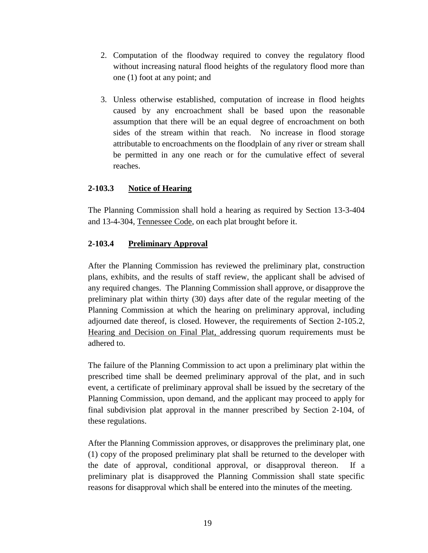- 2. Computation of the floodway required to convey the regulatory flood without increasing natural flood heights of the regulatory flood more than one (1) foot at any point; and
- 3. Unless otherwise established, computation of increase in flood heights caused by any encroachment shall be based upon the reasonable assumption that there will be an equal degree of encroachment on both sides of the stream within that reach. No increase in flood storage attributable to encroachments on the floodplain of any river or stream shall be permitted in any one reach or for the cumulative effect of several reaches.

# **2-103.3 Notice of Hearing**

The Planning Commission shall hold a hearing as required by Section 13-3-404 and 13-4-304, Tennessee Code, on each plat brought before it.

# **2-103.4 Preliminary Approval**

After the Planning Commission has reviewed the preliminary plat, construction plans, exhibits, and the results of staff review, the applicant shall be advised of any required changes. The Planning Commission shall approve, or disapprove the preliminary plat within thirty (30) days after date of the regular meeting of the Planning Commission at which the hearing on preliminary approval, including adjourned date thereof, is closed. However, the requirements of Section 2-105.2, Hearing and Decision on Final Plat, addressing quorum requirements must be adhered to.

The failure of the Planning Commission to act upon a preliminary plat within the prescribed time shall be deemed preliminary approval of the plat, and in such event, a certificate of preliminary approval shall be issued by the secretary of the Planning Commission, upon demand, and the applicant may proceed to apply for final subdivision plat approval in the manner prescribed by Section 2-104, of these regulations.

After the Planning Commission approves, or disapproves the preliminary plat, one (1) copy of the proposed preliminary plat shall be returned to the developer with the date of approval, conditional approval, or disapproval thereon. If a preliminary plat is disapproved the Planning Commission shall state specific reasons for disapproval which shall be entered into the minutes of the meeting.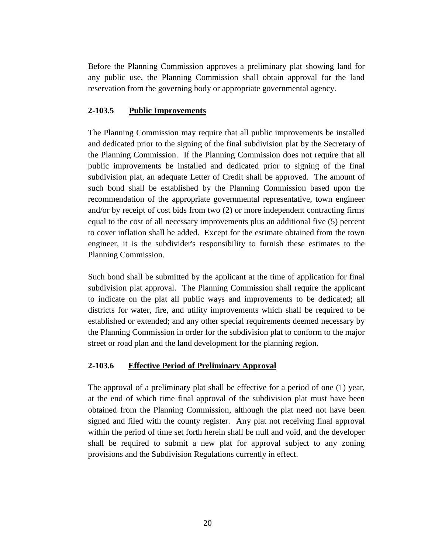Before the Planning Commission approves a preliminary plat showing land for any public use, the Planning Commission shall obtain approval for the land reservation from the governing body or appropriate governmental agency.

### **2-103.5 Public Improvements**

The Planning Commission may require that all public improvements be installed and dedicated prior to the signing of the final subdivision plat by the Secretary of the Planning Commission. If the Planning Commission does not require that all public improvements be installed and dedicated prior to signing of the final subdivision plat, an adequate Letter of Credit shall be approved. The amount of such bond shall be established by the Planning Commission based upon the recommendation of the appropriate governmental representative, town engineer and/or by receipt of cost bids from two (2) or more independent contracting firms equal to the cost of all necessary improvements plus an additional five (5) percent to cover inflation shall be added. Except for the estimate obtained from the town engineer, it is the subdivider's responsibility to furnish these estimates to the Planning Commission.

Such bond shall be submitted by the applicant at the time of application for final subdivision plat approval. The Planning Commission shall require the applicant to indicate on the plat all public ways and improvements to be dedicated; all districts for water, fire, and utility improvements which shall be required to be established or extended; and any other special requirements deemed necessary by the Planning Commission in order for the subdivision plat to conform to the major street or road plan and the land development for the planning region.

# **2-103.6 Effective Period of Preliminary Approval**

The approval of a preliminary plat shall be effective for a period of one (1) year, at the end of which time final approval of the subdivision plat must have been obtained from the Planning Commission, although the plat need not have been signed and filed with the county register. Any plat not receiving final approval within the period of time set forth herein shall be null and void, and the developer shall be required to submit a new plat for approval subject to any zoning provisions and the Subdivision Regulations currently in effect.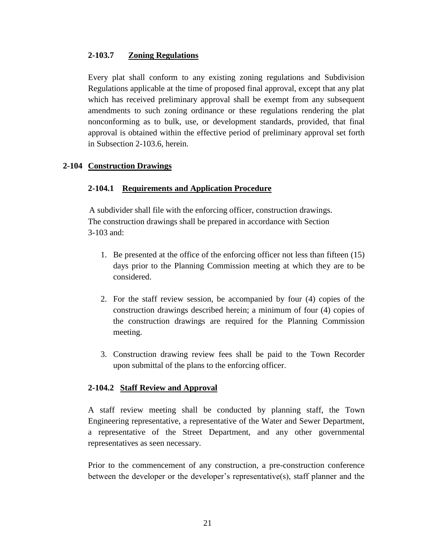### **2-103.7 Zoning Regulations**

Every plat shall conform to any existing zoning regulations and Subdivision Regulations applicable at the time of proposed final approval, except that any plat which has received preliminary approval shall be exempt from any subsequent amendments to such zoning ordinance or these regulations rendering the plat nonconforming as to bulk, use, or development standards, provided, that final approval is obtained within the effective period of preliminary approval set forth in Subsection 2-103.6, herein.

# **2-104 Construction Drawings**

### **2-104.1 Requirements and Application Procedure**

 A subdivider shall file with the enforcing officer, construction drawings. The construction drawings shall be prepared in accordance with Section 3-103 and:

- 1. Be presented at the office of the enforcing officer not less than fifteen (15) days prior to the Planning Commission meeting at which they are to be considered.
- 2. For the staff review session, be accompanied by four (4) copies of the construction drawings described herein; a minimum of four (4) copies of the construction drawings are required for the Planning Commission meeting.
- 3. Construction drawing review fees shall be paid to the Town Recorder upon submittal of the plans to the enforcing officer.

# **2-104.2 Staff Review and Approval**

A staff review meeting shall be conducted by planning staff, the Town Engineering representative, a representative of the Water and Sewer Department, a representative of the Street Department, and any other governmental representatives as seen necessary.

Prior to the commencement of any construction, a pre-construction conference between the developer or the developer's representative(s), staff planner and the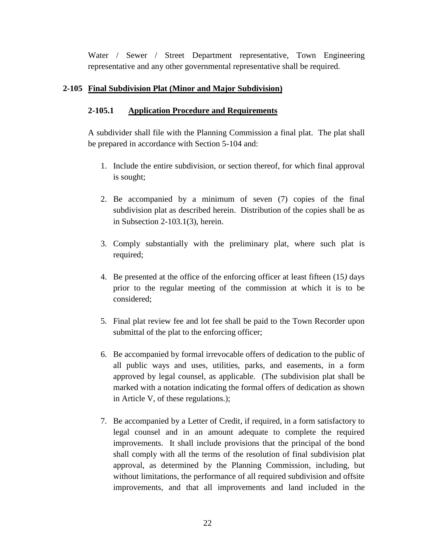Water / Sewer / Street Department representative, Town Engineering representative and any other governmental representative shall be required.

# **2-105 Final Subdivision Plat (Minor and Major Subdivision)**

## **2-105.1 Application Procedure and Requirements**

A subdivider shall file with the Planning Commission a final plat. The plat shall be prepared in accordance with Section 5-104 and:

- 1. Include the entire subdivision, or section thereof, for which final approval is sought;
- 2. Be accompanied by a minimum of seven (7) copies of the final subdivision plat as described herein. Distribution of the copies shall be as in Subsection 2-103.1(3), herein.
- 3. Comply substantially with the preliminary plat, where such plat is required;
- 4. Be presented at the office of the enforcing officer at least fifteen (15*)* days prior to the regular meeting of the commission at which it is to be considered;
- 5. Final plat review fee and lot fee shall be paid to the Town Recorder upon submittal of the plat to the enforcing officer;
- 6. Be accompanied by formal irrevocable offers of dedication to the public of all public ways and uses, utilities, parks, and easements, in a form approved by legal counsel, as applicable. (The subdivision plat shall be marked with a notation indicating the formal offers of dedication as shown in Article V, of these regulations.);
- 7. Be accompanied by a Letter of Credit, if required, in a form satisfactory to legal counsel and in an amount adequate to complete the required improvements. It shall include provisions that the principal of the bond shall comply with all the terms of the resolution of final subdivision plat approval, as determined by the Planning Commission, including, but without limitations, the performance of all required subdivision and offsite improvements, and that all improvements and land included in the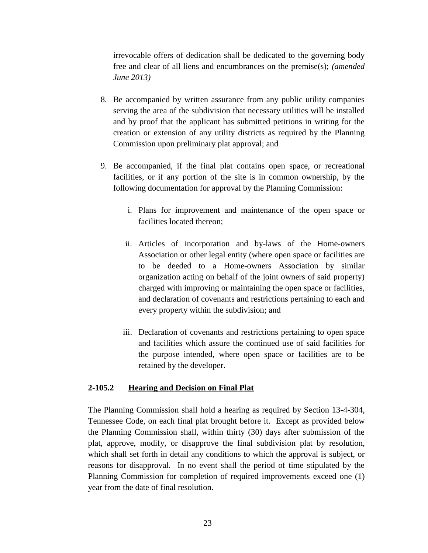irrevocable offers of dedication shall be dedicated to the governing body free and clear of all liens and encumbrances on the premise(s); *(amended June 2013)*

- 8. Be accompanied by written assurance from any public utility companies serving the area of the subdivision that necessary utilities will be installed and by proof that the applicant has submitted petitions in writing for the creation or extension of any utility districts as required by the Planning Commission upon preliminary plat approval; and
- 9. Be accompanied, if the final plat contains open space, or recreational facilities, or if any portion of the site is in common ownership, by the following documentation for approval by the Planning Commission:
	- i. Plans for improvement and maintenance of the open space or facilities located thereon;
	- ii. Articles of incorporation and by-laws of the Home-owners Association or other legal entity (where open space or facilities are to be deeded to a Home-owners Association by similar organization acting on behalf of the joint owners of said property) charged with improving or maintaining the open space or facilities, and declaration of covenants and restrictions pertaining to each and every property within the subdivision; and
	- iii. Declaration of covenants and restrictions pertaining to open space and facilities which assure the continued use of said facilities for the purpose intended, where open space or facilities are to be retained by the developer.

### **2-105.2 Hearing and Decision on Final Plat**

The Planning Commission shall hold a hearing as required by Section 13-4-304, Tennessee Code, on each final plat brought before it. Except as provided below the Planning Commission shall, within thirty (30) days after submission of the plat, approve, modify, or disapprove the final subdivision plat by resolution, which shall set forth in detail any conditions to which the approval is subject, or reasons for disapproval. In no event shall the period of time stipulated by the Planning Commission for completion of required improvements exceed one (1) year from the date of final resolution.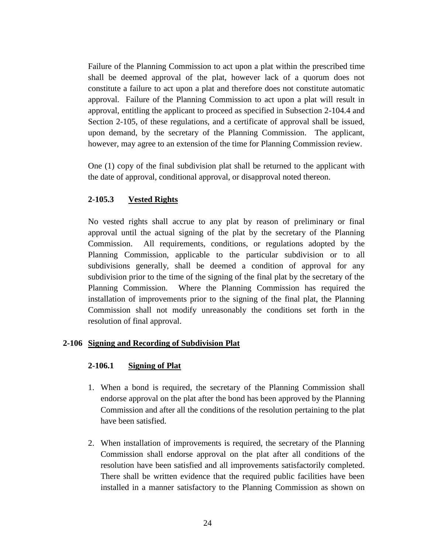Failure of the Planning Commission to act upon a plat within the prescribed time shall be deemed approval of the plat, however lack of a quorum does not constitute a failure to act upon a plat and therefore does not constitute automatic approval. Failure of the Planning Commission to act upon a plat will result in approval, entitling the applicant to proceed as specified in Subsection 2-104.4 and Section 2-105, of these regulations, and a certificate of approval shall be issued, upon demand, by the secretary of the Planning Commission. The applicant, however, may agree to an extension of the time for Planning Commission review.

One (1) copy of the final subdivision plat shall be returned to the applicant with the date of approval, conditional approval, or disapproval noted thereon.

# **2-105.3 Vested Rights**

No vested rights shall accrue to any plat by reason of preliminary or final approval until the actual signing of the plat by the secretary of the Planning Commission. All requirements, conditions, or regulations adopted by the Planning Commission, applicable to the particular subdivision or to all subdivisions generally, shall be deemed a condition of approval for any subdivision prior to the time of the signing of the final plat by the secretary of the Planning Commission. Where the Planning Commission has required the installation of improvements prior to the signing of the final plat, the Planning Commission shall not modify unreasonably the conditions set forth in the resolution of final approval.

# **2-106 Signing and Recording of Subdivision Plat**

#### **2-106.1 Signing of Plat**

- 1. When a bond is required, the secretary of the Planning Commission shall endorse approval on the plat after the bond has been approved by the Planning Commission and after all the conditions of the resolution pertaining to the plat have been satisfied.
- 2. When installation of improvements is required, the secretary of the Planning Commission shall endorse approval on the plat after all conditions of the resolution have been satisfied and all improvements satisfactorily completed. There shall be written evidence that the required public facilities have been installed in a manner satisfactory to the Planning Commission as shown on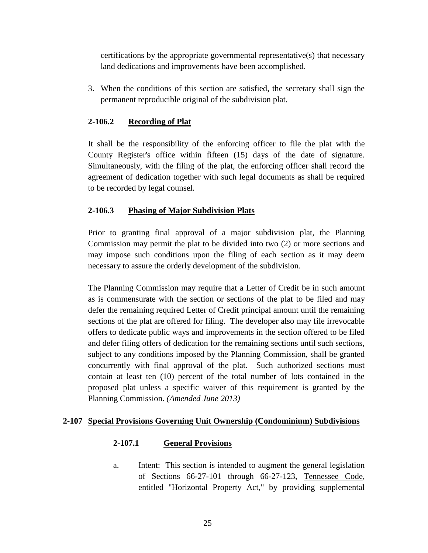certifications by the appropriate governmental representative(s) that necessary land dedications and improvements have been accomplished.

3. When the conditions of this section are satisfied, the secretary shall sign the permanent reproducible original of the subdivision plat.

# **2-106.2 Recording of Plat**

It shall be the responsibility of the enforcing officer to file the plat with the County Register's office within fifteen (15) days of the date of signature. Simultaneously, with the filing of the plat, the enforcing officer shall record the agreement of dedication together with such legal documents as shall be required to be recorded by legal counsel.

# **2-106.3 Phasing of Major Subdivision Plats**

Prior to granting final approval of a major subdivision plat, the Planning Commission may permit the plat to be divided into two (2) or more sections and may impose such conditions upon the filing of each section as it may deem necessary to assure the orderly development of the subdivision.

The Planning Commission may require that a Letter of Credit be in such amount as is commensurate with the section or sections of the plat to be filed and may defer the remaining required Letter of Credit principal amount until the remaining sections of the plat are offered for filing. The developer also may file irrevocable offers to dedicate public ways and improvements in the section offered to be filed and defer filing offers of dedication for the remaining sections until such sections, subject to any conditions imposed by the Planning Commission, shall be granted concurrently with final approval of the plat. Such authorized sections must contain at least ten (10) percent of the total number of lots contained in the proposed plat unless a specific waiver of this requirement is granted by the Planning Commission. *(Amended June 2013)*

# **2-107 Special Provisions Governing Unit Ownership (Condominium) Subdivisions**

# **2-107.1 General Provisions**

a. Intent: This section is intended to augment the general legislation of Sections 66-27-101 through 66-27-123, Tennessee Code, entitled "Horizontal Property Act," by providing supplemental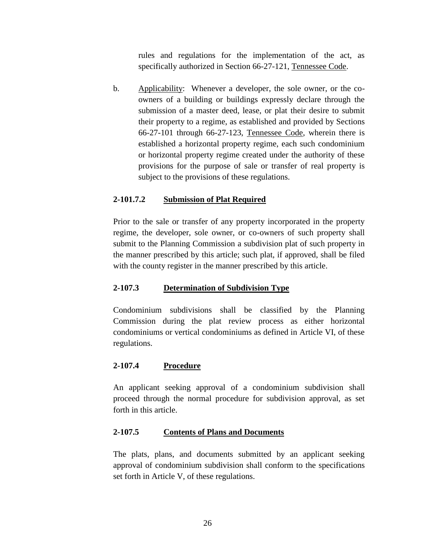rules and regulations for the implementation of the act, as specifically authorized in Section 66-27-121, Tennessee Code.

b. Applicability: Whenever a developer, the sole owner, or the coowners of a building or buildings expressly declare through the submission of a master deed, lease, or plat their desire to submit their property to a regime, as established and provided by Sections 66-27-101 through 66-27-123, Tennessee Code, wherein there is established a horizontal property regime, each such condominium or horizontal property regime created under the authority of these provisions for the purpose of sale or transfer of real property is subject to the provisions of these regulations.

# **2-101.7.2 Submission of Plat Required**

Prior to the sale or transfer of any property incorporated in the property regime, the developer, sole owner, or co-owners of such property shall submit to the Planning Commission a subdivision plat of such property in the manner prescribed by this article; such plat, if approved, shall be filed with the county register in the manner prescribed by this article.

# **2-107.3 Determination of Subdivision Type**

Condominium subdivisions shall be classified by the Planning Commission during the plat review process as either horizontal condominiums or vertical condominiums as defined in Article VI, of these regulations.

# **2-107.4 Procedure**

An applicant seeking approval of a condominium subdivision shall proceed through the normal procedure for subdivision approval, as set forth in this article.

#### **2-107.5 Contents of Plans and Documents**

The plats, plans, and documents submitted by an applicant seeking approval of condominium subdivision shall conform to the specifications set forth in Article V, of these regulations.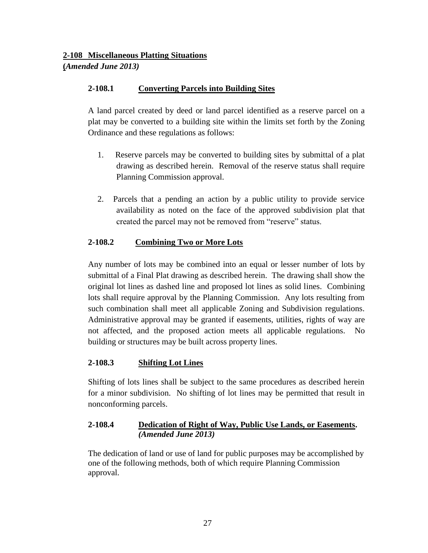# **2-108 Miscellaneous Platting Situations (***Amended June 2013)*

# **2-108.1 Converting Parcels into Building Sites**

A land parcel created by deed or land parcel identified as a reserve parcel on a plat may be converted to a building site within the limits set forth by the Zoning Ordinance and these regulations as follows:

- 1. Reserve parcels may be converted to building sites by submittal of a plat drawing as described herein. Removal of the reserve status shall require Planning Commission approval.
- 2. Parcels that a pending an action by a public utility to provide service availability as noted on the face of the approved subdivision plat that created the parcel may not be removed from "reserve" status.

# **2-108.2 Combining Two or More Lots**

Any number of lots may be combined into an equal or lesser number of lots by submittal of a Final Plat drawing as described herein. The drawing shall show the original lot lines as dashed line and proposed lot lines as solid lines. Combining lots shall require approval by the Planning Commission. Any lots resulting from such combination shall meet all applicable Zoning and Subdivision regulations. Administrative approval may be granted if easements, utilities, rights of way are not affected, and the proposed action meets all applicable regulations. No building or structures may be built across property lines.

# **2-108.3 Shifting Lot Lines**

Shifting of lots lines shall be subject to the same procedures as described herein for a minor subdivision. No shifting of lot lines may be permitted that result in nonconforming parcels.

# **2-108.4 Dedication of Right of Way, Public Use Lands, or Easements.** *(Amended June 2013)*

The dedication of land or use of land for public purposes may be accomplished by one of the following methods, both of which require Planning Commission approval.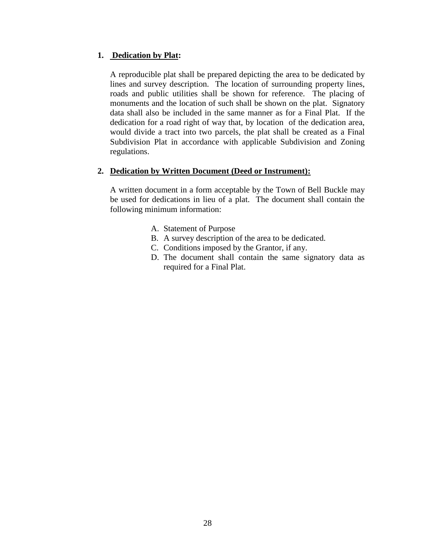# **1. Dedication by Plat:**

A reproducible plat shall be prepared depicting the area to be dedicated by lines and survey description. The location of surrounding property lines, roads and public utilities shall be shown for reference. The placing of monuments and the location of such shall be shown on the plat. Signatory data shall also be included in the same manner as for a Final Plat. If the dedication for a road right of way that, by location of the dedication area, would divide a tract into two parcels, the plat shall be created as a Final Subdivision Plat in accordance with applicable Subdivision and Zoning regulations.

### **2. Dedication by Written Document (Deed or Instrument):**

A written document in a form acceptable by the Town of Bell Buckle may be used for dedications in lieu of a plat. The document shall contain the following minimum information:

- A. Statement of Purpose
- B. A survey description of the area to be dedicated.
- C. Conditions imposed by the Grantor, if any.
- D. The document shall contain the same signatory data as required for a Final Plat.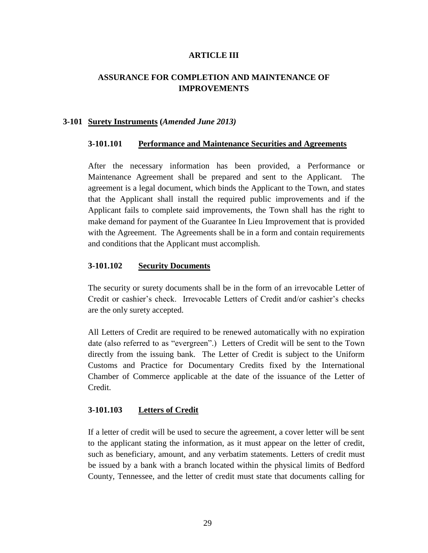#### **ARTICLE III**

# **ASSURANCE FOR COMPLETION AND MAINTENANCE OF IMPROVEMENTS**

#### **3-101 Surety Instruments (***Amended June 2013)*

#### **3-101.101 Performance and Maintenance Securities and Agreements**

After the necessary information has been provided, a Performance or Maintenance Agreement shall be prepared and sent to the Applicant. The agreement is a legal document, which binds the Applicant to the Town, and states that the Applicant shall install the required public improvements and if the Applicant fails to complete said improvements, the Town shall has the right to make demand for payment of the Guarantee In Lieu Improvement that is provided with the Agreement. The Agreements shall be in a form and contain requirements and conditions that the Applicant must accomplish.

#### **3-101.102 Security Documents**

The security or surety documents shall be in the form of an irrevocable Letter of Credit or cashier's check. Irrevocable Letters of Credit and/or cashier's checks are the only surety accepted.

All Letters of Credit are required to be renewed automatically with no expiration date (also referred to as "evergreen".) Letters of Credit will be sent to the Town directly from the issuing bank. The Letter of Credit is subject to the Uniform Customs and Practice for Documentary Credits fixed by the International Chamber of Commerce applicable at the date of the issuance of the Letter of Credit.

#### **3-101.103 Letters of Credit**

If a letter of credit will be used to secure the agreement, a cover letter will be sent to the applicant stating the information, as it must appear on the letter of credit, such as beneficiary, amount, and any verbatim statements. Letters of credit must be issued by a bank with a branch located within the physical limits of Bedford County, Tennessee, and the letter of credit must state that documents calling for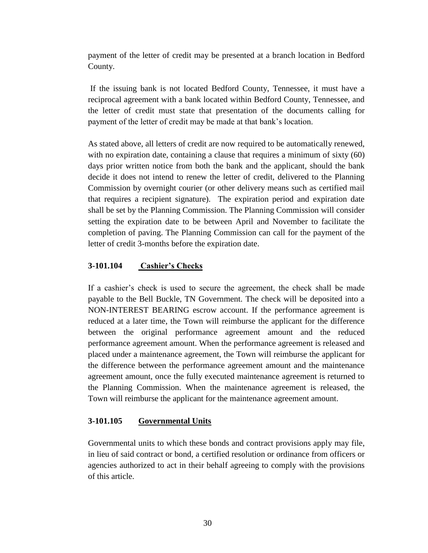payment of the letter of credit may be presented at a branch location in Bedford County.

If the issuing bank is not located Bedford County, Tennessee, it must have a reciprocal agreement with a bank located within Bedford County, Tennessee, and the letter of credit must state that presentation of the documents calling for payment of the letter of credit may be made at that bank's location.

As stated above, all letters of credit are now required to be automatically renewed, with no expiration date, containing a clause that requires a minimum of sixty (60) days prior written notice from both the bank and the applicant, should the bank decide it does not intend to renew the letter of credit, delivered to the Planning Commission by overnight courier (or other delivery means such as certified mail that requires a recipient signature). The expiration period and expiration date shall be set by the Planning Commission. The Planning Commission will consider setting the expiration date to be between April and November to facilitate the completion of paving. The Planning Commission can call for the payment of the letter of credit 3-months before the expiration date.

#### **3-101.104 Cashier's Checks**

If a cashier's check is used to secure the agreement, the check shall be made payable to the Bell Buckle, TN Government. The check will be deposited into a NON-INTEREST BEARING escrow account. If the performance agreement is reduced at a later time, the Town will reimburse the applicant for the difference between the original performance agreement amount and the reduced performance agreement amount. When the performance agreement is released and placed under a maintenance agreement, the Town will reimburse the applicant for the difference between the performance agreement amount and the maintenance agreement amount, once the fully executed maintenance agreement is returned to the Planning Commission. When the maintenance agreement is released, the Town will reimburse the applicant for the maintenance agreement amount.

# **3-101.105 Governmental Units**

Governmental units to which these bonds and contract provisions apply may file, in lieu of said contract or bond, a certified resolution or ordinance from officers or agencies authorized to act in their behalf agreeing to comply with the provisions of this article.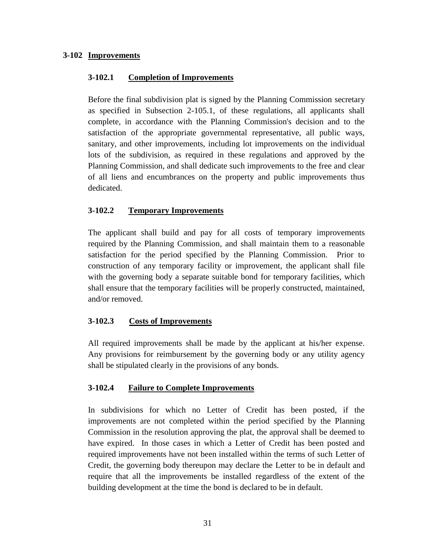# **3-102 Improvements**

#### **3-102.1 Completion of Improvements**

Before the final subdivision plat is signed by the Planning Commission secretary as specified in Subsection 2-105.1, of these regulations, all applicants shall complete, in accordance with the Planning Commission's decision and to the satisfaction of the appropriate governmental representative, all public ways, sanitary, and other improvements, including lot improvements on the individual lots of the subdivision, as required in these regulations and approved by the Planning Commission, and shall dedicate such improvements to the free and clear of all liens and encumbrances on the property and public improvements thus dedicated.

### **3-102.2 Temporary Improvements**

The applicant shall build and pay for all costs of temporary improvements required by the Planning Commission, and shall maintain them to a reasonable satisfaction for the period specified by the Planning Commission. Prior to construction of any temporary facility or improvement, the applicant shall file with the governing body a separate suitable bond for temporary facilities, which shall ensure that the temporary facilities will be properly constructed, maintained, and/or removed.

# **3-102.3 Costs of Improvements**

All required improvements shall be made by the applicant at his/her expense. Any provisions for reimbursement by the governing body or any utility agency shall be stipulated clearly in the provisions of any bonds.

# **3-102.4 Failure to Complete Improvements**

In subdivisions for which no Letter of Credit has been posted, if the improvements are not completed within the period specified by the Planning Commission in the resolution approving the plat, the approval shall be deemed to have expired. In those cases in which a Letter of Credit has been posted and required improvements have not been installed within the terms of such Letter of Credit, the governing body thereupon may declare the Letter to be in default and require that all the improvements be installed regardless of the extent of the building development at the time the bond is declared to be in default.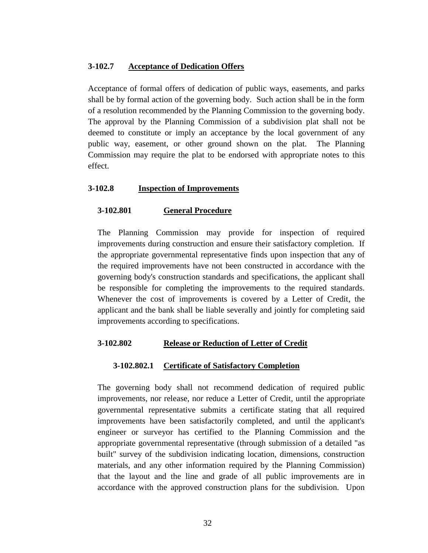#### **3-102.7 Acceptance of Dedication Offers**

Acceptance of formal offers of dedication of public ways, easements, and parks shall be by formal action of the governing body. Such action shall be in the form of a resolution recommended by the Planning Commission to the governing body. The approval by the Planning Commission of a subdivision plat shall not be deemed to constitute or imply an acceptance by the local government of any public way, easement, or other ground shown on the plat. The Planning Commission may require the plat to be endorsed with appropriate notes to this effect.

#### **3-102.8 Inspection of Improvements**

#### **3-102.801 General Procedure**

The Planning Commission may provide for inspection of required improvements during construction and ensure their satisfactory completion. If the appropriate governmental representative finds upon inspection that any of the required improvements have not been constructed in accordance with the governing body's construction standards and specifications, the applicant shall be responsible for completing the improvements to the required standards. Whenever the cost of improvements is covered by a Letter of Credit, the applicant and the bank shall be liable severally and jointly for completing said improvements according to specifications.

#### **3-102.802 Release or Reduction of Letter of Credit**

#### **3-102.802.1 Certificate of Satisfactory Completion**

The governing body shall not recommend dedication of required public improvements, nor release, nor reduce a Letter of Credit, until the appropriate governmental representative submits a certificate stating that all required improvements have been satisfactorily completed, and until the applicant's engineer or surveyor has certified to the Planning Commission and the appropriate governmental representative (through submission of a detailed "as built" survey of the subdivision indicating location, dimensions, construction materials, and any other information required by the Planning Commission) that the layout and the line and grade of all public improvements are in accordance with the approved construction plans for the subdivision. Upon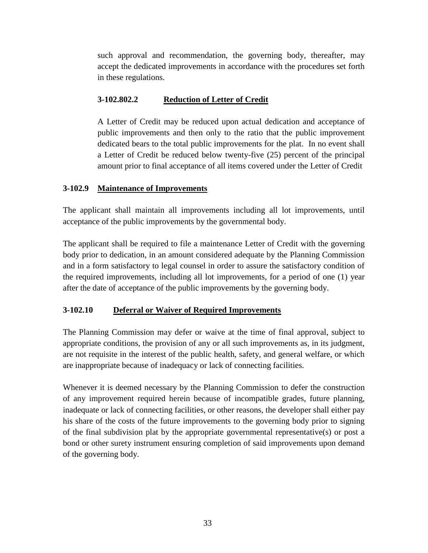such approval and recommendation, the governing body, thereafter, may accept the dedicated improvements in accordance with the procedures set forth in these regulations.

# **3-102.802.2 Reduction of Letter of Credit**

A Letter of Credit may be reduced upon actual dedication and acceptance of public improvements and then only to the ratio that the public improvement dedicated bears to the total public improvements for the plat. In no event shall a Letter of Credit be reduced below twenty-five (25) percent of the principal amount prior to final acceptance of all items covered under the Letter of Credit

# **3-102.9 Maintenance of Improvements**

The applicant shall maintain all improvements including all lot improvements, until acceptance of the public improvements by the governmental body.

The applicant shall be required to file a maintenance Letter of Credit with the governing body prior to dedication, in an amount considered adequate by the Planning Commission and in a form satisfactory to legal counsel in order to assure the satisfactory condition of the required improvements, including all lot improvements, for a period of one (1) year after the date of acceptance of the public improvements by the governing body.

# **3-102.10 Deferral or Waiver of Required Improvements**

The Planning Commission may defer or waive at the time of final approval, subject to appropriate conditions, the provision of any or all such improvements as, in its judgment, are not requisite in the interest of the public health, safety, and general welfare, or which are inappropriate because of inadequacy or lack of connecting facilities.

Whenever it is deemed necessary by the Planning Commission to defer the construction of any improvement required herein because of incompatible grades, future planning, inadequate or lack of connecting facilities, or other reasons, the developer shall either pay his share of the costs of the future improvements to the governing body prior to signing of the final subdivision plat by the appropriate governmental representative(s) or post a bond or other surety instrument ensuring completion of said improvements upon demand of the governing body.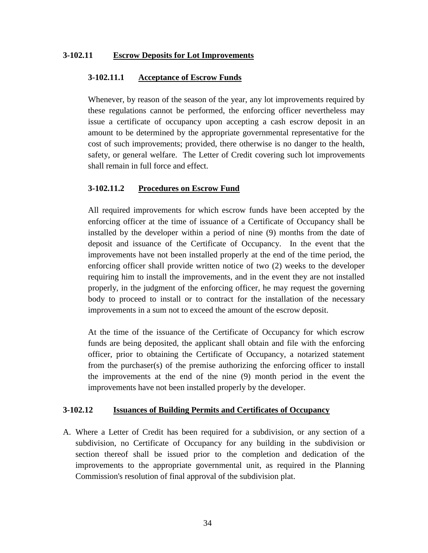#### **3-102.11 Escrow Deposits for Lot Improvements**

#### **3-102.11.1 Acceptance of Escrow Funds**

Whenever, by reason of the season of the year, any lot improvements required by these regulations cannot be performed, the enforcing officer nevertheless may issue a certificate of occupancy upon accepting a cash escrow deposit in an amount to be determined by the appropriate governmental representative for the cost of such improvements; provided, there otherwise is no danger to the health, safety, or general welfare. The Letter of Credit covering such lot improvements shall remain in full force and effect.

#### **3-102.11.2 Procedures on Escrow Fund**

All required improvements for which escrow funds have been accepted by the enforcing officer at the time of issuance of a Certificate of Occupancy shall be installed by the developer within a period of nine (9) months from the date of deposit and issuance of the Certificate of Occupancy. In the event that the improvements have not been installed properly at the end of the time period, the enforcing officer shall provide written notice of two (2) weeks to the developer requiring him to install the improvements, and in the event they are not installed properly, in the judgment of the enforcing officer, he may request the governing body to proceed to install or to contract for the installation of the necessary improvements in a sum not to exceed the amount of the escrow deposit.

At the time of the issuance of the Certificate of Occupancy for which escrow funds are being deposited, the applicant shall obtain and file with the enforcing officer, prior to obtaining the Certificate of Occupancy, a notarized statement from the purchaser(s) of the premise authorizing the enforcing officer to install the improvements at the end of the nine (9) month period in the event the improvements have not been installed properly by the developer.

#### **3-102.12 Issuances of Building Permits and Certificates of Occupancy**

A. Where a Letter of Credit has been required for a subdivision, or any section of a subdivision, no Certificate of Occupancy for any building in the subdivision or section thereof shall be issued prior to the completion and dedication of the improvements to the appropriate governmental unit, as required in the Planning Commission's resolution of final approval of the subdivision plat.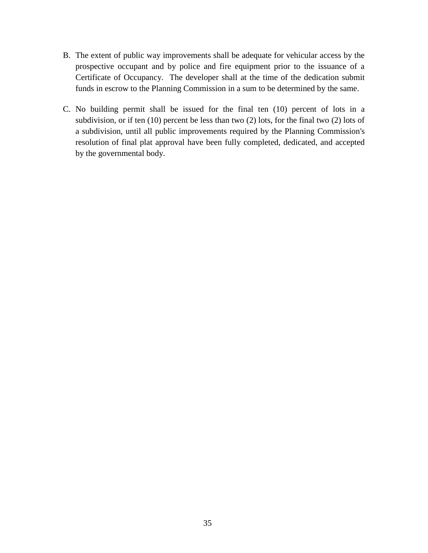- B. The extent of public way improvements shall be adequate for vehicular access by the prospective occupant and by police and fire equipment prior to the issuance of a Certificate of Occupancy. The developer shall at the time of the dedication submit funds in escrow to the Planning Commission in a sum to be determined by the same.
- C. No building permit shall be issued for the final ten (10) percent of lots in a subdivision, or if ten (10) percent be less than two (2) lots, for the final two (2) lots of a subdivision, until all public improvements required by the Planning Commission's resolution of final plat approval have been fully completed, dedicated, and accepted by the governmental body.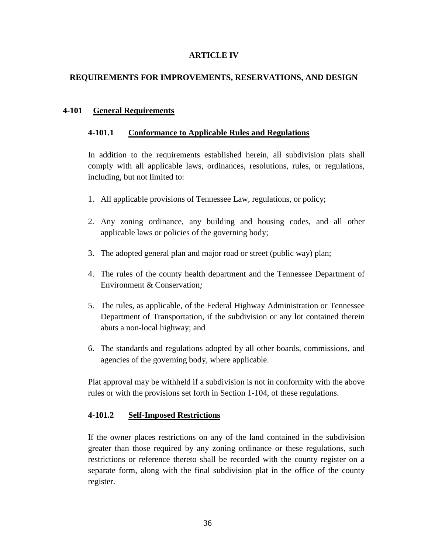### **ARTICLE IV**

# **REQUIREMENTS FOR IMPROVEMENTS, RESERVATIONS, AND DESIGN**

## **4-101 General Requirements**

### **4-101.1 Conformance to Applicable Rules and Regulations**

In addition to the requirements established herein, all subdivision plats shall comply with all applicable laws, ordinances, resolutions, rules, or regulations, including, but not limited to:

- 1. All applicable provisions of Tennessee Law, regulations, or policy;
- 2. Any zoning ordinance, any building and housing codes, and all other applicable laws or policies of the governing body;
- 3. The adopted general plan and major road or street (public way) plan;
- 4. The rules of the county health department and the Tennessee Department of Environment & Conservation*;*
- 5. The rules, as applicable, of the Federal Highway Administration or Tennessee Department of Transportation, if the subdivision or any lot contained therein abuts a non-local highway; and
- 6. The standards and regulations adopted by all other boards, commissions, and agencies of the governing body, where applicable.

Plat approval may be withheld if a subdivision is not in conformity with the above rules or with the provisions set forth in Section 1-104, of these regulations.

#### **4-101.2 Self-Imposed Restrictions**

If the owner places restrictions on any of the land contained in the subdivision greater than those required by any zoning ordinance or these regulations, such restrictions or reference thereto shall be recorded with the county register on a separate form, along with the final subdivision plat in the office of the county register.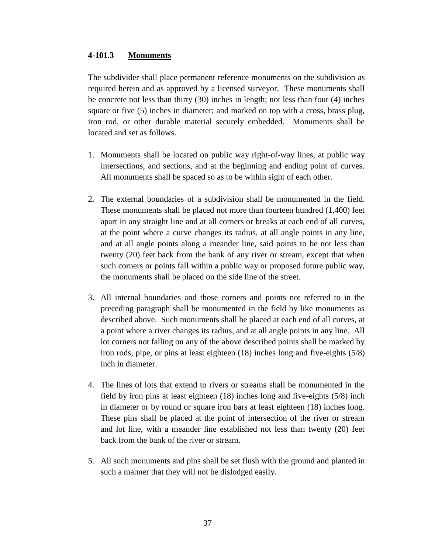### **4-101.3 Monuments**

The subdivider shall place permanent reference monuments on the subdivision as required herein and as approved by a licensed surveyor. These monuments shall be concrete not less than thirty (30) inches in length; not less than four (4) inches square or five (5) inches in diameter; and marked on top with a cross, brass plug, iron rod, or other durable material securely embedded. Monuments shall be located and set as follows.

- 1. Monuments shall be located on public way right-of-way lines, at public way intersections, and sections, and at the beginning and ending point of curves. All monuments shall be spaced so as to be within sight of each other.
- 2. The external boundaries of a subdivision shall be monumented in the field. These monuments shall be placed not more than fourteen hundred (1,400) feet apart in any straight line and at all corners or breaks at each end of all curves, at the point where a curve changes its radius, at all angle points in any line, and at all angle points along a meander line, said points to be not less than twenty (20) feet back from the bank of any river or stream, except that when such corners or points fall within a public way or proposed future public way, the monuments shall be placed on the side line of the street.
- 3. All internal boundaries and those corners and points not referred to in the preceding paragraph shall be monumented in the field by like monuments as described above. Such monuments shall be placed at each end of all curves, at a point where a river changes its radius, and at all angle points in any line. All lot corners not falling on any of the above described points shall be marked by iron rods, pipe, or pins at least eighteen (18) inches long and five-eights (5/8) inch in diameter.
- 4. The lines of lots that extend to rivers or streams shall be monumented in the field by iron pins at least eighteen (18) inches long and five-eights (5/8) inch in diameter or by round or square iron bars at least eighteen (18) inches long. These pins shall be placed at the point of intersection of the river or stream and lot line, with a meander line established not less than twenty (20) feet back from the bank of the river or stream.
- 5. All such monuments and pins shall be set flush with the ground and planted in such a manner that they will not be dislodged easily.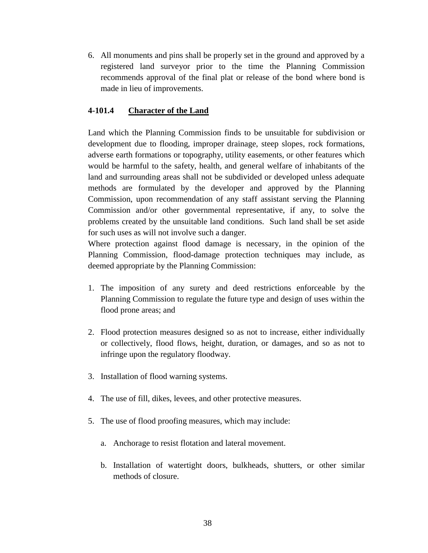6. All monuments and pins shall be properly set in the ground and approved by a registered land surveyor prior to the time the Planning Commission recommends approval of the final plat or release of the bond where bond is made in lieu of improvements.

## **4-101.4 Character of the Land**

Land which the Planning Commission finds to be unsuitable for subdivision or development due to flooding, improper drainage, steep slopes, rock formations, adverse earth formations or topography, utility easements, or other features which would be harmful to the safety, health, and general welfare of inhabitants of the land and surrounding areas shall not be subdivided or developed unless adequate methods are formulated by the developer and approved by the Planning Commission, upon recommendation of any staff assistant serving the Planning Commission and/or other governmental representative, if any, to solve the problems created by the unsuitable land conditions. Such land shall be set aside for such uses as will not involve such a danger.

Where protection against flood damage is necessary, in the opinion of the Planning Commission, flood-damage protection techniques may include, as deemed appropriate by the Planning Commission:

- 1. The imposition of any surety and deed restrictions enforceable by the Planning Commission to regulate the future type and design of uses within the flood prone areas; and
- 2. Flood protection measures designed so as not to increase, either individually or collectively, flood flows, height, duration, or damages, and so as not to infringe upon the regulatory floodway.
- 3. Installation of flood warning systems.
- 4. The use of fill, dikes, levees, and other protective measures.
- 5. The use of flood proofing measures, which may include:
	- a. Anchorage to resist flotation and lateral movement.
	- b. Installation of watertight doors, bulkheads, shutters, or other similar methods of closure.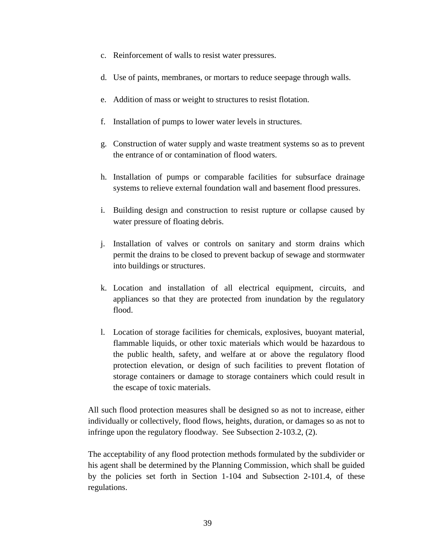- c. Reinforcement of walls to resist water pressures.
- d. Use of paints, membranes, or mortars to reduce seepage through walls.
- e. Addition of mass or weight to structures to resist flotation.
- f. Installation of pumps to lower water levels in structures.
- g. Construction of water supply and waste treatment systems so as to prevent the entrance of or contamination of flood waters.
- h. Installation of pumps or comparable facilities for subsurface drainage systems to relieve external foundation wall and basement flood pressures.
- i. Building design and construction to resist rupture or collapse caused by water pressure of floating debris.
- j. Installation of valves or controls on sanitary and storm drains which permit the drains to be closed to prevent backup of sewage and stormwater into buildings or structures.
- k. Location and installation of all electrical equipment, circuits, and appliances so that they are protected from inundation by the regulatory flood.
- l. Location of storage facilities for chemicals, explosives, buoyant material, flammable liquids, or other toxic materials which would be hazardous to the public health, safety, and welfare at or above the regulatory flood protection elevation, or design of such facilities to prevent flotation of storage containers or damage to storage containers which could result in the escape of toxic materials.

All such flood protection measures shall be designed so as not to increase, either individually or collectively, flood flows, heights, duration, or damages so as not to infringe upon the regulatory floodway. See Subsection 2-103.2, (2).

The acceptability of any flood protection methods formulated by the subdivider or his agent shall be determined by the Planning Commission, which shall be guided by the policies set forth in Section 1-104 and Subsection 2-101.4, of these regulations.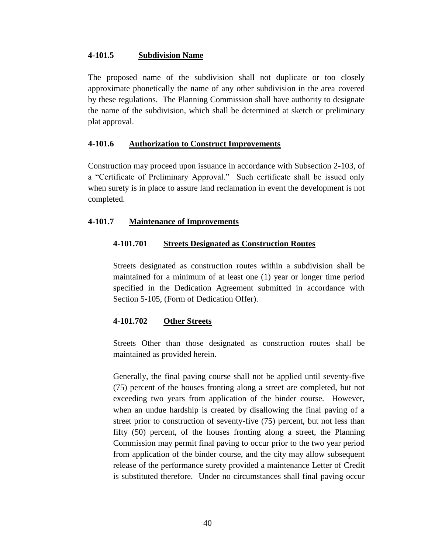### **4-101.5 Subdivision Name**

The proposed name of the subdivision shall not duplicate or too closely approximate phonetically the name of any other subdivision in the area covered by these regulations. The Planning Commission shall have authority to designate the name of the subdivision, which shall be determined at sketch or preliminary plat approval.

### **4-101.6 Authorization to Construct Improvements**

Construction may proceed upon issuance in accordance with Subsection 2-103, of a "Certificate of Preliminary Approval." Such certificate shall be issued only when surety is in place to assure land reclamation in event the development is not completed.

### **4-101.7 Maintenance of Improvements**

#### **4-101.701 Streets Designated as Construction Routes**

Streets designated as construction routes within a subdivision shall be maintained for a minimum of at least one (1) year or longer time period specified in the Dedication Agreement submitted in accordance with Section 5-105, (Form of Dedication Offer).

### **4-101.702 Other Streets**

Streets Other than those designated as construction routes shall be maintained as provided herein.

Generally, the final paving course shall not be applied until seventy-five (75) percent of the houses fronting along a street are completed, but not exceeding two years from application of the binder course. However, when an undue hardship is created by disallowing the final paving of a street prior to construction of seventy-five (75) percent, but not less than fifty (50) percent, of the houses fronting along a street, the Planning Commission may permit final paving to occur prior to the two year period from application of the binder course, and the city may allow subsequent release of the performance surety provided a maintenance Letter of Credit is substituted therefore. Under no circumstances shall final paving occur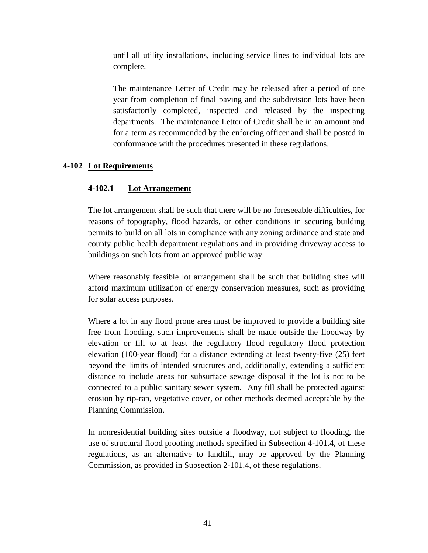until all utility installations, including service lines to individual lots are complete.

The maintenance Letter of Credit may be released after a period of one year from completion of final paving and the subdivision lots have been satisfactorily completed, inspected and released by the inspecting departments. The maintenance Letter of Credit shall be in an amount and for a term as recommended by the enforcing officer and shall be posted in conformance with the procedures presented in these regulations.

## **4-102 Lot Requirements**

## **4-102.1 Lot Arrangement**

The lot arrangement shall be such that there will be no foreseeable difficulties, for reasons of topography, flood hazards, or other conditions in securing building permits to build on all lots in compliance with any zoning ordinance and state and county public health department regulations and in providing driveway access to buildings on such lots from an approved public way.

Where reasonably feasible lot arrangement shall be such that building sites will afford maximum utilization of energy conservation measures, such as providing for solar access purposes.

Where a lot in any flood prone area must be improved to provide a building site free from flooding, such improvements shall be made outside the floodway by elevation or fill to at least the regulatory flood regulatory flood protection elevation (100-year flood) for a distance extending at least twenty-five (25) feet beyond the limits of intended structures and, additionally, extending a sufficient distance to include areas for subsurface sewage disposal if the lot is not to be connected to a public sanitary sewer system. Any fill shall be protected against erosion by rip-rap, vegetative cover, or other methods deemed acceptable by the Planning Commission.

In nonresidential building sites outside a floodway, not subject to flooding, the use of structural flood proofing methods specified in Subsection 4-101.4, of these regulations, as an alternative to landfill, may be approved by the Planning Commission, as provided in Subsection 2-101.4, of these regulations.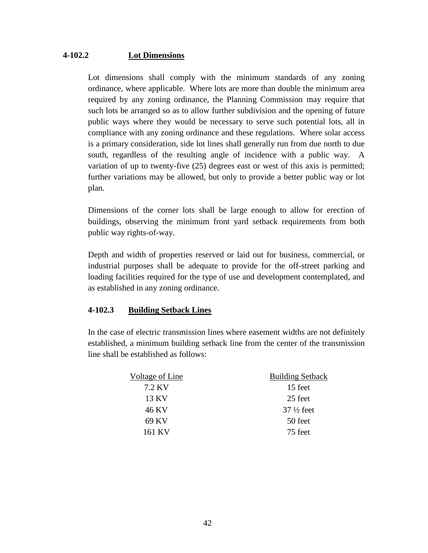### **4-102.2 Lot Dimensions**

Lot dimensions shall comply with the minimum standards of any zoning ordinance, where applicable. Where lots are more than double the minimum area required by any zoning ordinance, the Planning Commission may require that such lots be arranged so as to allow further subdivision and the opening of future public ways where they would be necessary to serve such potential lots, all in compliance with any zoning ordinance and these regulations. Where solar access is a primary consideration, side lot lines shall generally run from due north to due south, regardless of the resulting angle of incidence with a public way. A variation of up to twenty-five (25) degrees east or west of this axis is permitted; further variations may be allowed, but only to provide a better public way or lot plan.

Dimensions of the corner lots shall be large enough to allow for erection of buildings, observing the minimum front yard setback requirements from both public way rights-of-way.

Depth and width of properties reserved or laid out for business, commercial, or industrial purposes shall be adequate to provide for the off-street parking and loading facilities required for the type of use and development contemplated, and as established in any zoning ordinance.

### **4-102.3 Building Setback Lines**

In the case of electric transmission lines where easement widths are not definitely established, a minimum building setback line from the center of the transmission line shall be established as follows:

| Voltage of Line | <b>Building Setback</b> |  |
|-----------------|-------------------------|--|
| 7.2 KV          | 15 feet                 |  |
| 13 KV           | 25 feet                 |  |
| 46 KV           | $37\frac{1}{2}$ feet    |  |
| 69 KV           | 50 feet                 |  |
| 161 KV          | 75 feet                 |  |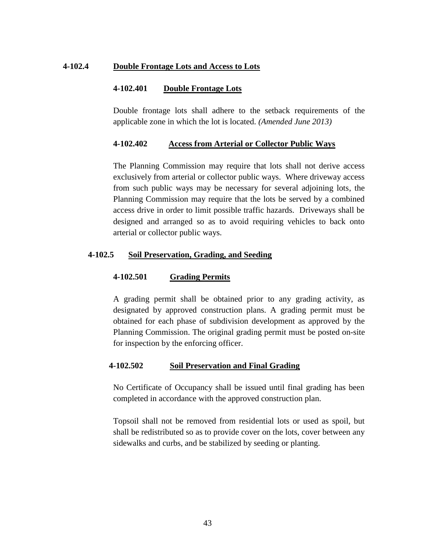#### **4-102.4 Double Frontage Lots and Access to Lots**

#### **4-102.401 Double Frontage Lots**

Double frontage lots shall adhere to the setback requirements of the applicable zone in which the lot is located. *(Amended June 2013)*

#### **4-102.402 Access from Arterial or Collector Public Ways**

The Planning Commission may require that lots shall not derive access exclusively from arterial or collector public ways. Where driveway access from such public ways may be necessary for several adjoining lots, the Planning Commission may require that the lots be served by a combined access drive in order to limit possible traffic hazards. Driveways shall be designed and arranged so as to avoid requiring vehicles to back onto arterial or collector public ways.

#### **4-102.5 Soil Preservation, Grading, and Seeding**

#### **4-102.501 Grading Permits**

A grading permit shall be obtained prior to any grading activity, as designated by approved construction plans. A grading permit must be obtained for each phase of subdivision development as approved by the Planning Commission. The original grading permit must be posted on-site for inspection by the enforcing officer.

#### **4-102.502 Soil Preservation and Final Grading**

No Certificate of Occupancy shall be issued until final grading has been completed in accordance with the approved construction plan.

Topsoil shall not be removed from residential lots or used as spoil, but shall be redistributed so as to provide cover on the lots, cover between any sidewalks and curbs, and be stabilized by seeding or planting.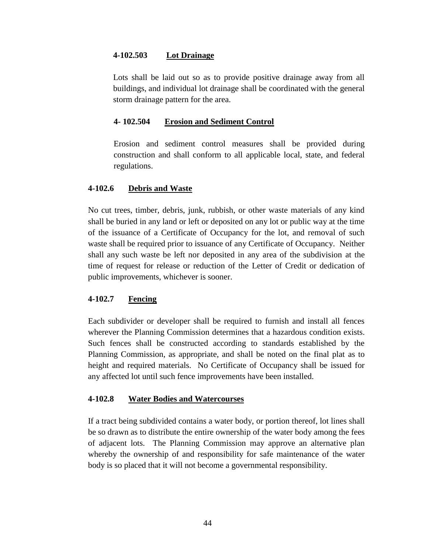## **4-102.503 Lot Drainage**

Lots shall be laid out so as to provide positive drainage away from all buildings, and individual lot drainage shall be coordinated with the general storm drainage pattern for the area.

### **4- 102.504****Erosion and Sediment Control**

Erosion and sediment control measures shall be provided during construction and shall conform to all applicable local, state, and federal regulations.

### **4-102.6 Debris and Waste**

No cut trees, timber, debris, junk, rubbish, or other waste materials of any kind shall be buried in any land or left or deposited on any lot or public way at the time of the issuance of a Certificate of Occupancy for the lot, and removal of such waste shall be required prior to issuance of any Certificate of Occupancy. Neither shall any such waste be left nor deposited in any area of the subdivision at the time of request for release or reduction of the Letter of Credit or dedication of public improvements, whichever is sooner.

## **4-102.7 Fencing**

Each subdivider or developer shall be required to furnish and install all fences wherever the Planning Commission determines that a hazardous condition exists. Such fences shall be constructed according to standards established by the Planning Commission, as appropriate, and shall be noted on the final plat as to height and required materials. No Certificate of Occupancy shall be issued for any affected lot until such fence improvements have been installed.

### **4-102.8 Water Bodies and Watercourses**

If a tract being subdivided contains a water body, or portion thereof, lot lines shall be so drawn as to distribute the entire ownership of the water body among the fees of adjacent lots. The Planning Commission may approve an alternative plan whereby the ownership of and responsibility for safe maintenance of the water body is so placed that it will not become a governmental responsibility.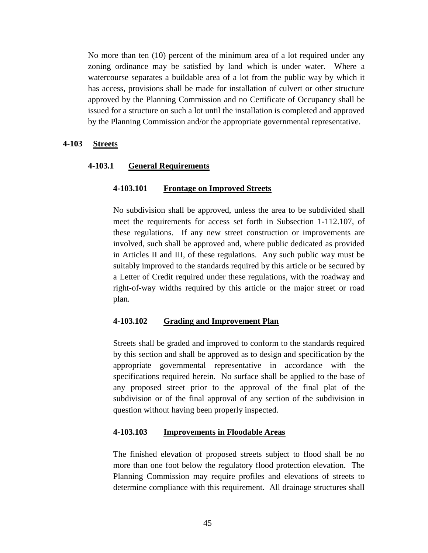No more than ten (10) percent of the minimum area of a lot required under any zoning ordinance may be satisfied by land which is under water. Where a watercourse separates a buildable area of a lot from the public way by which it has access, provisions shall be made for installation of culvert or other structure approved by the Planning Commission and no Certificate of Occupancy shall be issued for a structure on such a lot until the installation is completed and approved by the Planning Commission and/or the appropriate governmental representative.

#### **4-103 Streets**

#### **4-103.1 General Requirements**

#### **4-103.101 Frontage on Improved Streets**

No subdivision shall be approved, unless the area to be subdivided shall meet the requirements for access set forth in Subsection 1-112.107, of these regulations. If any new street construction or improvements are involved, such shall be approved and, where public dedicated as provided in Articles II and III, of these regulations. Any such public way must be suitably improved to the standards required by this article or be secured by a Letter of Credit required under these regulations, with the roadway and right-of-way widths required by this article or the major street or road plan.

#### **4-103.102 Grading and Improvement Plan**

Streets shall be graded and improved to conform to the standards required by this section and shall be approved as to design and specification by the appropriate governmental representative in accordance with the specifications required herein. No surface shall be applied to the base of any proposed street prior to the approval of the final plat of the subdivision or of the final approval of any section of the subdivision in question without having been properly inspected.

#### **4-103.103 Improvements in Floodable Areas**

The finished elevation of proposed streets subject to flood shall be no more than one foot below the regulatory flood protection elevation. The Planning Commission may require profiles and elevations of streets to determine compliance with this requirement. All drainage structures shall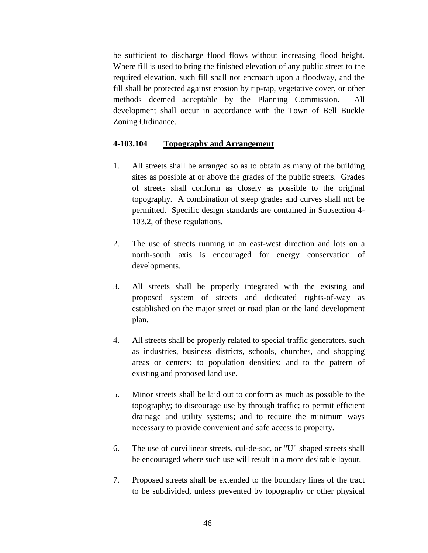be sufficient to discharge flood flows without increasing flood height. Where fill is used to bring the finished elevation of any public street to the required elevation, such fill shall not encroach upon a floodway, and the fill shall be protected against erosion by rip-rap, vegetative cover, or other methods deemed acceptable by the Planning Commission. All development shall occur in accordance with the Town of Bell Buckle Zoning Ordinance.

### **4-103.104 Topography and Arrangement**

- 1. All streets shall be arranged so as to obtain as many of the building sites as possible at or above the grades of the public streets. Grades of streets shall conform as closely as possible to the original topography. A combination of steep grades and curves shall not be permitted. Specific design standards are contained in Subsection 4- 103.2, of these regulations.
- 2. The use of streets running in an east-west direction and lots on a north-south axis is encouraged for energy conservation of developments.
- 3. All streets shall be properly integrated with the existing and proposed system of streets and dedicated rights-of-way as established on the major street or road plan or the land development plan.
- 4. All streets shall be properly related to special traffic generators, such as industries, business districts, schools, churches, and shopping areas or centers; to population densities; and to the pattern of existing and proposed land use.
- 5. Minor streets shall be laid out to conform as much as possible to the topography; to discourage use by through traffic; to permit efficient drainage and utility systems; and to require the minimum ways necessary to provide convenient and safe access to property.
- 6. The use of curvilinear streets, cul-de-sac, or "U" shaped streets shall be encouraged where such use will result in a more desirable layout.
- 7. Proposed streets shall be extended to the boundary lines of the tract to be subdivided, unless prevented by topography or other physical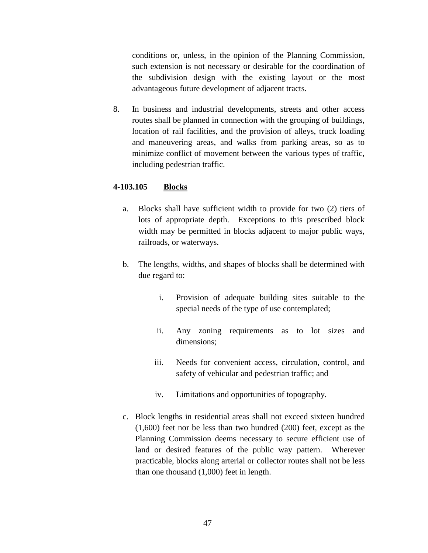conditions or, unless, in the opinion of the Planning Commission, such extension is not necessary or desirable for the coordination of the subdivision design with the existing layout or the most advantageous future development of adjacent tracts.

8. In business and industrial developments, streets and other access routes shall be planned in connection with the grouping of buildings, location of rail facilities, and the provision of alleys, truck loading and maneuvering areas, and walks from parking areas, so as to minimize conflict of movement between the various types of traffic, including pedestrian traffic.

## **4-103.105 Blocks**

- a. Blocks shall have sufficient width to provide for two (2) tiers of lots of appropriate depth. Exceptions to this prescribed block width may be permitted in blocks adjacent to major public ways, railroads, or waterways.
- b. The lengths, widths, and shapes of blocks shall be determined with due regard to:
	- i. Provision of adequate building sites suitable to the special needs of the type of use contemplated;
	- ii. Any zoning requirements as to lot sizes and dimensions;
	- iii. Needs for convenient access, circulation, control, and safety of vehicular and pedestrian traffic; and
	- iv. Limitations and opportunities of topography.
- c. Block lengths in residential areas shall not exceed sixteen hundred (1,600) feet nor be less than two hundred (200) feet, except as the Planning Commission deems necessary to secure efficient use of land or desired features of the public way pattern. Wherever practicable, blocks along arterial or collector routes shall not be less than one thousand (1,000) feet in length.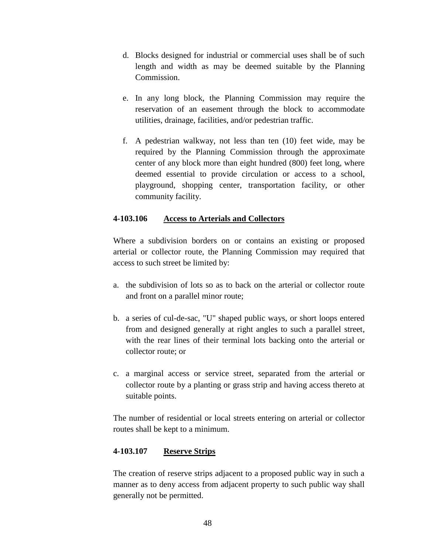- d. Blocks designed for industrial or commercial uses shall be of such length and width as may be deemed suitable by the Planning Commission.
- e. In any long block, the Planning Commission may require the reservation of an easement through the block to accommodate utilities, drainage, facilities, and/or pedestrian traffic.
- f. A pedestrian walkway, not less than ten (10) feet wide, may be required by the Planning Commission through the approximate center of any block more than eight hundred (800) feet long, where deemed essential to provide circulation or access to a school, playground, shopping center, transportation facility, or other community facility.

### **4-103.106 Access to Arterials and Collectors**

Where a subdivision borders on or contains an existing or proposed arterial or collector route, the Planning Commission may required that access to such street be limited by:

- a. the subdivision of lots so as to back on the arterial or collector route and front on a parallel minor route;
- b. a series of cul-de-sac, "U" shaped public ways, or short loops entered from and designed generally at right angles to such a parallel street, with the rear lines of their terminal lots backing onto the arterial or collector route; or
- c. a marginal access or service street, separated from the arterial or collector route by a planting or grass strip and having access thereto at suitable points.

The number of residential or local streets entering on arterial or collector routes shall be kept to a minimum.

### **4-103.107 Reserve Strips**

The creation of reserve strips adjacent to a proposed public way in such a manner as to deny access from adjacent property to such public way shall generally not be permitted.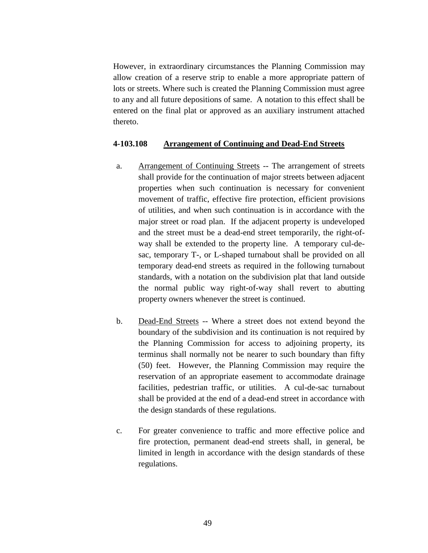However, in extraordinary circumstances the Planning Commission may allow creation of a reserve strip to enable a more appropriate pattern of lots or streets. Where such is created the Planning Commission must agree to any and all future depositions of same. A notation to this effect shall be entered on the final plat or approved as an auxiliary instrument attached thereto.

#### **4-103.108 Arrangement of Continuing and Dead-End Streets**

- a. Arrangement of Continuing Streets -- The arrangement of streets shall provide for the continuation of major streets between adjacent properties when such continuation is necessary for convenient movement of traffic, effective fire protection, efficient provisions of utilities, and when such continuation is in accordance with the major street or road plan. If the adjacent property is undeveloped and the street must be a dead-end street temporarily, the right-ofway shall be extended to the property line. A temporary cul-desac, temporary T-, or L-shaped turnabout shall be provided on all temporary dead-end streets as required in the following turnabout standards, with a notation on the subdivision plat that land outside the normal public way right-of-way shall revert to abutting property owners whenever the street is continued.
- b. Dead-End Streets -- Where a street does not extend beyond the boundary of the subdivision and its continuation is not required by the Planning Commission for access to adjoining property, its terminus shall normally not be nearer to such boundary than fifty (50) feet. However, the Planning Commission may require the reservation of an appropriate easement to accommodate drainage facilities, pedestrian traffic, or utilities. A cul-de-sac turnabout shall be provided at the end of a dead-end street in accordance with the design standards of these regulations.
- c. For greater convenience to traffic and more effective police and fire protection, permanent dead-end streets shall, in general, be limited in length in accordance with the design standards of these regulations.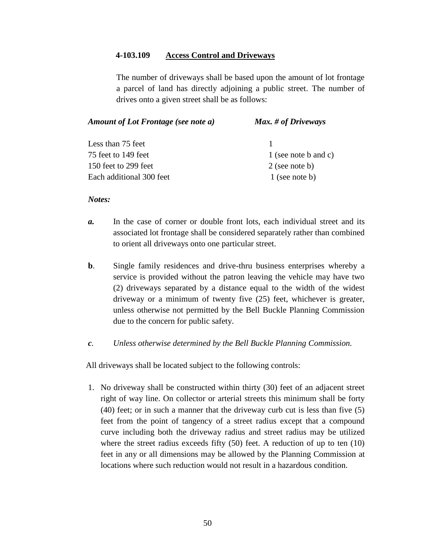#### **4-103.109 Access Control and Driveways**

The number of driveways shall be based upon the amount of lot frontage a parcel of land has directly adjoining a public street. The number of drives onto a given street shall be as follows:

| Amount of Lot Frontage (see note a) | Max. # of Driveways  |
|-------------------------------------|----------------------|
| Less than 75 feet                   |                      |
| 75 feet to 149 feet                 | 1 (see note b and c) |
| 150 feet to 299 feet                | $2$ (see note b)     |
| Each additional 300 feet            | $1$ (see note b)     |

#### *Notes:*

- *a.* In the case of corner or double front lots, each individual street and its associated lot frontage shall be considered separately rather than combined to orient all driveways onto one particular street.
- **b.** Single family residences and drive-thru business enterprises whereby a service is provided without the patron leaving the vehicle may have two (2) driveways separated by a distance equal to the width of the widest driveway or a minimum of twenty five (25) feet, whichever is greater, unless otherwise not permitted by the Bell Buckle Planning Commission due to the concern for public safety.
- *c. Unless otherwise determined by the Bell Buckle Planning Commission.*

All driveways shall be located subject to the following controls:

1. No driveway shall be constructed within thirty (30) feet of an adjacent street right of way line. On collector or arterial streets this minimum shall be forty (40) feet; or in such a manner that the driveway curb cut is less than five (5) feet from the point of tangency of a street radius except that a compound curve including both the driveway radius and street radius may be utilized where the street radius exceeds fifty (50) feet. A reduction of up to ten (10) feet in any or all dimensions may be allowed by the Planning Commission at locations where such reduction would not result in a hazardous condition.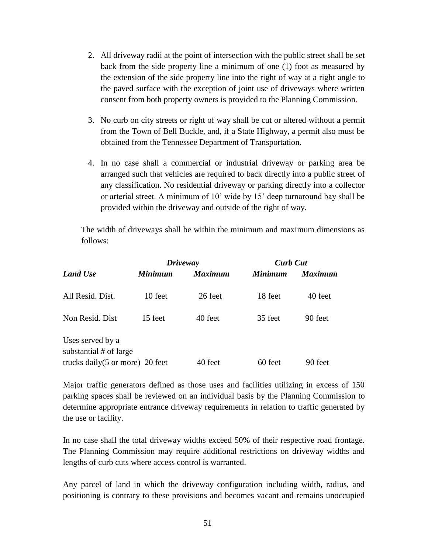- 2. All driveway radii at the point of intersection with the public street shall be set back from the side property line a minimum of one (1) foot as measured by the extension of the side property line into the right of way at a right angle to the paved surface with the exception of joint use of driveways where written consent from both property owners is provided to the Planning Commission.
- 3. No curb on city streets or right of way shall be cut or altered without a permit from the Town of Bell Buckle, and, if a State Highway, a permit also must be obtained from the Tennessee Department of Transportation.
- 4. In no case shall a commercial or industrial driveway or parking area be arranged such that vehicles are required to back directly into a public street of any classification. No residential driveway or parking directly into a collector or arterial street. A minimum of 10' wide by 15' deep turnaround bay shall be provided within the driveway and outside of the right of way.

The width of driveways shall be within the minimum and maximum dimensions as follows:

| <b>Land Use</b>                            |         | <b>Driveway</b> |                | <b>Curb Cut</b> |  |
|--------------------------------------------|---------|-----------------|----------------|-----------------|--|
|                                            | Minimum | <b>Maximum</b>  | <b>Minimum</b> | <b>Maximum</b>  |  |
| All Resid. Dist.                           | 10 feet | 26 feet         | 18 feet        | 40 feet         |  |
| Non Resid. Dist                            | 15 feet | 40 feet         | 35 feet        | 90 feet         |  |
| Uses served by a<br>substantial # of large |         |                 |                |                 |  |
| trucks daily $(5 \text{ or more})$ 20 feet |         | 40 feet         | 60 feet        | 90 feet         |  |

Major traffic generators defined as those uses and facilities utilizing in excess of 150 parking spaces shall be reviewed on an individual basis by the Planning Commission to determine appropriate entrance driveway requirements in relation to traffic generated by the use or facility.

In no case shall the total driveway widths exceed 50% of their respective road frontage. The Planning Commission may require additional restrictions on driveway widths and lengths of curb cuts where access control is warranted.

Any parcel of land in which the driveway configuration including width, radius, and positioning is contrary to these provisions and becomes vacant and remains unoccupied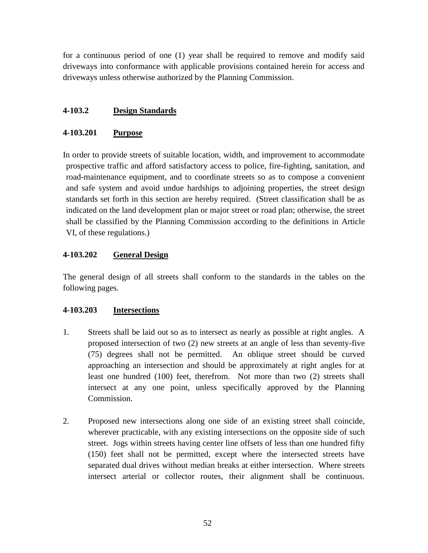for a continuous period of one (1) year shall be required to remove and modify said driveways into conformance with applicable provisions contained herein for access and driveways unless otherwise authorized by the Planning Commission.

## **4-103.2 Design Standards**

## **4-103.201 Purpose**

In order to provide streets of suitable location, width, and improvement to accommodate prospective traffic and afford satisfactory access to police, fire-fighting, sanitation, and road-maintenance equipment, and to coordinate streets so as to compose a convenient and safe system and avoid undue hardships to adjoining properties, the street design standards set forth in this section are hereby required. (Street classification shall be as indicated on the land development plan or major street or road plan; otherwise, the street shall be classified by the Planning Commission according to the definitions in Article VI, of these regulations.)

### **4-103.202 General Design**

The general design of all streets shall conform to the standards in the tables on the following pages.

## **4-103.203 Intersections**

- 1. Streets shall be laid out so as to intersect as nearly as possible at right angles. A proposed intersection of two (2) new streets at an angle of less than seventy-five (75) degrees shall not be permitted. An oblique street should be curved approaching an intersection and should be approximately at right angles for at least one hundred (100) feet, therefrom. Not more than two (2) streets shall intersect at any one point, unless specifically approved by the Planning Commission.
- 2. Proposed new intersections along one side of an existing street shall coincide, wherever practicable, with any existing intersections on the opposite side of such street. Jogs within streets having center line offsets of less than one hundred fifty (150) feet shall not be permitted, except where the intersected streets have separated dual drives without median breaks at either intersection. Where streets intersect arterial or collector routes, their alignment shall be continuous.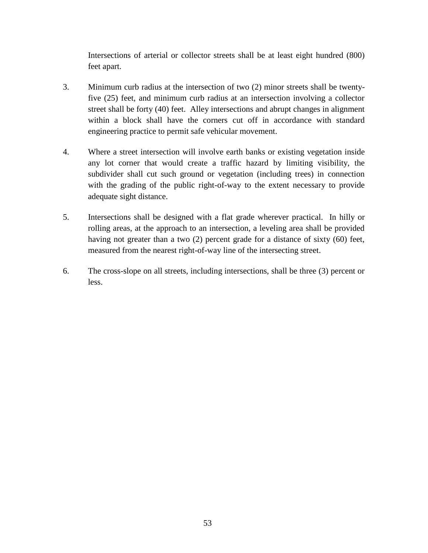Intersections of arterial or collector streets shall be at least eight hundred (800) feet apart.

- 3. Minimum curb radius at the intersection of two (2) minor streets shall be twentyfive (25) feet, and minimum curb radius at an intersection involving a collector street shall be forty (40) feet. Alley intersections and abrupt changes in alignment within a block shall have the corners cut off in accordance with standard engineering practice to permit safe vehicular movement.
- 4. Where a street intersection will involve earth banks or existing vegetation inside any lot corner that would create a traffic hazard by limiting visibility, the subdivider shall cut such ground or vegetation (including trees) in connection with the grading of the public right-of-way to the extent necessary to provide adequate sight distance.
- 5. Intersections shall be designed with a flat grade wherever practical. In hilly or rolling areas, at the approach to an intersection, a leveling area shall be provided having not greater than a two (2) percent grade for a distance of sixty (60) feet, measured from the nearest right-of-way line of the intersecting street.
- 6. The cross-slope on all streets, including intersections, shall be three (3) percent or less.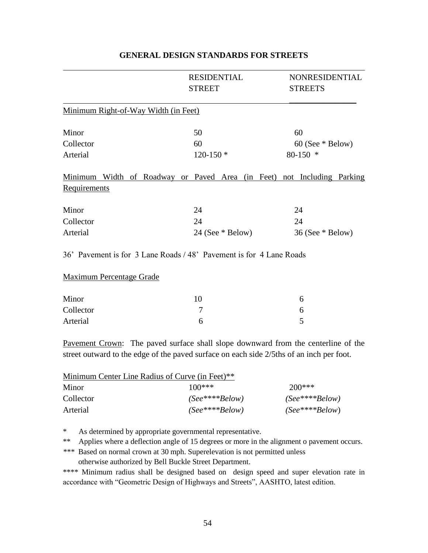|                                      | <b>RESIDENTIAL</b><br><b>STREET</b>                                    | NONRESIDENTIAL<br><b>STREETS</b> |
|--------------------------------------|------------------------------------------------------------------------|----------------------------------|
| Minimum Right-of-Way Width (in Feet) |                                                                        |                                  |
| Minor                                | 50                                                                     | 60                               |
| Collector                            | 60                                                                     | $60$ (See $*$ Below)             |
| Arterial                             | $120-150*$                                                             | $80-150$ *                       |
|                                      | Minimum Width of Roadway or Paved Area (in Feet) not Including Parking |                                  |
| Requirements                         |                                                                        |                                  |
| Minor                                | 24                                                                     | 24                               |
| Collector                            | 24                                                                     | 24                               |
| Arterial                             | $24$ (See $*$ Below)                                                   | $36$ (See $*$ Below)             |
|                                      | 36' Pavement is for 3 Lane Roads / 48' Pavement is for 4 Lane Roads    |                                  |
| <b>Maximum Percentage Grade</b>      |                                                                        |                                  |
| Minor                                | $10^{-1}$                                                              | 6                                |

### **GENERAL DESIGN STANDARDS FOR STREETS**

| Minor     |  |
|-----------|--|
| Collector |  |
| Arterial  |  |

Pavement Crown: The paved surface shall slope downward from the centerline of the street outward to the edge of the paved surface on each side 2/5ths of an inch per foot.

| Minimum Center Line Radius of Curve (in Feet)** |                      |                      |  |
|-------------------------------------------------|----------------------|----------------------|--|
| Minor                                           | $100***$             | $200***$             |  |
| Collector                                       | $(See$ **** $Below)$ | $(See$ **** $Below)$ |  |
| Arterial                                        | $(See$ **** $Below)$ | $(See$ **** $Below)$ |  |

\* As determined by appropriate governmental representative.

\*\* Applies where a deflection angle of 15 degrees or more in the alignment o pavement occurs.

*\*\*\** Based on normal crown at 30 mph. Superelevation is not permitted unless otherwise authorized by Bell Buckle Street Department.

\*\*\*\* Minimum radius shall be designed based on design speed and super elevation rate in accordance with "Geometric Design of Highways and Streets", AASHTO, latest edition.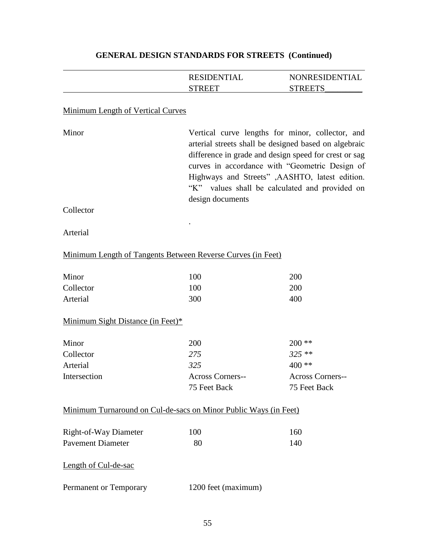|                                                                  | <b>RESIDENTIAL</b><br><b>STREET</b>                                                                                                                                                                                                                                                                                                           | NONRESIDENTIAL<br><b>STREETS</b> |  |
|------------------------------------------------------------------|-----------------------------------------------------------------------------------------------------------------------------------------------------------------------------------------------------------------------------------------------------------------------------------------------------------------------------------------------|----------------------------------|--|
| <b>Minimum Length of Vertical Curves</b>                         |                                                                                                                                                                                                                                                                                                                                               |                                  |  |
| Minor                                                            | Vertical curve lengths for minor, collector, and<br>arterial streets shall be designed based on algebraic<br>difference in grade and design speed for crest or sag<br>curves in accordance with "Geometric Design of<br>Highways and Streets" , AASHTO, latest edition.<br>"K" values shall be calculated and provided on<br>design documents |                                  |  |
| Collector                                                        |                                                                                                                                                                                                                                                                                                                                               |                                  |  |
| Arterial                                                         |                                                                                                                                                                                                                                                                                                                                               |                                  |  |
| Minimum Length of Tangents Between Reverse Curves (in Feet)      |                                                                                                                                                                                                                                                                                                                                               |                                  |  |
| Minor                                                            | 100                                                                                                                                                                                                                                                                                                                                           | 200                              |  |
| Collector                                                        | 100                                                                                                                                                                                                                                                                                                                                           | 200                              |  |
| Arterial                                                         | 300                                                                                                                                                                                                                                                                                                                                           | 400                              |  |
| Minimum Sight Distance (in Feet)*                                |                                                                                                                                                                                                                                                                                                                                               |                                  |  |
| Minor                                                            | 200                                                                                                                                                                                                                                                                                                                                           | $200**$                          |  |
| Collector                                                        | 275                                                                                                                                                                                                                                                                                                                                           | $325**$                          |  |
| Arterial                                                         | 325                                                                                                                                                                                                                                                                                                                                           | $400**$                          |  |
| Intersection                                                     | <b>Across Corners--</b>                                                                                                                                                                                                                                                                                                                       | Across Corners--                 |  |
|                                                                  | 75 Feet Back                                                                                                                                                                                                                                                                                                                                  | 75 Feet Back                     |  |
| Minimum Turnaround on Cul-de-sacs on Minor Public Ways (in Feet) |                                                                                                                                                                                                                                                                                                                                               |                                  |  |
| Right-of-Way Diameter                                            | 100                                                                                                                                                                                                                                                                                                                                           | 160                              |  |
| <b>Pavement Diameter</b>                                         | 80                                                                                                                                                                                                                                                                                                                                            | 140                              |  |
| Length of Cul-de-sac                                             |                                                                                                                                                                                                                                                                                                                                               |                                  |  |
| Permanent or Temporary                                           | 1200 feet (maximum)                                                                                                                                                                                                                                                                                                                           |                                  |  |

# **GENERAL DESIGN STANDARDS FOR STREETS (Continued)**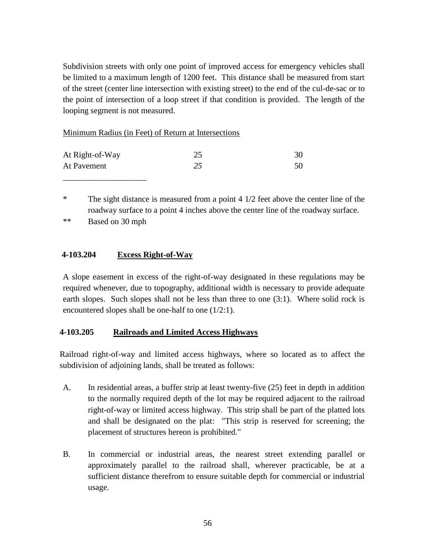Subdivision streets with only one point of improved access for emergency vehicles shall be limited to a maximum length of 1200 feet. This distance shall be measured from start of the street (center line intersection with existing street) to the end of the cul-de-sac or to the point of intersection of a loop street if that condition is provided. The length of the looping segment is not measured.

### Minimum Radius (in Feet) of Return at Intersections

| At Right-of-Way | 30 |
|-----------------|----|
| At Pavement     | 50 |

\* The sight distance is measured from a point 4 1/2 feet above the center line of the roadway surface to a point 4 inches above the center line of the roadway surface.

\*\* Based on 30 mph

\_\_\_\_\_\_\_\_\_\_\_\_\_\_\_\_\_\_\_\_

## **4-103.204 Excess Right-of-Way**

A slope easement in excess of the right-of-way designated in these regulations may be required whenever, due to topography, additional width is necessary to provide adequate earth slopes. Such slopes shall not be less than three to one (3:1). Where solid rock is encountered slopes shall be one-half to one (1/2:1).

## **4-103.205 Railroads and Limited Access Highways**

Railroad right-of-way and limited access highways, where so located as to affect the subdivision of adjoining lands, shall be treated as follows:

- A. In residential areas, a buffer strip at least twenty-five (25) feet in depth in addition to the normally required depth of the lot may be required adjacent to the railroad right-of-way or limited access highway. This strip shall be part of the platted lots and shall be designated on the plat: "This strip is reserved for screening; the placement of structures hereon is prohibited."
- B. In commercial or industrial areas, the nearest street extending parallel or approximately parallel to the railroad shall, wherever practicable, be at a sufficient distance therefrom to ensure suitable depth for commercial or industrial usage.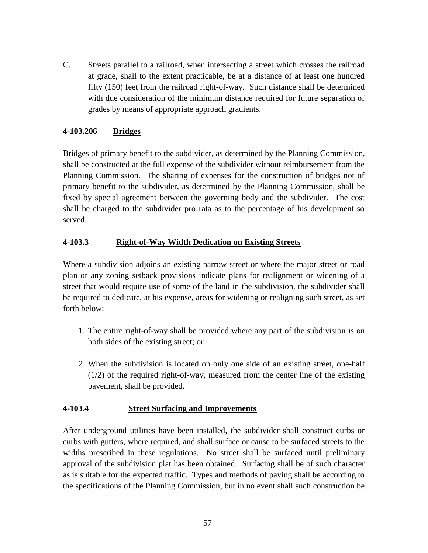C. Streets parallel to a railroad, when intersecting a street which crosses the railroad at grade, shall to the extent practicable, be at a distance of at least one hundred fifty (150) feet from the railroad right-of-way. Such distance shall be determined with due consideration of the minimum distance required for future separation of grades by means of appropriate approach gradients.

## **4-103.206 Bridges**

Bridges of primary benefit to the subdivider, as determined by the Planning Commission, shall be constructed at the full expense of the subdivider without reimbursement from the Planning Commission. The sharing of expenses for the construction of bridges not of primary benefit to the subdivider, as determined by the Planning Commission, shall be fixed by special agreement between the governing body and the subdivider. The cost shall be charged to the subdivider pro rata as to the percentage of his development so served.

## **4-103.3 Right-of-Way Width Dedication on Existing Streets**

Where a subdivision adjoins an existing narrow street or where the major street or road plan or any zoning setback provisions indicate plans for realignment or widening of a street that would require use of some of the land in the subdivision, the subdivider shall be required to dedicate, at his expense, areas for widening or realigning such street, as set forth below:

- 1. The entire right-of-way shall be provided where any part of the subdivision is on both sides of the existing street; or
- 2. When the subdivision is located on only one side of an existing street, one-half (1/2) of the required right-of-way, measured from the center line of the existing pavement, shall be provided.

## **4-103.4 Street Surfacing and Improvements**

After underground utilities have been installed, the subdivider shall construct curbs or curbs with gutters, where required, and shall surface or cause to be surfaced streets to the widths prescribed in these regulations. No street shall be surfaced until preliminary approval of the subdivision plat has been obtained. Surfacing shall be of such character as is suitable for the expected traffic. Types and methods of paving shall be according to the specifications of the Planning Commission, but in no event shall such construction be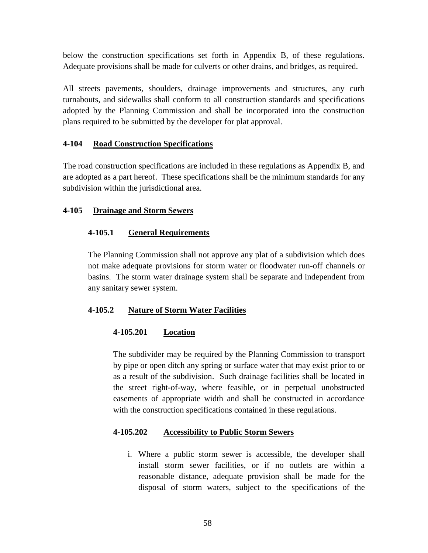below the construction specifications set forth in Appendix B, of these regulations. Adequate provisions shall be made for culverts or other drains, and bridges, as required.

All streets pavements, shoulders, drainage improvements and structures, any curb turnabouts, and sidewalks shall conform to all construction standards and specifications adopted by the Planning Commission and shall be incorporated into the construction plans required to be submitted by the developer for plat approval.

## **4-104 Road Construction Specifications**

The road construction specifications are included in these regulations as Appendix B, and are adopted as a part hereof. These specifications shall be the minimum standards for any subdivision within the jurisdictional area.

## **4-105 Drainage and Storm Sewers**

## **4-105.1 General Requirements**

The Planning Commission shall not approve any plat of a subdivision which does not make adequate provisions for storm water or floodwater run-off channels or basins. The storm water drainage system shall be separate and independent from any sanitary sewer system.

## **4-105.2 Nature of Storm Water Facilities**

## **4-105.201 Location**

The subdivider may be required by the Planning Commission to transport by pipe or open ditch any spring or surface water that may exist prior to or as a result of the subdivision. Such drainage facilities shall be located in the street right-of-way, where feasible, or in perpetual unobstructed easements of appropriate width and shall be constructed in accordance with the construction specifications contained in these regulations.

## **4-105.202 Accessibility to Public Storm Sewers**

i. Where a public storm sewer is accessible, the developer shall install storm sewer facilities, or if no outlets are within a reasonable distance, adequate provision shall be made for the disposal of storm waters, subject to the specifications of the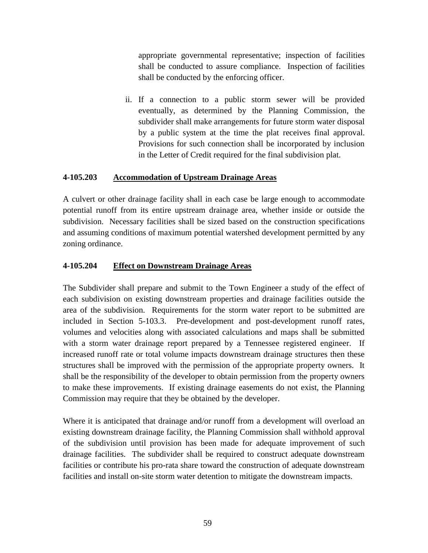appropriate governmental representative; inspection of facilities shall be conducted to assure compliance. Inspection of facilities shall be conducted by the enforcing officer.

ii. If a connection to a public storm sewer will be provided eventually, as determined by the Planning Commission, the subdivider shall make arrangements for future storm water disposal by a public system at the time the plat receives final approval. Provisions for such connection shall be incorporated by inclusion in the Letter of Credit required for the final subdivision plat.

### **4-105.203 Accommodation of Upstream Drainage Areas**

A culvert or other drainage facility shall in each case be large enough to accommodate potential runoff from its entire upstream drainage area, whether inside or outside the subdivision. Necessary facilities shall be sized based on the construction specifications and assuming conditions of maximum potential watershed development permitted by any zoning ordinance.

### **4-105.204 Effect on Downstream Drainage Areas**

The Subdivider shall prepare and submit to the Town Engineer a study of the effect of each subdivision on existing downstream properties and drainage facilities outside the area of the subdivision. Requirements for the storm water report to be submitted are included in Section 5-103.3. Pre-development and post-development runoff rates, volumes and velocities along with associated calculations and maps shall be submitted with a storm water drainage report prepared by a Tennessee registered engineer. If increased runoff rate or total volume impacts downstream drainage structures then these structures shall be improved with the permission of the appropriate property owners. It shall be the responsibility of the developer to obtain permission from the property owners to make these improvements. If existing drainage easements do not exist, the Planning Commission may require that they be obtained by the developer.

Where it is anticipated that drainage and/or runoff from a development will overload an existing downstream drainage facility, the Planning Commission shall withhold approval of the subdivision until provision has been made for adequate improvement of such drainage facilities. The subdivider shall be required to construct adequate downstream facilities or contribute his pro-rata share toward the construction of adequate downstream facilities and install on-site storm water detention to mitigate the downstream impacts.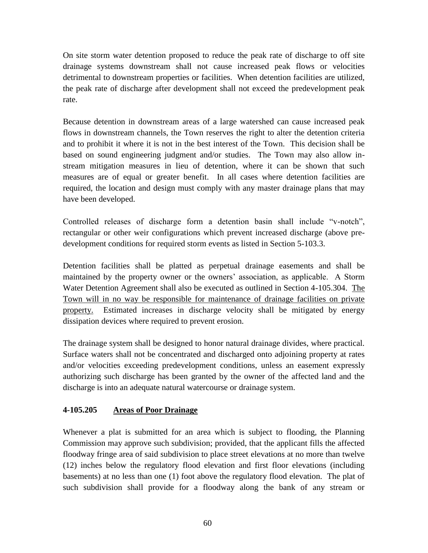On site storm water detention proposed to reduce the peak rate of discharge to off site drainage systems downstream shall not cause increased peak flows or velocities detrimental to downstream properties or facilities. When detention facilities are utilized, the peak rate of discharge after development shall not exceed the predevelopment peak rate.

Because detention in downstream areas of a large watershed can cause increased peak flows in downstream channels, the Town reserves the right to alter the detention criteria and to prohibit it where it is not in the best interest of the Town. This decision shall be based on sound engineering judgment and/or studies. The Town may also allow instream mitigation measures in lieu of detention, where it can be shown that such measures are of equal or greater benefit. In all cases where detention facilities are required, the location and design must comply with any master drainage plans that may have been developed.

Controlled releases of discharge form a detention basin shall include "v-notch", rectangular or other weir configurations which prevent increased discharge (above predevelopment conditions for required storm events as listed in Section 5-103.3.

Detention facilities shall be platted as perpetual drainage easements and shall be maintained by the property owner or the owners' association, as applicable. A Storm Water Detention Agreement shall also be executed as outlined in Section 4-105.304. The Town will in no way be responsible for maintenance of drainage facilities on private property. Estimated increases in discharge velocity shall be mitigated by energy dissipation devices where required to prevent erosion.

The drainage system shall be designed to honor natural drainage divides, where practical. Surface waters shall not be concentrated and discharged onto adjoining property at rates and/or velocities exceeding predevelopment conditions, unless an easement expressly authorizing such discharge has been granted by the owner of the affected land and the discharge is into an adequate natural watercourse or drainage system.

## **4-105.205 Areas of Poor Drainage**

Whenever a plat is submitted for an area which is subject to flooding, the Planning Commission may approve such subdivision; provided, that the applicant fills the affected floodway fringe area of said subdivision to place street elevations at no more than twelve (12) inches below the regulatory flood elevation and first floor elevations (including basements) at no less than one (1) foot above the regulatory flood elevation. The plat of such subdivision shall provide for a floodway along the bank of any stream or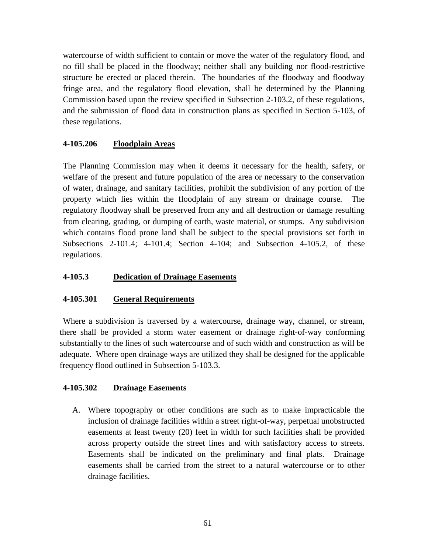watercourse of width sufficient to contain or move the water of the regulatory flood, and no fill shall be placed in the floodway; neither shall any building nor flood-restrictive structure be erected or placed therein. The boundaries of the floodway and floodway fringe area, and the regulatory flood elevation, shall be determined by the Planning Commission based upon the review specified in Subsection 2-103.2, of these regulations, and the submission of flood data in construction plans as specified in Section 5-103, of these regulations.

## **4-105.206 Floodplain Areas**

The Planning Commission may when it deems it necessary for the health, safety, or welfare of the present and future population of the area or necessary to the conservation of water, drainage, and sanitary facilities, prohibit the subdivision of any portion of the property which lies within the floodplain of any stream or drainage course. The regulatory floodway shall be preserved from any and all destruction or damage resulting from clearing, grading, or dumping of earth, waste material, or stumps. Any subdivision which contains flood prone land shall be subject to the special provisions set forth in Subsections 2-101.4; 4-101.4; Section 4-104; and Subsection 4-105.2, of these regulations.

## **4-105.3 Dedication of Drainage Easements**

## **4-105.301 General Requirements**

Where a subdivision is traversed by a watercourse, drainage way, channel, or stream, there shall be provided a storm water easement or drainage right-of-way conforming substantially to the lines of such watercourse and of such width and construction as will be adequate. Where open drainage ways are utilized they shall be designed for the applicable frequency flood outlined in Subsection 5-103.3.

## **4-105.302 Drainage Easements**

A. Where topography or other conditions are such as to make impracticable the inclusion of drainage facilities within a street right-of-way, perpetual unobstructed easements at least twenty (20) feet in width for such facilities shall be provided across property outside the street lines and with satisfactory access to streets. Easements shall be indicated on the preliminary and final plats. Drainage easements shall be carried from the street to a natural watercourse or to other drainage facilities.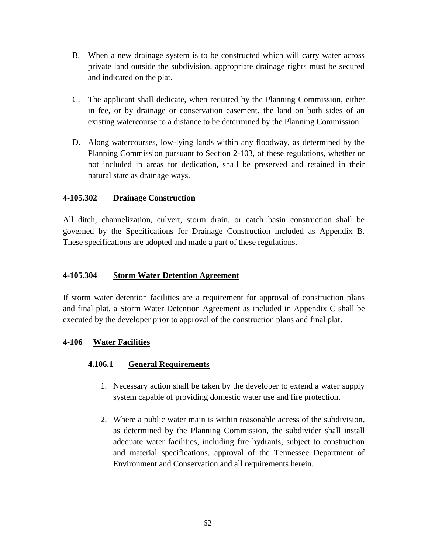- B. When a new drainage system is to be constructed which will carry water across private land outside the subdivision, appropriate drainage rights must be secured and indicated on the plat.
- C. The applicant shall dedicate, when required by the Planning Commission, either in fee, or by drainage or conservation easement, the land on both sides of an existing watercourse to a distance to be determined by the Planning Commission.
- D. Along watercourses, low-lying lands within any floodway, as determined by the Planning Commission pursuant to Section 2-103, of these regulations, whether or not included in areas for dedication, shall be preserved and retained in their natural state as drainage ways.

## **4-105.302 Drainage Construction**

All ditch, channelization, culvert, storm drain, or catch basin construction shall be governed by the Specifications for Drainage Construction included as Appendix B. These specifications are adopted and made a part of these regulations.

### **4-105.304 Storm Water Detention Agreement**

If storm water detention facilities are a requirement for approval of construction plans and final plat, a Storm Water Detention Agreement as included in Appendix C shall be executed by the developer prior to approval of the construction plans and final plat.

### **4-106 Water Facilities**

## **4.106.1 General Requirements**

- 1. Necessary action shall be taken by the developer to extend a water supply system capable of providing domestic water use and fire protection.
- 2. Where a public water main is within reasonable access of the subdivision, as determined by the Planning Commission, the subdivider shall install adequate water facilities, including fire hydrants, subject to construction and material specifications, approval of the Tennessee Department of Environment and Conservation and all requirements herein.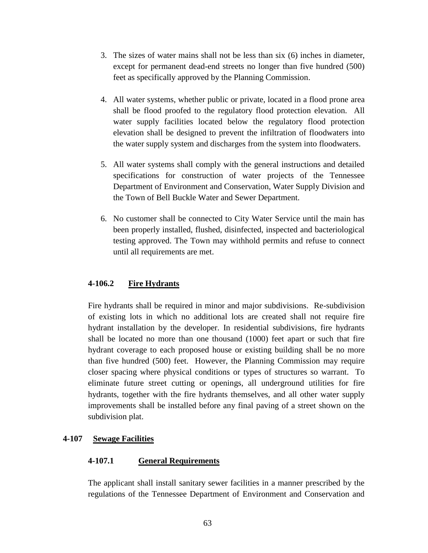- 3. The sizes of water mains shall not be less than six (6) inches in diameter, except for permanent dead-end streets no longer than five hundred (500) feet as specifically approved by the Planning Commission.
- 4. All water systems, whether public or private, located in a flood prone area shall be flood proofed to the regulatory flood protection elevation. All water supply facilities located below the regulatory flood protection elevation shall be designed to prevent the infiltration of floodwaters into the water supply system and discharges from the system into floodwaters.
- 5. All water systems shall comply with the general instructions and detailed specifications for construction of water projects of the Tennessee Department of Environment and Conservation, Water Supply Division and the Town of Bell Buckle Water and Sewer Department.
- 6. No customer shall be connected to City Water Service until the main has been properly installed, flushed, disinfected, inspected and bacteriological testing approved. The Town may withhold permits and refuse to connect until all requirements are met.

## **4-106.2 Fire Hydrants**

Fire hydrants shall be required in minor and major subdivisions. Re-subdivision of existing lots in which no additional lots are created shall not require fire hydrant installation by the developer. In residential subdivisions, fire hydrants shall be located no more than one thousand (1000) feet apart or such that fire hydrant coverage to each proposed house or existing building shall be no more than five hundred (500) feet. However, the Planning Commission may require closer spacing where physical conditions or types of structures so warrant. To eliminate future street cutting or openings, all underground utilities for fire hydrants, together with the fire hydrants themselves, and all other water supply improvements shall be installed before any final paving of a street shown on the subdivision plat.

## **4-107 Sewage Facilities**

### **4-107.1 General Requirements**

The applicant shall install sanitary sewer facilities in a manner prescribed by the regulations of the Tennessee Department of Environment and Conservation and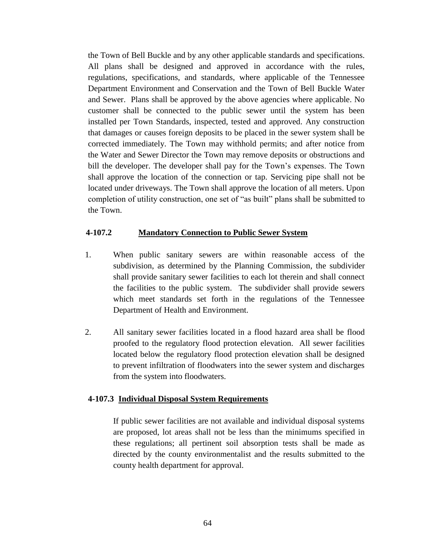the Town of Bell Buckle and by any other applicable standards and specifications. All plans shall be designed and approved in accordance with the rules, regulations, specifications, and standards, where applicable of the Tennessee Department Environment and Conservation and the Town of Bell Buckle Water and Sewer. Plans shall be approved by the above agencies where applicable. No customer shall be connected to the public sewer until the system has been installed per Town Standards, inspected, tested and approved. Any construction that damages or causes foreign deposits to be placed in the sewer system shall be corrected immediately. The Town may withhold permits; and after notice from the Water and Sewer Director the Town may remove deposits or obstructions and bill the developer. The developer shall pay for the Town's expenses. The Town shall approve the location of the connection or tap. Servicing pipe shall not be located under driveways. The Town shall approve the location of all meters. Upon completion of utility construction, one set of "as built" plans shall be submitted to the Town.

### **4-107.2 Mandatory Connection to Public Sewer System**

- 1. When public sanitary sewers are within reasonable access of the subdivision, as determined by the Planning Commission, the subdivider shall provide sanitary sewer facilities to each lot therein and shall connect the facilities to the public system. The subdivider shall provide sewers which meet standards set forth in the regulations of the Tennessee Department of Health and Environment.
- 2. All sanitary sewer facilities located in a flood hazard area shall be flood proofed to the regulatory flood protection elevation. All sewer facilities located below the regulatory flood protection elevation shall be designed to prevent infiltration of floodwaters into the sewer system and discharges from the system into floodwaters.

### **4-107.3 Individual Disposal System Requirements**

If public sewer facilities are not available and individual disposal systems are proposed, lot areas shall not be less than the minimums specified in these regulations; all pertinent soil absorption tests shall be made as directed by the county environmentalist and the results submitted to the county health department for approval.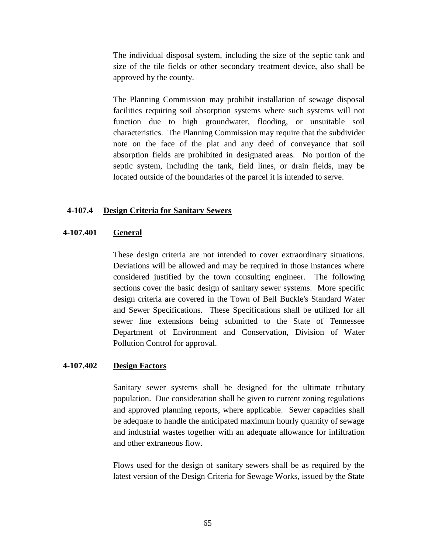The individual disposal system, including the size of the septic tank and size of the tile fields or other secondary treatment device, also shall be approved by the county.

The Planning Commission may prohibit installation of sewage disposal facilities requiring soil absorption systems where such systems will not function due to high groundwater, flooding, or unsuitable soil characteristics. The Planning Commission may require that the subdivider note on the face of the plat and any deed of conveyance that soil absorption fields are prohibited in designated areas. No portion of the septic system, including the tank, field lines, or drain fields, may be located outside of the boundaries of the parcel it is intended to serve.

#### **4-107.4 Design Criteria for Sanitary Sewers**

#### **4-107.401 General**

These design criteria are not intended to cover extraordinary situations. Deviations will be allowed and may be required in those instances where considered justified by the town consulting engineer. The following sections cover the basic design of sanitary sewer systems. More specific design criteria are covered in the Town of Bell Buckle's Standard Water and Sewer Specifications. These Specifications shall be utilized for all sewer line extensions being submitted to the State of Tennessee Department of Environment and Conservation, Division of Water Pollution Control for approval.

#### **4-107.402 Design Factors**

Sanitary sewer systems shall be designed for the ultimate tributary population. Due consideration shall be given to current zoning regulations and approved planning reports, where applicable. Sewer capacities shall be adequate to handle the anticipated maximum hourly quantity of sewage and industrial wastes together with an adequate allowance for infiltration and other extraneous flow.

Flows used for the design of sanitary sewers shall be as required by the latest version of the Design Criteria for Sewage Works, issued by the State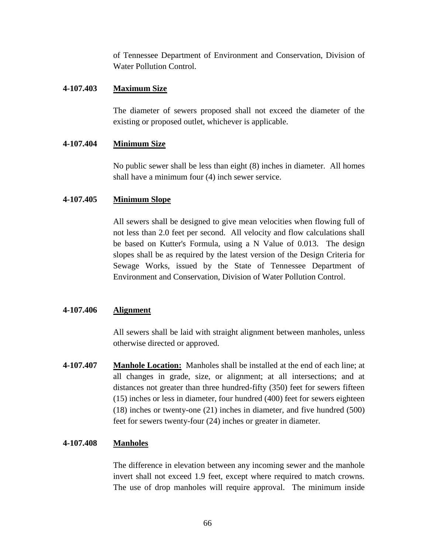of Tennessee Department of Environment and Conservation, Division of Water Pollution Control.

### **4-107.403 Maximum Size**

The diameter of sewers proposed shall not exceed the diameter of the existing or proposed outlet, whichever is applicable.

## **4-107.404 Minimum Size**

No public sewer shall be less than eight (8) inches in diameter. All homes shall have a minimum four (4) inch sewer service.

### **4-107.405 Minimum Slope**

All sewers shall be designed to give mean velocities when flowing full of not less than 2.0 feet per second. All velocity and flow calculations shall be based on Kutter's Formula, using a N Value of 0.013. The design slopes shall be as required by the latest version of the Design Criteria for Sewage Works, issued by the State of Tennessee Department of Environment and Conservation, Division of Water Pollution Control.

### **4-107.406 Alignment**

All sewers shall be laid with straight alignment between manholes, unless otherwise directed or approved.

**4-107.407 Manhole Location:** Manholes shall be installed at the end of each line; at all changes in grade, size, or alignment; at all intersections; and at distances not greater than three hundred-fifty (350) feet for sewers fifteen (15) inches or less in diameter, four hundred (400) feet for sewers eighteen (18) inches or twenty-one (21) inches in diameter, and five hundred (500) feet for sewers twenty-four (24) inches or greater in diameter.

### **4-107.408 Manholes**

The difference in elevation between any incoming sewer and the manhole invert shall not exceed 1.9 feet, except where required to match crowns. The use of drop manholes will require approval. The minimum inside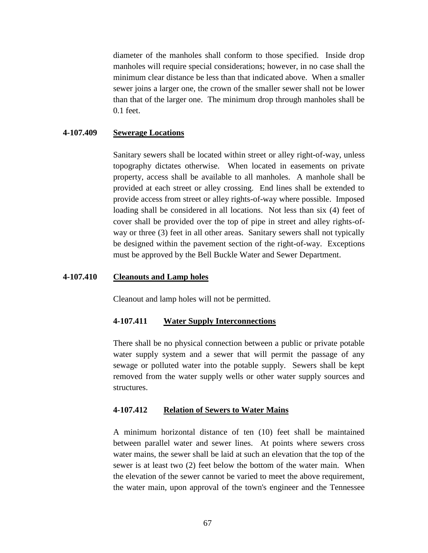diameter of the manholes shall conform to those specified. Inside drop manholes will require special considerations; however, in no case shall the minimum clear distance be less than that indicated above. When a smaller sewer joins a larger one, the crown of the smaller sewer shall not be lower than that of the larger one. The minimum drop through manholes shall be 0.1 feet.

#### **4-107.409 Sewerage Locations**

Sanitary sewers shall be located within street or alley right-of-way, unless topography dictates otherwise. When located in easements on private property, access shall be available to all manholes. A manhole shall be provided at each street or alley crossing. End lines shall be extended to provide access from street or alley rights-of-way where possible. Imposed loading shall be considered in all locations. Not less than six (4) feet of cover shall be provided over the top of pipe in street and alley rights-ofway or three (3) feet in all other areas. Sanitary sewers shall not typically be designed within the pavement section of the right-of-way. Exceptions must be approved by the Bell Buckle Water and Sewer Department.

#### **4-107.410 Cleanouts and Lamp holes**

Cleanout and lamp holes will not be permitted.

#### **4-107.411 Water Supply Interconnections**

There shall be no physical connection between a public or private potable water supply system and a sewer that will permit the passage of any sewage or polluted water into the potable supply. Sewers shall be kept removed from the water supply wells or other water supply sources and structures.

#### **4-107.412 Relation of Sewers to Water Mains**

A minimum horizontal distance of ten (10) feet shall be maintained between parallel water and sewer lines. At points where sewers cross water mains, the sewer shall be laid at such an elevation that the top of the sewer is at least two (2) feet below the bottom of the water main. When the elevation of the sewer cannot be varied to meet the above requirement, the water main, upon approval of the town's engineer and the Tennessee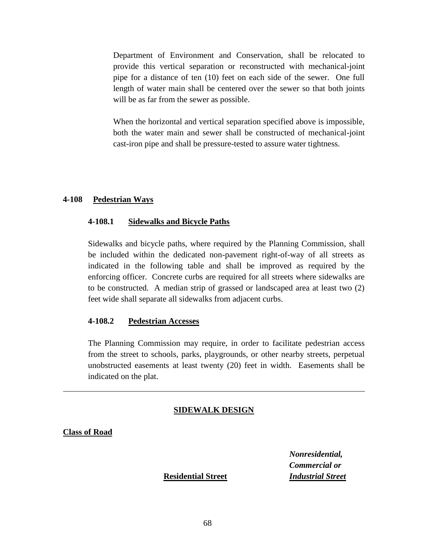Department of Environment and Conservation, shall be relocated to provide this vertical separation or reconstructed with mechanical-joint pipe for a distance of ten (10) feet on each side of the sewer. One full length of water main shall be centered over the sewer so that both joints will be as far from the sewer as possible.

When the horizontal and vertical separation specified above is impossible, both the water main and sewer shall be constructed of mechanical-joint cast-iron pipe and shall be pressure-tested to assure water tightness.

#### **4-108 Pedestrian Ways**

#### **4-108.1 Sidewalks and Bicycle Paths**

Sidewalks and bicycle paths, where required by the Planning Commission, shall be included within the dedicated non-pavement right-of-way of all streets as indicated in the following table and shall be improved as required by the enforcing officer. Concrete curbs are required for all streets where sidewalks are to be constructed. A median strip of grassed or landscaped area at least two (2) feet wide shall separate all sidewalks from adjacent curbs.

#### **4-108.2 Pedestrian Accesses**

The Planning Commission may require, in order to facilitate pedestrian access from the street to schools, parks, playgrounds, or other nearby streets, perpetual unobstructed easements at least twenty (20) feet in width. Easements shall be indicated on the plat.

#### **SIDEWALK DESIGN**

**Class of Road**

*Nonresidential, Commercial or* **Residential Street** *Industrial Street*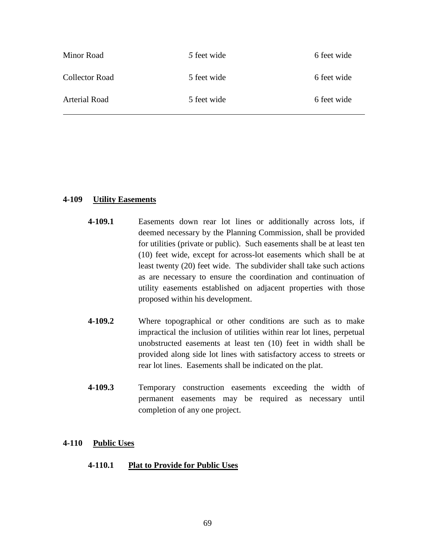| Minor Road           | 5 feet wide | 6 feet wide |
|----------------------|-------------|-------------|
| Collector Road       | 5 feet wide | 6 feet wide |
| <b>Arterial Road</b> | 5 feet wide | 6 feet wide |

### **4-109 Utility Easements**

- **4-109.1** Easements down rear lot lines or additionally across lots, if deemed necessary by the Planning Commission, shall be provided for utilities (private or public). Such easements shall be at least ten (10) feet wide, except for across-lot easements which shall be at least twenty (20) feet wide. The subdivider shall take such actions as are necessary to ensure the coordination and continuation of utility easements established on adjacent properties with those proposed within his development.
- **4-109.2** Where topographical or other conditions are such as to make impractical the inclusion of utilities within rear lot lines, perpetual unobstructed easements at least ten (10) feet in width shall be provided along side lot lines with satisfactory access to streets or rear lot lines. Easements shall be indicated on the plat.
- **4-109.3** Temporary construction easements exceeding the width of permanent easements may be required as necessary until completion of any one project.

### **4-110 Public Uses**

### **4-110.1 Plat to Provide for Public Uses**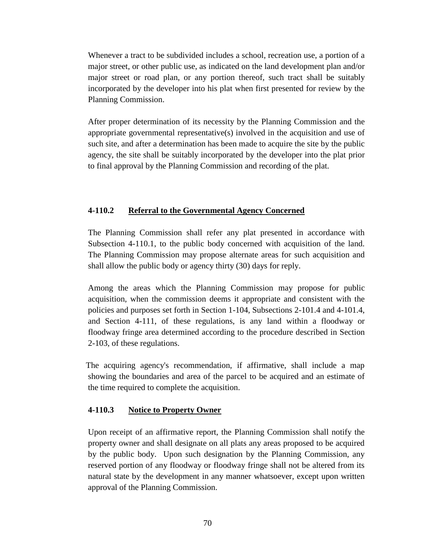Whenever a tract to be subdivided includes a school, recreation use, a portion of a major street, or other public use, as indicated on the land development plan and/or major street or road plan, or any portion thereof, such tract shall be suitably incorporated by the developer into his plat when first presented for review by the Planning Commission.

After proper determination of its necessity by the Planning Commission and the appropriate governmental representative(s) involved in the acquisition and use of such site, and after a determination has been made to acquire the site by the public agency, the site shall be suitably incorporated by the developer into the plat prior to final approval by the Planning Commission and recording of the plat.

## **4-110.2 Referral to the Governmental Agency Concerned**

The Planning Commission shall refer any plat presented in accordance with Subsection 4-110.1, to the public body concerned with acquisition of the land. The Planning Commission may propose alternate areas for such acquisition and shall allow the public body or agency thirty (30) days for reply.

Among the areas which the Planning Commission may propose for public acquisition, when the commission deems it appropriate and consistent with the policies and purposes set forth in Section 1-104, Subsections 2-101.4 and 4-101.4, and Section 4-111, of these regulations, is any land within a floodway or floodway fringe area determined according to the procedure described in Section 2-103, of these regulations.

 The acquiring agency's recommendation, if affirmative, shall include a map showing the boundaries and area of the parcel to be acquired and an estimate of the time required to complete the acquisition.

## **4-110.3 Notice to Property Owner**

Upon receipt of an affirmative report, the Planning Commission shall notify the property owner and shall designate on all plats any areas proposed to be acquired by the public body. Upon such designation by the Planning Commission, any reserved portion of any floodway or floodway fringe shall not be altered from its natural state by the development in any manner whatsoever, except upon written approval of the Planning Commission.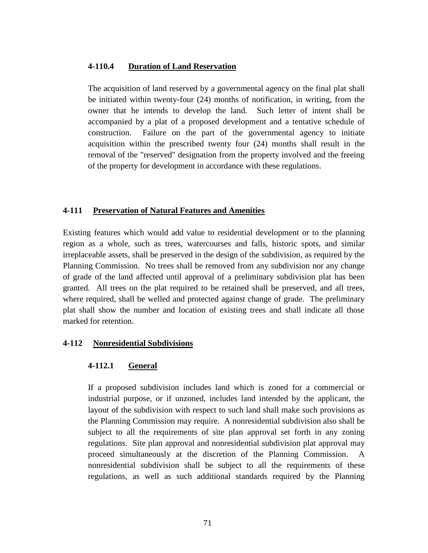### **4-110.4 Duration of Land Reservation**

The acquisition of land reserved by a governmental agency on the final plat shall be initiated within twenty-four (24) months of notification, in writing, from the owner that he intends to develop the land. Such letter of intent shall be accompanied by a plat of a proposed development and a tentative schedule of construction. Failure on the part of the governmental agency to initiate acquisition within the prescribed twenty four (24) months shall result in the removal of the "reserved" designation from the property involved and the freeing of the property for development in accordance with these regulations.

#### **4-111 Preservation of Natural Features and Amenities**

Existing features which would add value to residential development or to the planning region as a whole, such as trees, watercourses and falls, historic spots, and similar irreplaceable assets, shall be preserved in the design of the subdivision, as required by the Planning Commission. No trees shall be removed from any subdivision nor any change of grade of the land affected until approval of a preliminary subdivision plat has been granted. All trees on the plat required to be retained shall be preserved, and all trees, where required, shall be welled and protected against change of grade. The preliminary plat shall show the number and location of existing trees and shall indicate all those marked for retention.

### **4-112 Nonresidential Subdivisions**

#### **4-112.1 General**

If a proposed subdivision includes land which is zoned for a commercial or industrial purpose, or if unzoned, includes land intended by the applicant, the layout of the subdivision with respect to such land shall make such provisions as the Planning Commission may require. A nonresidential subdivision also shall be subject to all the requirements of site plan approval set forth in any zoning regulations. Site plan approval and nonresidential subdivision plat approval may proceed simultaneously at the discretion of the Planning Commission. A nonresidential subdivision shall be subject to all the requirements of these regulations, as well as such additional standards required by the Planning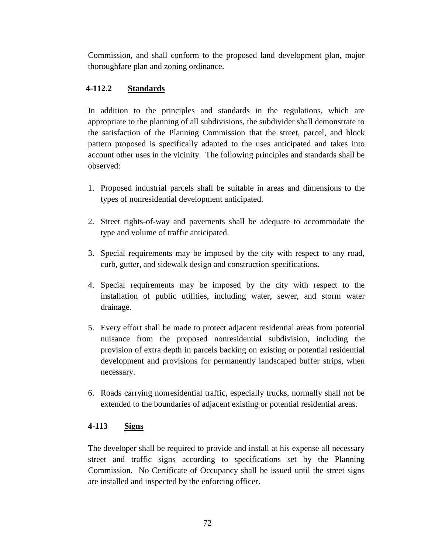Commission, and shall conform to the proposed land development plan, major thoroughfare plan and zoning ordinance.

## **4-112.2 Standards**

In addition to the principles and standards in the regulations, which are appropriate to the planning of all subdivisions, the subdivider shall demonstrate to the satisfaction of the Planning Commission that the street, parcel, and block pattern proposed is specifically adapted to the uses anticipated and takes into account other uses in the vicinity. The following principles and standards shall be observed:

- 1. Proposed industrial parcels shall be suitable in areas and dimensions to the types of nonresidential development anticipated.
- 2. Street rights-of-way and pavements shall be adequate to accommodate the type and volume of traffic anticipated.
- 3. Special requirements may be imposed by the city with respect to any road, curb, gutter, and sidewalk design and construction specifications.
- 4. Special requirements may be imposed by the city with respect to the installation of public utilities, including water, sewer, and storm water drainage.
- 5. Every effort shall be made to protect adjacent residential areas from potential nuisance from the proposed nonresidential subdivision, including the provision of extra depth in parcels backing on existing or potential residential development and provisions for permanently landscaped buffer strips, when necessary.
- 6. Roads carrying nonresidential traffic, especially trucks, normally shall not be extended to the boundaries of adjacent existing or potential residential areas.

## **4-113 Signs**

The developer shall be required to provide and install at his expense all necessary street and traffic signs according to specifications set by the Planning Commission. No Certificate of Occupancy shall be issued until the street signs are installed and inspected by the enforcing officer.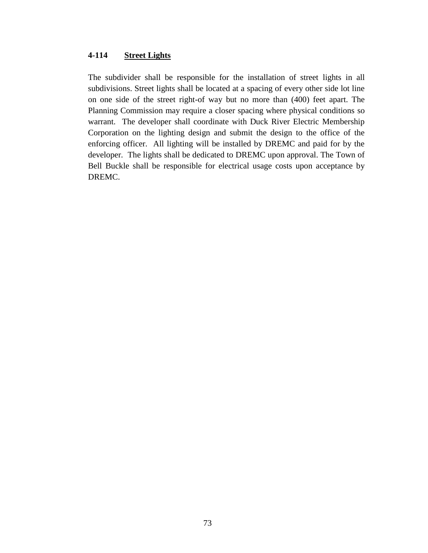## **4-114 Street Lights**

The subdivider shall be responsible for the installation of street lights in all subdivisions. Street lights shall be located at a spacing of every other side lot line on one side of the street right-of way but no more than (400) feet apart. The Planning Commission may require a closer spacing where physical conditions so warrant. The developer shall coordinate with Duck River Electric Membership Corporation on the lighting design and submit the design to the office of the enforcing officer. All lighting will be installed by DREMC and paid for by the developer. The lights shall be dedicated to DREMC upon approval. The Town of Bell Buckle shall be responsible for electrical usage costs upon acceptance by DREMC.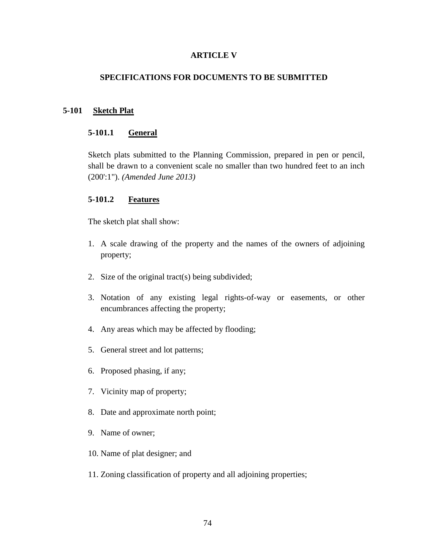## **ARTICLE V**

## **SPECIFICATIONS FOR DOCUMENTS TO BE SUBMITTED**

## **5-101 Sketch Plat**

#### **5-101.1 General**

Sketch plats submitted to the Planning Commission, prepared in pen or pencil, shall be drawn to a convenient scale no smaller than two hundred feet to an inch (200':1"). *(Amended June 2013)*

#### **5-101.2 Features**

The sketch plat shall show:

- 1. A scale drawing of the property and the names of the owners of adjoining property;
- 2. Size of the original tract(s) being subdivided;
- 3. Notation of any existing legal rights-of-way or easements, or other encumbrances affecting the property;
- 4. Any areas which may be affected by flooding;
- 5. General street and lot patterns;
- 6. Proposed phasing, if any;
- 7. Vicinity map of property;
- 8. Date and approximate north point;
- 9. Name of owner;
- 10. Name of plat designer; and
- 11. Zoning classification of property and all adjoining properties;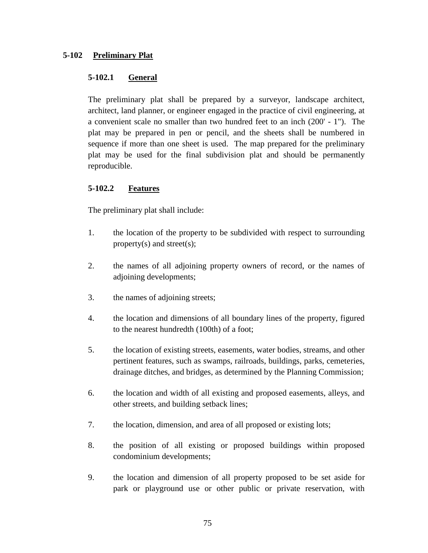## **5-102 Preliminary Plat**

## **5-102.1 General**

The preliminary plat shall be prepared by a surveyor, landscape architect, architect, land planner, or engineer engaged in the practice of civil engineering, at a convenient scale no smaller than two hundred feet to an inch (200' - 1"). The plat may be prepared in pen or pencil, and the sheets shall be numbered in sequence if more than one sheet is used. The map prepared for the preliminary plat may be used for the final subdivision plat and should be permanently reproducible.

## **5-102.2 Features**

The preliminary plat shall include:

- 1. the location of the property to be subdivided with respect to surrounding property(s) and street(s);
- 2. the names of all adjoining property owners of record, or the names of adjoining developments;
- 3. the names of adjoining streets;
- 4. the location and dimensions of all boundary lines of the property, figured to the nearest hundredth (100th) of a foot;
- 5. the location of existing streets, easements, water bodies, streams, and other pertinent features, such as swamps, railroads, buildings, parks, cemeteries, drainage ditches, and bridges, as determined by the Planning Commission;
- 6. the location and width of all existing and proposed easements, alleys, and other streets, and building setback lines;
- 7. the location, dimension, and area of all proposed or existing lots;
- 8. the position of all existing or proposed buildings within proposed condominium developments;
- 9. the location and dimension of all property proposed to be set aside for park or playground use or other public or private reservation, with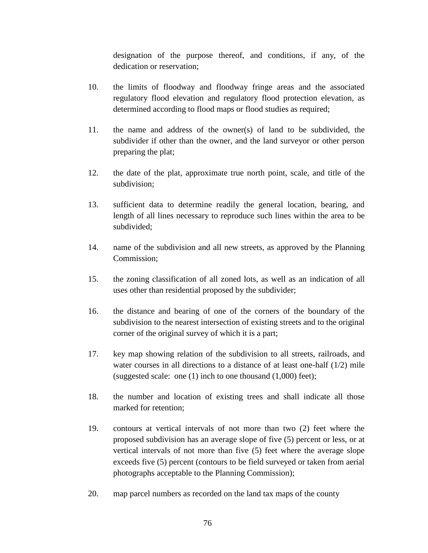designation of the purpose thereof, and conditions, if any, of the dedication or reservation;

- 10. the limits of floodway and floodway fringe areas and the associated regulatory flood elevation and regulatory flood protection elevation, as determined according to flood maps or flood studies as required;
- 11. the name and address of the owner(s) of land to be subdivided, the subdivider if other than the owner, and the land surveyor or other person preparing the plat;
- 12. the date of the plat, approximate true north point, scale, and title of the subdivision;
- 13. sufficient data to determine readily the general location, bearing, and length of all lines necessary to reproduce such lines within the area to be subdivided;
- 14. name of the subdivision and all new streets, as approved by the Planning Commission;
- 15. the zoning classification of all zoned lots, as well as an indication of all uses other than residential proposed by the subdivider;
- 16. the distance and bearing of one of the corners of the boundary of the subdivision to the nearest intersection of existing streets and to the original corner of the original survey of which it is a part;
- 17. key map showing relation of the subdivision to all streets, railroads, and water courses in all directions to a distance of at least one-half (1/2) mile (suggested scale: one (1) inch to one thousand (1,000) feet);
- 18. the number and location of existing trees and shall indicate all those marked for retention;
- 19. contours at vertical intervals of not more than two (2) feet where the proposed subdivision has an average slope of five (5) percent or less, or at vertical intervals of not more than five (5) feet where the average slope exceeds five (5) percent (contours to be field surveyed or taken from aerial photographs acceptable to the Planning Commission);
- 20. map parcel numbers as recorded on the land tax maps of the county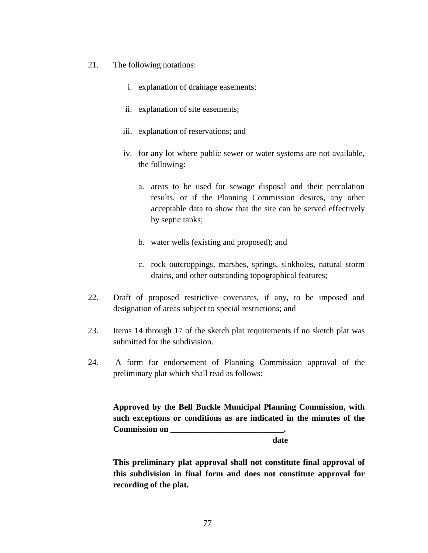- 21. The following notations:
	- i. explanation of drainage easements;
	- ii. explanation of site easements;
	- iii. explanation of reservations; and
	- iv. for any lot where public sewer or water systems are not available, the following:
		- a. areas to be used for sewage disposal and their percolation results, or if the Planning Commission desires, any other acceptable data to show that the site can be served effectively by septic tanks;
		- b. water wells (existing and proposed); and
		- c. rock outcroppings, marshes, springs, sinkholes, natural storm drains, and other outstanding topographical features;
- 22. Draft of proposed restrictive covenants, if any, to be imposed and designation of areas subject to special restrictions; and
- 23. Items 14 through 17 of the sketch plat requirements if no sketch plat was submitted for the subdivision.
- 24. A form for endorsement of Planning Commission approval of the preliminary plat which shall read as follows:

**Approved by the Bell Buckle Municipal Planning Commission, with such exceptions or conditions as are indicated in the minutes of the Commission on \_\_\_\_\_\_\_\_\_\_\_\_\_\_\_\_\_\_\_\_\_\_\_\_\_\_\_.**

 **date**

**This preliminary plat approval shall not constitute final approval of this subdivision in final form and does not constitute approval for recording of the plat.**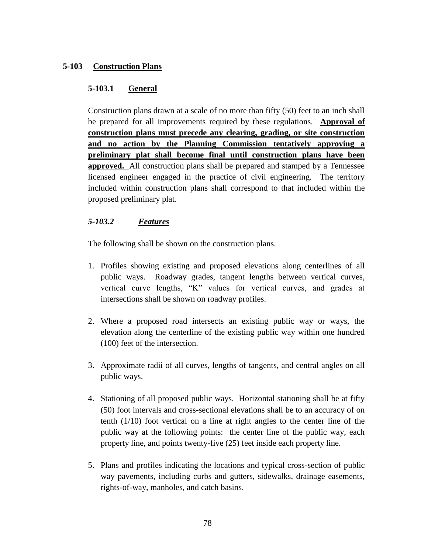## **5-103 Construction Plans**

## **5-103.1 General**

Construction plans drawn at a scale of no more than fifty (50) feet to an inch shall be prepared for all improvements required by these regulations. **Approval of construction plans must precede any clearing, grading, or site construction and no action by the Planning Commission tentatively approving a preliminary plat shall become final until construction plans have been approved.** All construction plans shall be prepared and stamped by a Tennessee licensed engineer engaged in the practice of civil engineering. The territory included within construction plans shall correspond to that included within the proposed preliminary plat.

## *5-103.2 Features*

The following shall be shown on the construction plans.

- 1. Profiles showing existing and proposed elevations along centerlines of all public ways. Roadway grades, tangent lengths between vertical curves, vertical curve lengths, "K" values for vertical curves, and grades at intersections shall be shown on roadway profiles.
- 2. Where a proposed road intersects an existing public way or ways, the elevation along the centerline of the existing public way within one hundred (100) feet of the intersection.
- 3. Approximate radii of all curves, lengths of tangents, and central angles on all public ways.
- 4. Stationing of all proposed public ways. Horizontal stationing shall be at fifty (50) foot intervals and cross-sectional elevations shall be to an accuracy of on tenth (1/10) foot vertical on a line at right angles to the center line of the public way at the following points: the center line of the public way, each property line, and points twenty-five (25) feet inside each property line.
- 5. Plans and profiles indicating the locations and typical cross-section of public way pavements, including curbs and gutters, sidewalks, drainage easements, rights-of-way, manholes, and catch basins.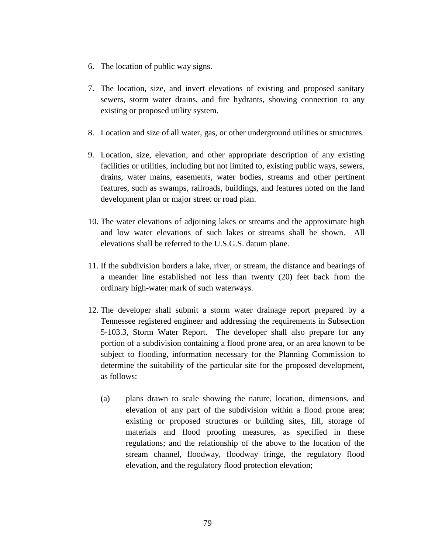- 6. The location of public way signs.
- 7. The location, size, and invert elevations of existing and proposed sanitary sewers, storm water drains, and fire hydrants, showing connection to any existing or proposed utility system.
- 8. Location and size of all water, gas, or other underground utilities or structures.
- 9. Location, size, elevation, and other appropriate description of any existing facilities or utilities, including but not limited to, existing public ways, sewers, drains, water mains, easements, water bodies, streams and other pertinent features, such as swamps, railroads, buildings, and features noted on the land development plan or major street or road plan.
- 10. The water elevations of adjoining lakes or streams and the approximate high and low water elevations of such lakes or streams shall be shown. All elevations shall be referred to the U.S.G.S. datum plane.
- 11. If the subdivision borders a lake, river, or stream, the distance and bearings of a meander line established not less than twenty (20) feet back from the ordinary high-water mark of such waterways.
- 12. The developer shall submit a storm water drainage report prepared by a Tennessee registered engineer and addressing the requirements in Subsection 5-103.3, Storm Water Report. The developer shall also prepare for any portion of a subdivision containing a flood prone area, or an area known to be subject to flooding, information necessary for the Planning Commission to determine the suitability of the particular site for the proposed development, as follows:
	- (a) plans drawn to scale showing the nature, location, dimensions, and elevation of any part of the subdivision within a flood prone area; existing or proposed structures or building sites, fill, storage of materials and flood proofing measures, as specified in these regulations; and the relationship of the above to the location of the stream channel, floodway, floodway fringe, the regulatory flood elevation, and the regulatory flood protection elevation;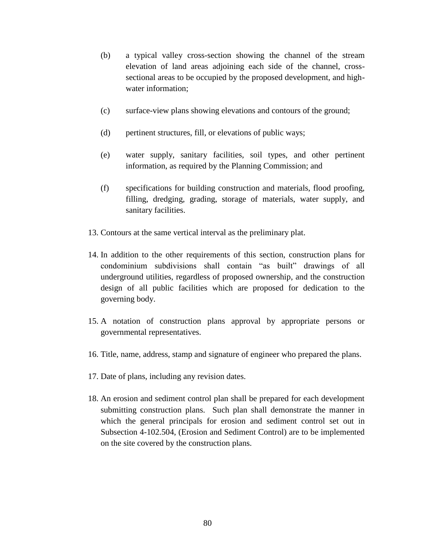- (b) a typical valley cross-section showing the channel of the stream elevation of land areas adjoining each side of the channel, crosssectional areas to be occupied by the proposed development, and highwater information;
- (c) surface-view plans showing elevations and contours of the ground;
- (d) pertinent structures, fill, or elevations of public ways;
- (e) water supply, sanitary facilities, soil types, and other pertinent information, as required by the Planning Commission; and
- (f) specifications for building construction and materials, flood proofing, filling, dredging, grading, storage of materials, water supply, and sanitary facilities.
- 13. Contours at the same vertical interval as the preliminary plat.
- 14. In addition to the other requirements of this section, construction plans for condominium subdivisions shall contain "as built" drawings of all underground utilities, regardless of proposed ownership, and the construction design of all public facilities which are proposed for dedication to the governing body.
- 15. A notation of construction plans approval by appropriate persons or governmental representatives.
- 16. Title, name, address, stamp and signature of engineer who prepared the plans.
- 17. Date of plans, including any revision dates.
- 18. An erosion and sediment control plan shall be prepared for each development submitting construction plans. Such plan shall demonstrate the manner in which the general principals for erosion and sediment control set out in Subsection 4-102.504, (Erosion and Sediment Control) are to be implemented on the site covered by the construction plans.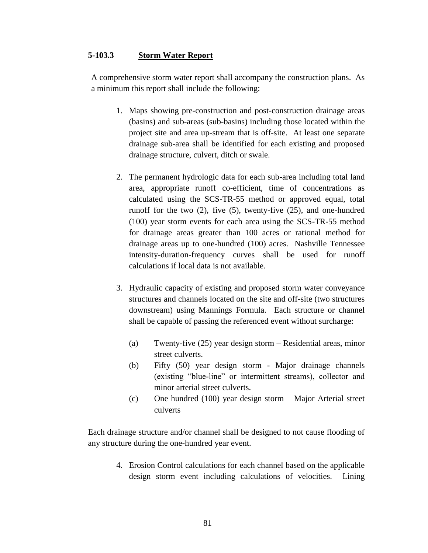### **5-103.3 Storm Water Report**

A comprehensive storm water report shall accompany the construction plans. As a minimum this report shall include the following:

- 1. Maps showing pre-construction and post-construction drainage areas (basins) and sub-areas (sub-basins) including those located within the project site and area up-stream that is off-site. At least one separate drainage sub-area shall be identified for each existing and proposed drainage structure, culvert, ditch or swale.
- 2. The permanent hydrologic data for each sub-area including total land area, appropriate runoff co-efficient, time of concentrations as calculated using the SCS-TR-55 method or approved equal, total runoff for the two (2), five (5), twenty-five (25), and one-hundred (100) year storm events for each area using the SCS-TR-55 method for drainage areas greater than 100 acres or rational method for drainage areas up to one-hundred (100) acres. Nashville Tennessee intensity-duration-frequency curves shall be used for runoff calculations if local data is not available.
- 3. Hydraulic capacity of existing and proposed storm water conveyance structures and channels located on the site and off-site (two structures downstream) using Mannings Formula. Each structure or channel shall be capable of passing the referenced event without surcharge:
	- (a) Twenty-five (25) year design storm Residential areas, minor street culverts.
	- (b) Fifty (50) year design storm Major drainage channels (existing "blue-line" or intermittent streams), collector and minor arterial street culverts.
	- (c) One hundred (100) year design storm Major Arterial street culverts

Each drainage structure and/or channel shall be designed to not cause flooding of any structure during the one-hundred year event.

> 4. Erosion Control calculations for each channel based on the applicable design storm event including calculations of velocities. Lining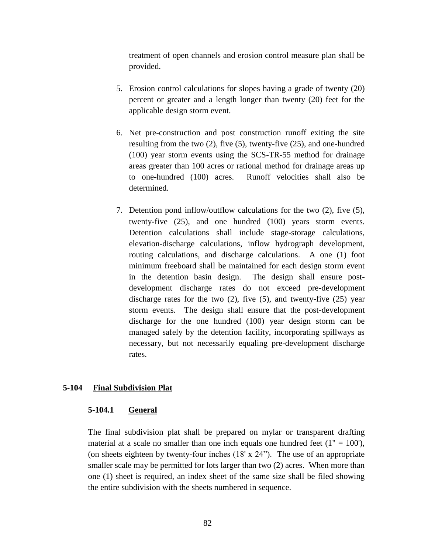treatment of open channels and erosion control measure plan shall be provided.

- 5. Erosion control calculations for slopes having a grade of twenty (20) percent or greater and a length longer than twenty (20) feet for the applicable design storm event.
- 6. Net pre-construction and post construction runoff exiting the site resulting from the two (2), five (5), twenty-five (25), and one-hundred (100) year storm events using the SCS-TR-55 method for drainage areas greater than 100 acres or rational method for drainage areas up to one-hundred (100) acres. Runoff velocities shall also be determined.
- 7. Detention pond inflow/outflow calculations for the two (2), five (5), twenty-five (25), and one hundred (100) years storm events. Detention calculations shall include stage-storage calculations, elevation-discharge calculations, inflow hydrograph development, routing calculations, and discharge calculations. A one (1) foot minimum freeboard shall be maintained for each design storm event in the detention basin design. The design shall ensure postdevelopment discharge rates do not exceed pre-development discharge rates for the two (2), five (5), and twenty-five (25) year storm events. The design shall ensure that the post-development discharge for the one hundred (100) year design storm can be managed safely by the detention facility, incorporating spillways as necessary, but not necessarily equaling pre-development discharge rates.

#### **5-104 Final Subdivision Plat**

#### **5-104.1 General**

The final subdivision plat shall be prepared on mylar or transparent drafting material at a scale no smaller than one inch equals one hundred feet  $(1" = 100)$ , (on sheets eighteen by twenty-four inches (18' x 24"). The use of an appropriate smaller scale may be permitted for lots larger than two (2) acres. When more than one (1) sheet is required, an index sheet of the same size shall be filed showing the entire subdivision with the sheets numbered in sequence.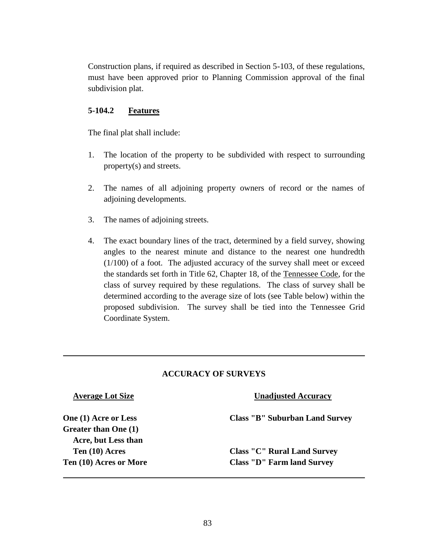Construction plans, if required as described in Section 5-103, of these regulations, must have been approved prior to Planning Commission approval of the final subdivision plat.

## **5-104.2 Features**

The final plat shall include:

- 1. The location of the property to be subdivided with respect to surrounding property(s) and streets.
- 2. The names of all adjoining property owners of record or the names of adjoining developments.
- 3. The names of adjoining streets.
- 4. The exact boundary lines of the tract, determined by a field survey, showing angles to the nearest minute and distance to the nearest one hundredth (1/100) of a foot. The adjusted accuracy of the survey shall meet or exceed the standards set forth in Title 62, Chapter 18, of the Tennessee Code, for the class of survey required by these regulations. The class of survey shall be determined according to the average size of lots (see Table below) within the proposed subdivision. The survey shall be tied into the Tennessee Grid Coordinate System.

## **ACCURACY OF SURVEYS**

**Greater than One (1) Acre, but Less than**

## **Average Lot Size Unadjusted Accuracy**

**One (1) Acre or Less Class "B" Suburban Land Survey**

**Ten (10) Acres Class "C" Rural Land Survey Ten (10) Acres or More Class "D" Farm land Survey**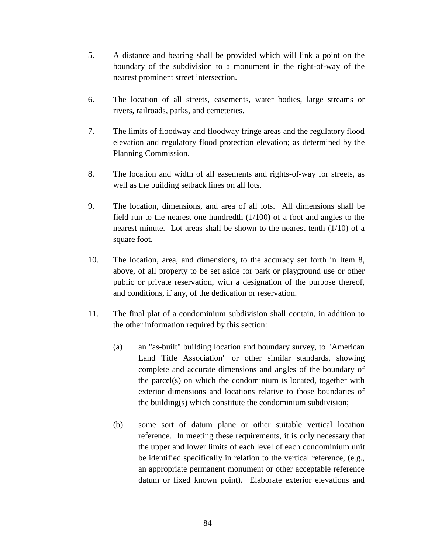- 5. A distance and bearing shall be provided which will link a point on the boundary of the subdivision to a monument in the right-of-way of the nearest prominent street intersection.
- 6. The location of all streets, easements, water bodies, large streams or rivers, railroads, parks, and cemeteries.
- 7. The limits of floodway and floodway fringe areas and the regulatory flood elevation and regulatory flood protection elevation; as determined by the Planning Commission.
- 8. The location and width of all easements and rights-of-way for streets, as well as the building setback lines on all lots.
- 9. The location, dimensions, and area of all lots. All dimensions shall be field run to the nearest one hundredth  $(1/100)$  of a foot and angles to the nearest minute. Lot areas shall be shown to the nearest tenth (1/10) of a square foot.
- 10. The location, area, and dimensions, to the accuracy set forth in Item 8, above, of all property to be set aside for park or playground use or other public or private reservation, with a designation of the purpose thereof, and conditions, if any, of the dedication or reservation.
- 11. The final plat of a condominium subdivision shall contain, in addition to the other information required by this section:
	- (a) an "as-built" building location and boundary survey, to "American Land Title Association" or other similar standards, showing complete and accurate dimensions and angles of the boundary of the parcel(s) on which the condominium is located, together with exterior dimensions and locations relative to those boundaries of the building(s) which constitute the condominium subdivision;
	- (b) some sort of datum plane or other suitable vertical location reference. In meeting these requirements, it is only necessary that the upper and lower limits of each level of each condominium unit be identified specifically in relation to the vertical reference, (e.g., an appropriate permanent monument or other acceptable reference datum or fixed known point). Elaborate exterior elevations and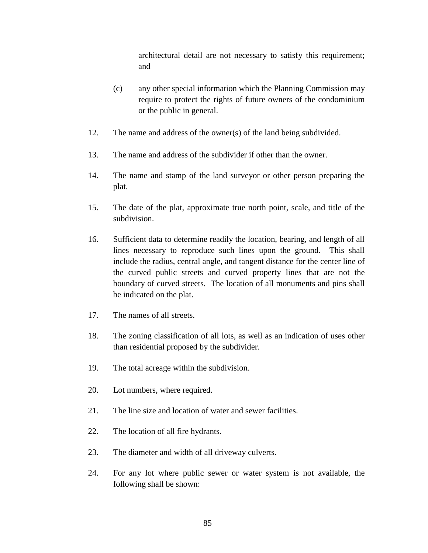architectural detail are not necessary to satisfy this requirement; and

- (c) any other special information which the Planning Commission may require to protect the rights of future owners of the condominium or the public in general.
- 12. The name and address of the owner(s) of the land being subdivided.
- 13. The name and address of the subdivider if other than the owner.
- 14. The name and stamp of the land surveyor or other person preparing the plat.
- 15. The date of the plat, approximate true north point, scale, and title of the subdivision.
- 16. Sufficient data to determine readily the location, bearing, and length of all lines necessary to reproduce such lines upon the ground. This shall include the radius, central angle, and tangent distance for the center line of the curved public streets and curved property lines that are not the boundary of curved streets. The location of all monuments and pins shall be indicated on the plat.
- 17. The names of all streets.
- 18. The zoning classification of all lots, as well as an indication of uses other than residential proposed by the subdivider.
- 19. The total acreage within the subdivision.
- 20. Lot numbers, where required.
- 21. The line size and location of water and sewer facilities.
- 22. The location of all fire hydrants.
- 23. The diameter and width of all driveway culverts.
- 24. For any lot where public sewer or water system is not available, the following shall be shown: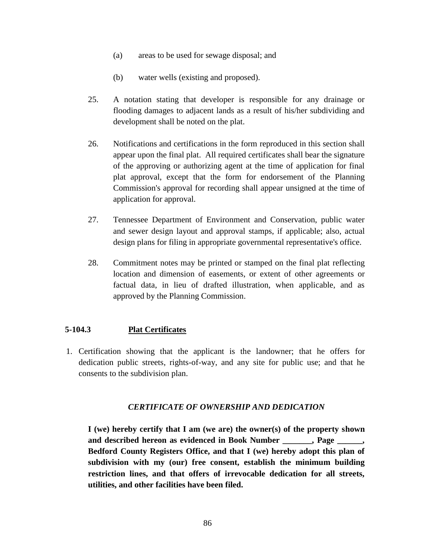- (a) areas to be used for sewage disposal; and
- (b) water wells (existing and proposed).
- 25. A notation stating that developer is responsible for any drainage or flooding damages to adjacent lands as a result of his/her subdividing and development shall be noted on the plat.
- 26. Notifications and certifications in the form reproduced in this section shall appear upon the final plat. All required certificates shall bear the signature of the approving or authorizing agent at the time of application for final plat approval, except that the form for endorsement of the Planning Commission's approval for recording shall appear unsigned at the time of application for approval.
- 27. Tennessee Department of Environment and Conservation, public water and sewer design layout and approval stamps, if applicable; also, actual design plans for filing in appropriate governmental representative's office.
- 28. Commitment notes may be printed or stamped on the final plat reflecting location and dimension of easements, or extent of other agreements or factual data, in lieu of drafted illustration, when applicable, and as approved by the Planning Commission.

## **5-104.3 Plat Certificates**

1. Certification showing that the applicant is the landowner; that he offers for dedication public streets, rights-of-way, and any site for public use; and that he consents to the subdivision plan.

## *CERTIFICATE OF OWNERSHIP AND DEDICATION*

**I (we) hereby certify that I am (we are) the owner(s) of the property shown and described hereon as evidenced in Book Number \_\_\_\_\_\_\_, Page \_\_\_\_\_\_, Bedford County Registers Office, and that I (we) hereby adopt this plan of subdivision with my (our) free consent, establish the minimum building restriction lines, and that offers of irrevocable dedication for all streets, utilities, and other facilities have been filed.**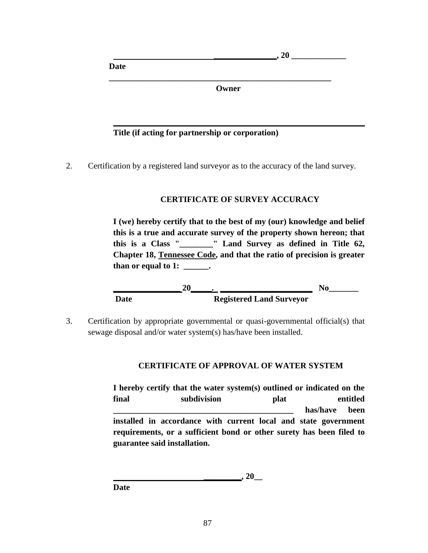**Date**

 **Owner**

 $\overline{a}$ , 20

## **Title (if acting for partnership or corporation)**

 **\_\_\_\_\_\_\_\_\_\_\_\_\_\_\_\_\_\_\_\_\_\_\_\_\_\_\_\_\_\_\_\_\_\_\_\_\_\_\_\_\_\_\_\_\_\_\_\_\_\_\_\_\_**

2. Certification by a registered land surveyor as to the accuracy of the land survey.

# **CERTIFICATE OF SURVEY ACCURACY**

**I (we) hereby certify that to the best of my (our) knowledge and belief this is a true and accurate survey of the property shown hereon; that this is a Class "\_\_\_\_\_\_\_\_" Land Survey as defined in Title 62, Chapter 18, Tennessee Code, and that the ratio of precision is greater than or equal to 1: \_\_\_\_\_\_.**



3. Certification by appropriate governmental or quasi-governmental official(s) that sewage disposal and/or water system(s) has/have been installed.

## **CERTIFICATE OF APPROVAL OF WATER SYSTEM**

**I hereby certify that the water system(s) outlined or indicated on the final subdivision plat entitled \_\_\_\_\_\_\_\_\_\_\_\_\_\_\_\_\_\_\_\_\_\_\_\_\_\_\_\_\_\_\_\_\_\_\_\_\_\_\_\_\_\_\_ has/have been installed in accordance with current local and state government requirements, or a sufficient bond or other surety has been filed to guarantee said installation.**

**\_\_\_\_\_\_\_\_\_, 20\_\_**

**Date**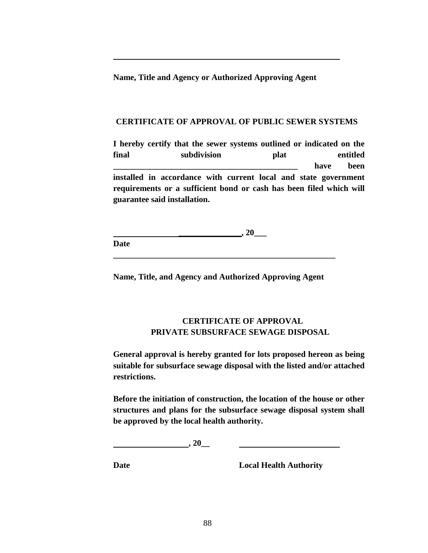**Name, Title and Agency or Authorized Approving Agent**

#### **CERTIFICATE OF APPROVAL OF PUBLIC SEWER SYSTEMS**

**I hereby certify that the sewer systems outlined or indicated on the final subdivision plat entitled \_\_\_\_\_\_\_\_\_\_\_\_\_\_\_\_\_\_\_\_\_\_\_\_\_\_\_\_\_\_\_\_\_\_\_\_\_\_\_\_\_\_\_\_ have been installed in accordance with current local and state government requirements or a sufficient bond or cash has been filed which will guarantee said installation.**

 $\_$ , 20 $\_$ **Date**

**Name, Title, and Agency and Authorized Approving Agent**

**\_\_\_\_\_\_\_\_\_\_\_\_\_\_\_\_\_\_\_\_\_\_\_\_\_\_\_\_\_\_\_\_\_\_\_\_\_\_\_\_\_\_\_\_\_\_\_\_\_\_\_\_\_**

## **CERTIFICATE OF APPROVAL PRIVATE SUBSURFACE SEWAGE DISPOSAL**

**General approval is hereby granted for lots proposed hereon as being suitable for subsurface sewage disposal with the listed and/or attached restrictions.**

**Before the initiation of construction, the location of the house or other structures and plans for the subsurface sewage disposal system shall be approved by the local health authority.**

**, 20\_\_**

**Date Local Health Authority**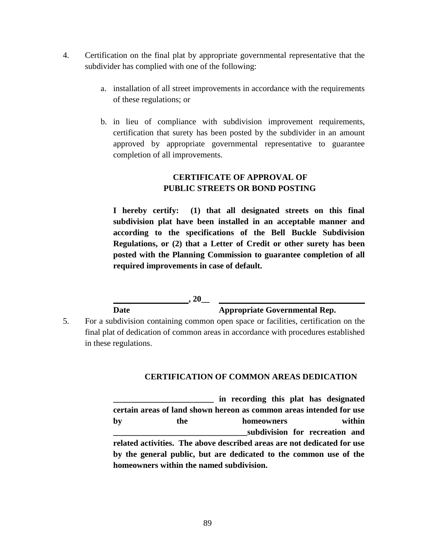- 4. Certification on the final plat by appropriate governmental representative that the subdivider has complied with one of the following:
	- a. installation of all street improvements in accordance with the requirements of these regulations; or
	- b. in lieu of compliance with subdivision improvement requirements, certification that surety has been posted by the subdivider in an amount approved by appropriate governmental representative to guarantee completion of all improvements.

# **CERTIFICATE OF APPROVAL OF PUBLIC STREETS OR BOND POSTING**

**I hereby certify: (1) that all designated streets on this final subdivision plat have been installed in an acceptable manner and according to the specifications of the Bell Buckle Subdivision Regulations, or (2) that a Letter of Credit or other surety has been posted with the Planning Commission to guarantee completion of all required improvements in case of default.**

**Date Appropriate Governmental Rep.**

5. For a subdivision containing common open space or facilities, certification on the final plat of dedication of common areas in accordance with procedures established in these regulations.

**, 20\_\_**

# **CERTIFICATION OF COMMON AREAS DEDICATION**

**\_\_\_\_\_\_\_\_\_\_\_\_\_\_\_\_\_\_\_\_\_\_\_\_ in recording this plat has designated certain areas of land shown hereon as common areas intended for use by the homeowners within \_\_\_\_\_\_\_\_\_\_\_\_\_\_\_\_\_\_\_\_\_\_\_\_\_\_\_\_\_\_\_\_subdivision for recreation and related activities. The above described areas are not dedicated for use by the general public, but are dedicated to the common use of the homeowners within the named subdivision.**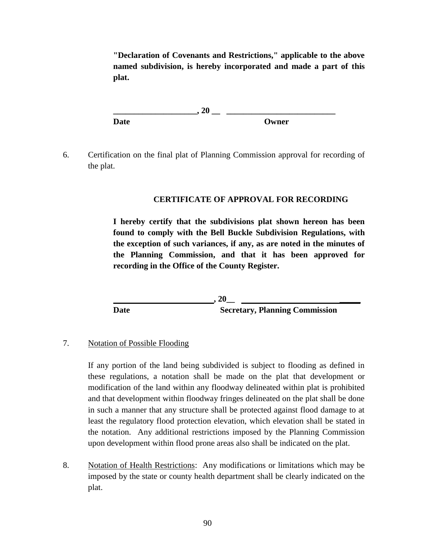**"Declaration of Covenants and Restrictions," applicable to the above named subdivision, is hereby incorporated and made a part of this plat.**

**\_\_\_\_\_\_\_\_\_\_\_\_\_\_\_\_\_\_\_\_, 20 \_\_ \_\_\_\_\_\_\_\_\_\_\_\_\_\_\_\_\_\_\_\_\_\_\_\_\_\_ Date Owner**

6. Certification on the final plat of Planning Commission approval for recording of the plat.

# **CERTIFICATE OF APPROVAL FOR RECORDING**

**I hereby certify that the subdivisions plat shown hereon has been found to comply with the Bell Buckle Subdivision Regulations, with the exception of such variances, if any, as are noted in the minutes of the Planning Commission, and that it has been approved for recording in the Office of the County Register.**

**, 20\_\_ \_\_\_\_\_ Date** Secretary, Planning Commission

## 7. Notation of Possible Flooding

If any portion of the land being subdivided is subject to flooding as defined in these regulations, a notation shall be made on the plat that development or modification of the land within any floodway delineated within plat is prohibited and that development within floodway fringes delineated on the plat shall be done in such a manner that any structure shall be protected against flood damage to at least the regulatory flood protection elevation, which elevation shall be stated in the notation. Any additional restrictions imposed by the Planning Commission upon development within flood prone areas also shall be indicated on the plat.

8. Notation of Health Restrictions: Any modifications or limitations which may be imposed by the state or county health department shall be clearly indicated on the plat.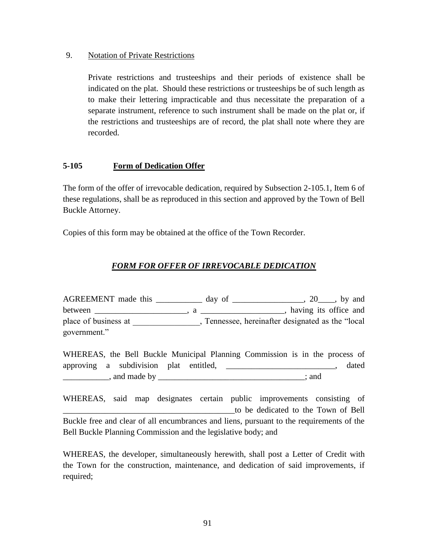## 9. Notation of Private Restrictions

Private restrictions and trusteeships and their periods of existence shall be indicated on the plat. Should these restrictions or trusteeships be of such length as to make their lettering impracticable and thus necessitate the preparation of a separate instrument, reference to such instrument shall be made on the plat or, if the restrictions and trusteeships are of record, the plat shall note where they are recorded.

## **5-105 Form of Dedication Offer**

The form of the offer of irrevocable dedication, required by Subsection 2-105.1, Item 6 of these regulations, shall be as reproduced in this section and approved by the Town of Bell Buckle Attorney.

Copies of this form may be obtained at the office of the Town Recorder.

# *FORM FOR OFFER OF IRREVOCABLE DEDICATION*

AGREEMENT made this \_\_\_\_\_\_\_\_\_\_\_ day of \_\_\_\_\_\_\_\_\_\_\_\_\_\_\_\_\_, 20\_\_\_\_, by and between \_\_\_\_\_\_\_\_\_\_\_\_\_\_\_\_\_\_\_\_\_\_, a \_\_\_\_\_\_\_\_\_\_\_\_\_\_\_\_\_\_\_\_, having its office and place of business at \_\_\_\_\_\_\_\_, Tennessee, hereinafter designated as the "local government."

WHEREAS, the Bell Buckle Municipal Planning Commission is in the process of approving a subdivision plat entitled, \_\_\_\_\_\_\_\_\_\_\_\_\_\_\_\_\_\_\_\_\_\_\_\_\_\_, dated  $\Box$ , and made by  $\Box$ 

WHEREAS, said map designates certain public improvements consisting of \_\_\_\_\_\_\_\_\_\_\_\_\_\_\_\_\_\_\_\_\_\_\_\_\_\_\_\_\_\_\_\_\_\_\_\_\_\_\_\_\_to be dedicated to the Town of Bell Buckle free and clear of all encumbrances and liens, pursuant to the requirements of the Bell Buckle Planning Commission and the legislative body; and

WHEREAS, the developer, simultaneously herewith, shall post a Letter of Credit with the Town for the construction, maintenance, and dedication of said improvements, if required;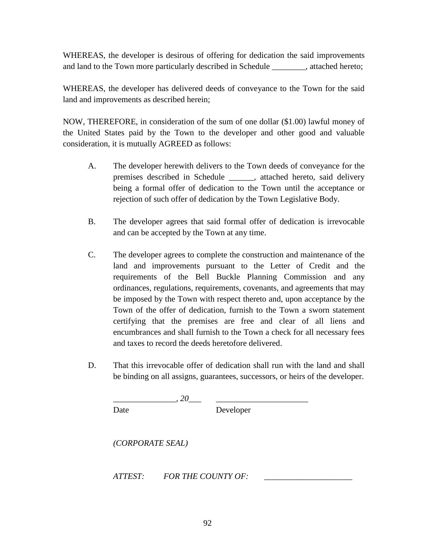WHEREAS, the developer is desirous of offering for dedication the said improvements and land to the Town more particularly described in Schedule \_\_\_\_\_\_\_\_, attached hereto;

WHEREAS, the developer has delivered deeds of conveyance to the Town for the said land and improvements as described herein;

NOW, THEREFORE, in consideration of the sum of one dollar (\$1.00) lawful money of the United States paid by the Town to the developer and other good and valuable consideration, it is mutually AGREED as follows:

- A. The developer herewith delivers to the Town deeds of conveyance for the premises described in Schedule \_\_\_\_\_\_, attached hereto, said delivery being a formal offer of dedication to the Town until the acceptance or rejection of such offer of dedication by the Town Legislative Body.
- B. The developer agrees that said formal offer of dedication is irrevocable and can be accepted by the Town at any time.
- C. The developer agrees to complete the construction and maintenance of the land and improvements pursuant to the Letter of Credit and the requirements of the Bell Buckle Planning Commission and any ordinances, regulations, requirements, covenants, and agreements that may be imposed by the Town with respect thereto and, upon acceptance by the Town of the offer of dedication, furnish to the Town a sworn statement certifying that the premises are free and clear of all liens and encumbrances and shall furnish to the Town a check for all necessary fees and taxes to record the deeds heretofore delivered.
- D. That this irrevocable offer of dedication shall run with the land and shall be binding on all assigns, guarantees, successors, or heirs of the developer.

Date Developer

*(CORPORATE SEAL)*

*ATTEST: FOR THE COUNTY OF: \_\_\_\_\_\_\_\_\_\_\_\_\_\_\_\_\_\_\_\_\_*

 $\, -\, 20$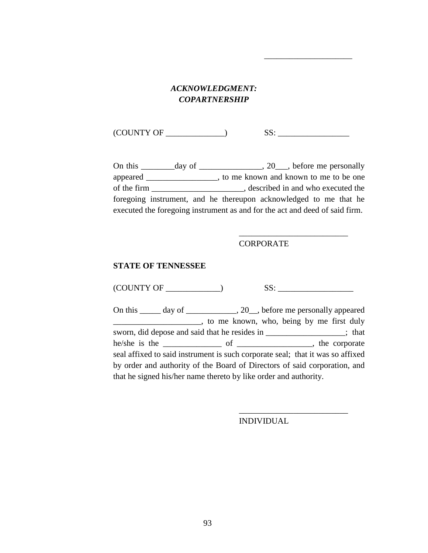# *ACKNOWLEDGMENT: COPARTNERSHIP*

 $(COUNTY OF \_$   $SS:$ 

On this  $\_\_\_\_day$  of  $\_\_\_\_\_\_y$ ,  $\_\_\_\_\_\_\_\_b$  before me personally appeared \_\_\_\_\_\_\_\_\_\_\_\_\_\_\_\_\_, to me known and known to me to be one of the firm \_\_\_\_\_\_\_\_\_\_\_\_\_\_\_\_\_\_\_\_\_\_, described in and who executed the foregoing instrument, and he thereupon acknowledged to me that he executed the foregoing instrument as and for the act and deed of said firm.

#### **CORPORATE**

\_\_\_\_\_\_\_\_\_\_\_\_\_\_\_\_\_\_\_\_\_\_\_\_\_\_

*\_\_\_\_\_\_\_\_\_\_\_\_\_\_\_\_\_\_\_\_\_*

#### **STATE OF TENNESSEE**

 $(COUNTY OF \_$  SS:  $S$ 

On this \_\_\_\_\_ day of \_\_\_\_\_\_\_\_\_\_, 20\_, before me personally appeared \_\_\_\_\_\_\_\_\_\_\_\_\_\_\_\_\_\_\_\_\_, to me known, who, being by me first duly sworn, did depose and said that he resides in \_\_\_\_\_\_\_\_\_\_\_\_\_\_\_\_; that he/she is the \_\_\_\_\_\_\_\_\_\_\_\_\_\_ of \_\_\_\_\_\_\_\_\_\_\_\_\_\_\_\_\_\_, the corporate seal affixed to said instrument is such corporate seal; that it was so affixed by order and authority of the Board of Directors of said corporation, and that he signed his/her name thereto by like order and authority.

INDIVIDUAL

*\_\_\_\_\_\_\_\_\_\_\_\_\_\_\_\_\_\_\_\_\_\_\_\_\_\_*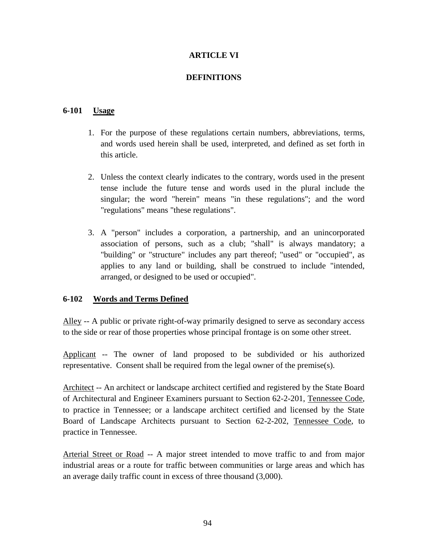## **ARTICLE VI**

## **DEFINITIONS**

## **6-101 Usage**

- 1. For the purpose of these regulations certain numbers, abbreviations, terms, and words used herein shall be used, interpreted, and defined as set forth in this article.
- 2. Unless the context clearly indicates to the contrary, words used in the present tense include the future tense and words used in the plural include the singular; the word "herein" means "in these regulations"; and the word "regulations" means "these regulations".
- 3. A "person" includes a corporation, a partnership, and an unincorporated association of persons, such as a club; "shall" is always mandatory; a "building" or "structure" includes any part thereof; "used" or "occupied", as applies to any land or building, shall be construed to include "intended, arranged, or designed to be used or occupied".

## **6-102 Words and Terms Defined**

Alley -- A public or private right-of-way primarily designed to serve as secondary access to the side or rear of those properties whose principal frontage is on some other street.

Applicant -- The owner of land proposed to be subdivided or his authorized representative. Consent shall be required from the legal owner of the premise(s).

Architect -- An architect or landscape architect certified and registered by the State Board of Architectural and Engineer Examiners pursuant to Section 62-2-201, Tennessee Code, to practice in Tennessee; or a landscape architect certified and licensed by the State Board of Landscape Architects pursuant to Section 62-2-202, Tennessee Code, to practice in Tennessee.

Arterial Street or Road -- A major street intended to move traffic to and from major industrial areas or a route for traffic between communities or large areas and which has an average daily traffic count in excess of three thousand (3,000).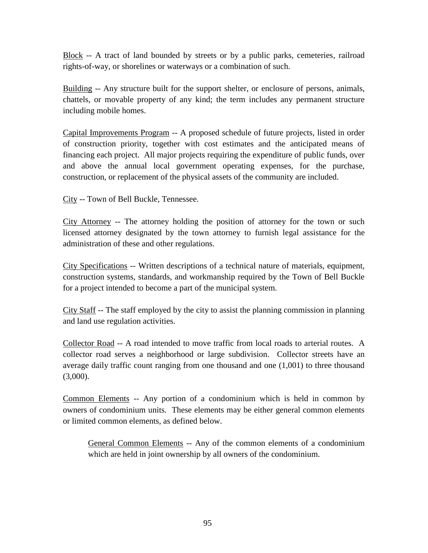Block -- A tract of land bounded by streets or by a public parks, cemeteries, railroad rights-of-way, or shorelines or waterways or a combination of such.

Building -- Any structure built for the support shelter, or enclosure of persons, animals, chattels, or movable property of any kind; the term includes any permanent structure including mobile homes.

Capital Improvements Program -- A proposed schedule of future projects, listed in order of construction priority, together with cost estimates and the anticipated means of financing each project. All major projects requiring the expenditure of public funds, over and above the annual local government operating expenses, for the purchase, construction, or replacement of the physical assets of the community are included.

City -- Town of Bell Buckle, Tennessee.

City Attorney -- The attorney holding the position of attorney for the town or such licensed attorney designated by the town attorney to furnish legal assistance for the administration of these and other regulations.

City Specifications -- Written descriptions of a technical nature of materials, equipment, construction systems, standards, and workmanship required by the Town of Bell Buckle for a project intended to become a part of the municipal system.

City Staff -- The staff employed by the city to assist the planning commission in planning and land use regulation activities.

Collector Road -- A road intended to move traffic from local roads to arterial routes. A collector road serves a neighborhood or large subdivision. Collector streets have an average daily traffic count ranging from one thousand and one  $(1,001)$  to three thousand  $(3,000)$ .

Common Elements -- Any portion of a condominium which is held in common by owners of condominium units. These elements may be either general common elements or limited common elements, as defined below.

General Common Elements -- Any of the common elements of a condominium which are held in joint ownership by all owners of the condominium.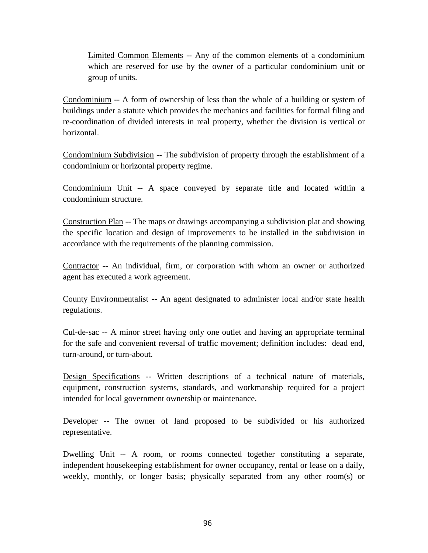Limited Common Elements -- Any of the common elements of a condominium which are reserved for use by the owner of a particular condominium unit or group of units.

Condominium -- A form of ownership of less than the whole of a building or system of buildings under a statute which provides the mechanics and facilities for formal filing and re-coordination of divided interests in real property, whether the division is vertical or horizontal.

Condominium Subdivision -- The subdivision of property through the establishment of a condominium or horizontal property regime.

Condominium Unit -- A space conveyed by separate title and located within a condominium structure.

Construction Plan -- The maps or drawings accompanying a subdivision plat and showing the specific location and design of improvements to be installed in the subdivision in accordance with the requirements of the planning commission.

Contractor -- An individual, firm, or corporation with whom an owner or authorized agent has executed a work agreement.

County Environmentalist -- An agent designated to administer local and/or state health regulations.

Cul-de-sac -- A minor street having only one outlet and having an appropriate terminal for the safe and convenient reversal of traffic movement; definition includes: dead end, turn-around, or turn-about.

Design Specifications -- Written descriptions of a technical nature of materials, equipment, construction systems, standards, and workmanship required for a project intended for local government ownership or maintenance.

Developer -- The owner of land proposed to be subdivided or his authorized representative.

Dwelling Unit -- A room, or rooms connected together constituting a separate, independent housekeeping establishment for owner occupancy, rental or lease on a daily, weekly, monthly, or longer basis; physically separated from any other room(s) or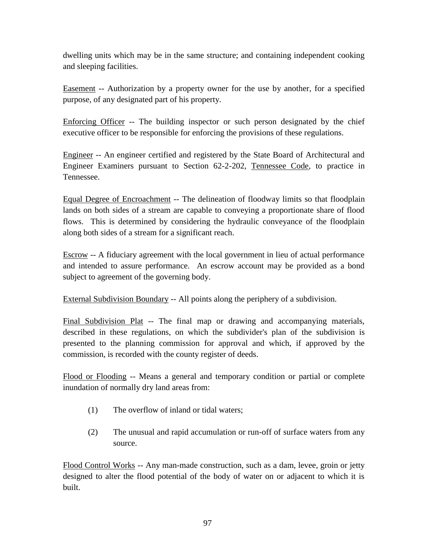dwelling units which may be in the same structure; and containing independent cooking and sleeping facilities.

Easement -- Authorization by a property owner for the use by another, for a specified purpose, of any designated part of his property.

Enforcing Officer -- The building inspector or such person designated by the chief executive officer to be responsible for enforcing the provisions of these regulations.

Engineer -- An engineer certified and registered by the State Board of Architectural and Engineer Examiners pursuant to Section 62-2-202, Tennessee Code, to practice in Tennessee.

Equal Degree of Encroachment -- The delineation of floodway limits so that floodplain lands on both sides of a stream are capable to conveying a proportionate share of flood flows. This is determined by considering the hydraulic conveyance of the floodplain along both sides of a stream for a significant reach.

Escrow -- A fiduciary agreement with the local government in lieu of actual performance and intended to assure performance. An escrow account may be provided as a bond subject to agreement of the governing body.

External Subdivision Boundary -- All points along the periphery of a subdivision.

Final Subdivision Plat -- The final map or drawing and accompanying materials, described in these regulations, on which the subdivider's plan of the subdivision is presented to the planning commission for approval and which, if approved by the commission, is recorded with the county register of deeds.

Flood or Flooding -- Means a general and temporary condition or partial or complete inundation of normally dry land areas from:

- (1) The overflow of inland or tidal waters;
- (2) The unusual and rapid accumulation or run-off of surface waters from any source.

Flood Control Works -- Any man-made construction, such as a dam, levee, groin or jetty designed to alter the flood potential of the body of water on or adjacent to which it is built.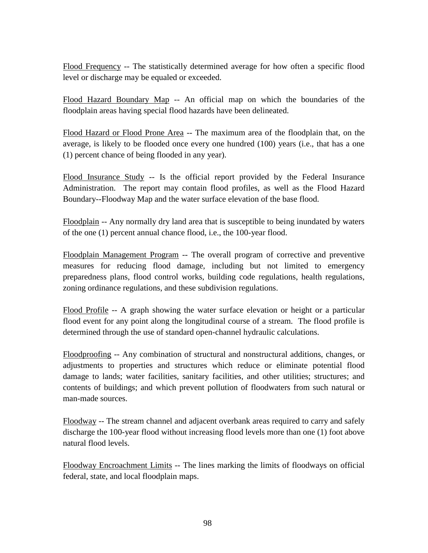Flood Frequency -- The statistically determined average for how often a specific flood level or discharge may be equaled or exceeded.

Flood Hazard Boundary Map -- An official map on which the boundaries of the floodplain areas having special flood hazards have been delineated.

Flood Hazard or Flood Prone Area -- The maximum area of the floodplain that, on the average, is likely to be flooded once every one hundred (100) years (i.e., that has a one (1) percent chance of being flooded in any year).

Flood Insurance Study -- Is the official report provided by the Federal Insurance Administration. The report may contain flood profiles, as well as the Flood Hazard Boundary--Floodway Map and the water surface elevation of the base flood.

Floodplain -- Any normally dry land area that is susceptible to being inundated by waters of the one (1) percent annual chance flood, i.e., the 100-year flood.

Floodplain Management Program -- The overall program of corrective and preventive measures for reducing flood damage, including but not limited to emergency preparedness plans, flood control works, building code regulations, health regulations, zoning ordinance regulations, and these subdivision regulations.

Flood Profile -- A graph showing the water surface elevation or height or a particular flood event for any point along the longitudinal course of a stream. The flood profile is determined through the use of standard open-channel hydraulic calculations.

Floodproofing -- Any combination of structural and nonstructural additions, changes, or adjustments to properties and structures which reduce or eliminate potential flood damage to lands; water facilities, sanitary facilities, and other utilities; structures; and contents of buildings; and which prevent pollution of floodwaters from such natural or man-made sources.

Floodway -- The stream channel and adjacent overbank areas required to carry and safely discharge the 100-year flood without increasing flood levels more than one (1) foot above natural flood levels.

Floodway Encroachment Limits -- The lines marking the limits of floodways on official federal, state, and local floodplain maps.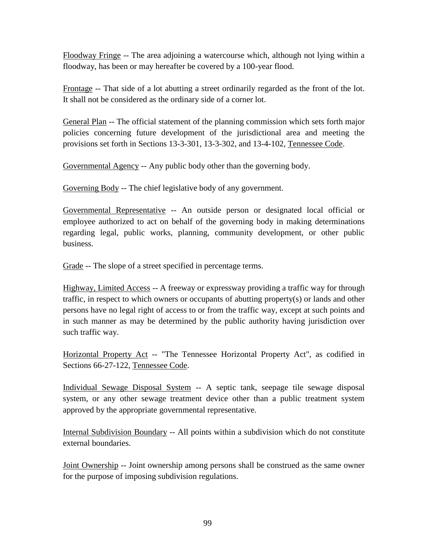Floodway Fringe -- The area adjoining a watercourse which, although not lying within a floodway, has been or may hereafter be covered by a 100-year flood.

Frontage -- That side of a lot abutting a street ordinarily regarded as the front of the lot. It shall not be considered as the ordinary side of a corner lot.

General Plan -- The official statement of the planning commission which sets forth major policies concerning future development of the jurisdictional area and meeting the provisions set forth in Sections 13-3-301, 13-3-302, and 13-4-102, Tennessee Code.

Governmental Agency -- Any public body other than the governing body.

Governing Body -- The chief legislative body of any government.

Governmental Representative -- An outside person or designated local official or employee authorized to act on behalf of the governing body in making determinations regarding legal, public works, planning, community development, or other public business.

Grade -- The slope of a street specified in percentage terms.

Highway, Limited Access -- A freeway or expressway providing a traffic way for through traffic, in respect to which owners or occupants of abutting property(s) or lands and other persons have no legal right of access to or from the traffic way, except at such points and in such manner as may be determined by the public authority having jurisdiction over such traffic way.

Horizontal Property Act -- "The Tennessee Horizontal Property Act", as codified in Sections 66-27-122, Tennessee Code.

Individual Sewage Disposal System -- A septic tank, seepage tile sewage disposal system, or any other sewage treatment device other than a public treatment system approved by the appropriate governmental representative.

Internal Subdivision Boundary -- All points within a subdivision which do not constitute external boundaries.

Joint Ownership -- Joint ownership among persons shall be construed as the same owner for the purpose of imposing subdivision regulations.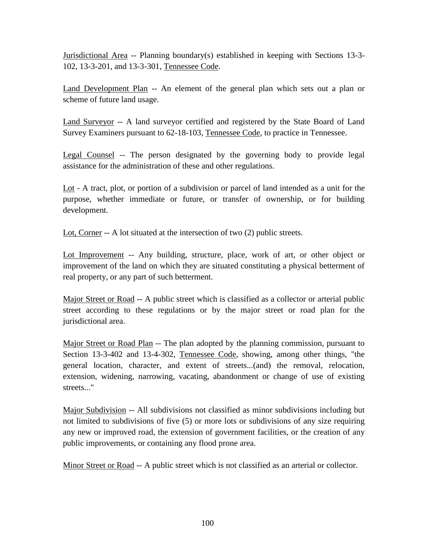Jurisdictional Area -- Planning boundary(s) established in keeping with Sections 13-3- 102, 13-3-201, and 13-3-301, Tennessee Code.

Land Development Plan -- An element of the general plan which sets out a plan or scheme of future land usage.

Land Surveyor -- A land surveyor certified and registered by the State Board of Land Survey Examiners pursuant to 62-18-103, Tennessee Code, to practice in Tennessee.

Legal Counsel -- The person designated by the governing body to provide legal assistance for the administration of these and other regulations.

Lot - A tract, plot, or portion of a subdivision or parcel of land intended as a unit for the purpose, whether immediate or future, or transfer of ownership, or for building development.

Lot, Corner -- A lot situated at the intersection of two (2) public streets.

Lot Improvement -- Any building, structure, place, work of art, or other object or improvement of the land on which they are situated constituting a physical betterment of real property, or any part of such betterment.

Major Street or Road -- A public street which is classified as a collector or arterial public street according to these regulations or by the major street or road plan for the jurisdictional area.

Major Street or Road Plan -- The plan adopted by the planning commission, pursuant to Section 13-3-402 and 13-4-302, Tennessee Code, showing, among other things, "the general location, character, and extent of streets...(and) the removal, relocation, extension, widening, narrowing, vacating, abandonment or change of use of existing streets..."

Major Subdivision -- All subdivisions not classified as minor subdivisions including but not limited to subdivisions of five (5) or more lots or subdivisions of any size requiring any new or improved road, the extension of government facilities, or the creation of any public improvements, or containing any flood prone area.

Minor Street or Road -- A public street which is not classified as an arterial or collector.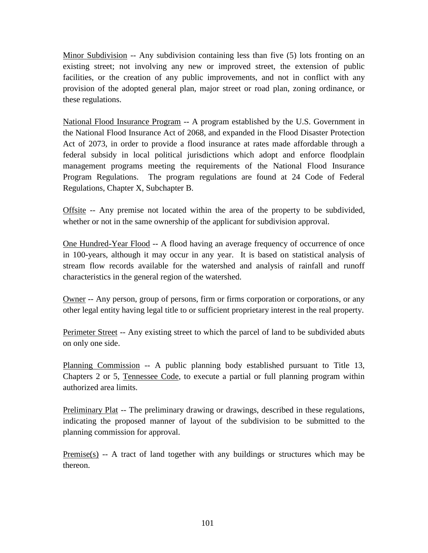Minor Subdivision -- Any subdivision containing less than five (5) lots fronting on an existing street; not involving any new or improved street, the extension of public facilities, or the creation of any public improvements, and not in conflict with any provision of the adopted general plan, major street or road plan, zoning ordinance, or these regulations.

National Flood Insurance Program -- A program established by the U.S. Government in the National Flood Insurance Act of 2068, and expanded in the Flood Disaster Protection Act of 2073, in order to provide a flood insurance at rates made affordable through a federal subsidy in local political jurisdictions which adopt and enforce floodplain management programs meeting the requirements of the National Flood Insurance Program Regulations. The program regulations are found at 24 Code of Federal Regulations, Chapter X, Subchapter B.

Offsite -- Any premise not located within the area of the property to be subdivided, whether or not in the same ownership of the applicant for subdivision approval.

One Hundred-Year Flood -- A flood having an average frequency of occurrence of once in 100-years, although it may occur in any year. It is based on statistical analysis of stream flow records available for the watershed and analysis of rainfall and runoff characteristics in the general region of the watershed.

Owner -- Any person, group of persons, firm or firms corporation or corporations, or any other legal entity having legal title to or sufficient proprietary interest in the real property.

Perimeter Street -- Any existing street to which the parcel of land to be subdivided abuts on only one side.

Planning Commission -- A public planning body established pursuant to Title 13, Chapters 2 or 5, Tennessee Code, to execute a partial or full planning program within authorized area limits.

Preliminary Plat -- The preliminary drawing or drawings, described in these regulations, indicating the proposed manner of layout of the subdivision to be submitted to the planning commission for approval.

Premise(s) -- A tract of land together with any buildings or structures which may be thereon.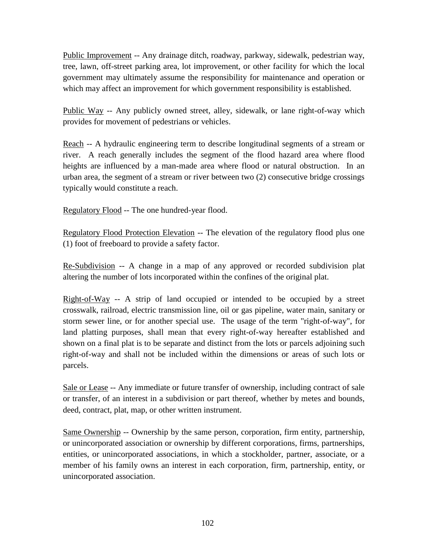Public Improvement -- Any drainage ditch, roadway, parkway, sidewalk, pedestrian way, tree, lawn, off-street parking area, lot improvement, or other facility for which the local government may ultimately assume the responsibility for maintenance and operation or which may affect an improvement for which government responsibility is established.

Public Way -- Any publicly owned street, alley, sidewalk, or lane right-of-way which provides for movement of pedestrians or vehicles.

Reach -- A hydraulic engineering term to describe longitudinal segments of a stream or river. A reach generally includes the segment of the flood hazard area where flood heights are influenced by a man-made area where flood or natural obstruction. In an urban area, the segment of a stream or river between two (2) consecutive bridge crossings typically would constitute a reach.

Regulatory Flood -- The one hundred-year flood.

Regulatory Flood Protection Elevation -- The elevation of the regulatory flood plus one (1) foot of freeboard to provide a safety factor.

Re-Subdivision -- A change in a map of any approved or recorded subdivision plat altering the number of lots incorporated within the confines of the original plat.

Right-of-Way -- A strip of land occupied or intended to be occupied by a street crosswalk, railroad, electric transmission line, oil or gas pipeline, water main, sanitary or storm sewer line, or for another special use. The usage of the term "right-of-way", for land platting purposes, shall mean that every right-of-way hereafter established and shown on a final plat is to be separate and distinct from the lots or parcels adjoining such right-of-way and shall not be included within the dimensions or areas of such lots or parcels.

Sale or Lease -- Any immediate or future transfer of ownership, including contract of sale or transfer, of an interest in a subdivision or part thereof, whether by metes and bounds, deed, contract, plat, map, or other written instrument.

Same Ownership -- Ownership by the same person, corporation, firm entity, partnership, or unincorporated association or ownership by different corporations, firms, partnerships, entities, or unincorporated associations, in which a stockholder, partner, associate, or a member of his family owns an interest in each corporation, firm, partnership, entity, or unincorporated association.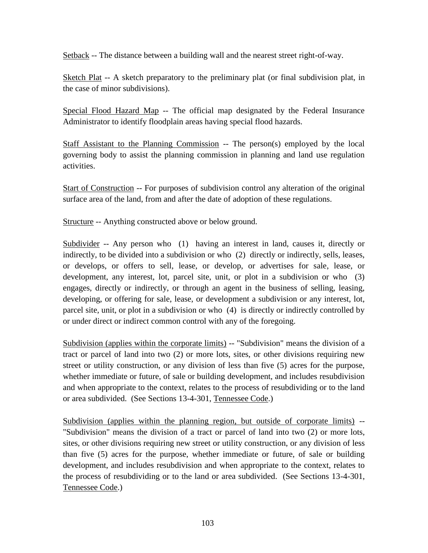Setback -- The distance between a building wall and the nearest street right-of-way.

Sketch Plat -- A sketch preparatory to the preliminary plat (or final subdivision plat, in the case of minor subdivisions).

Special Flood Hazard Map -- The official map designated by the Federal Insurance Administrator to identify floodplain areas having special flood hazards.

Staff Assistant to the Planning Commission -- The person(s) employed by the local governing body to assist the planning commission in planning and land use regulation activities.

Start of Construction -- For purposes of subdivision control any alteration of the original surface area of the land, from and after the date of adoption of these regulations.

Structure -- Anything constructed above or below ground.

Subdivider -- Any person who (1) having an interest in land, causes it, directly or indirectly, to be divided into a subdivision or who (2) directly or indirectly, sells, leases, or develops, or offers to sell, lease, or develop, or advertises for sale, lease, or development, any interest, lot, parcel site, unit, or plot in a subdivision or who (3) engages, directly or indirectly, or through an agent in the business of selling, leasing, developing, or offering for sale, lease, or development a subdivision or any interest, lot, parcel site, unit, or plot in a subdivision or who (4) is directly or indirectly controlled by or under direct or indirect common control with any of the foregoing.

Subdivision (applies within the corporate limits) -- "Subdivision" means the division of a tract or parcel of land into two (2) or more lots, sites, or other divisions requiring new street or utility construction, or any division of less than five (5) acres for the purpose, whether immediate or future, of sale or building development, and includes resubdivision and when appropriate to the context, relates to the process of resubdividing or to the land or area subdivided. (See Sections 13-4-301, Tennessee Code.)

Subdivision (applies within the planning region, but outside of corporate limits) -- "Subdivision" means the division of a tract or parcel of land into two (2) or more lots, sites, or other divisions requiring new street or utility construction, or any division of less than five (5) acres for the purpose, whether immediate or future, of sale or building development, and includes resubdivision and when appropriate to the context, relates to the process of resubdividing or to the land or area subdivided. (See Sections 13-4-301, Tennessee Code.)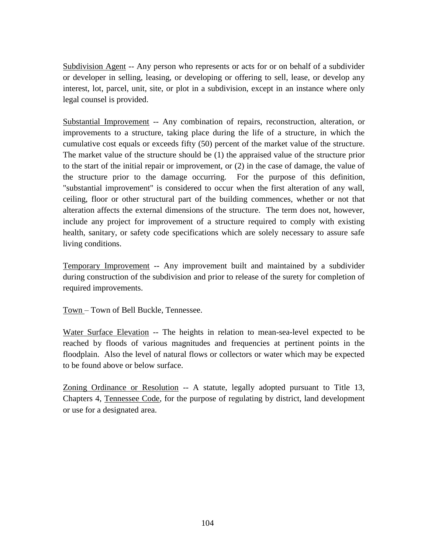Subdivision Agent -- Any person who represents or acts for or on behalf of a subdivider or developer in selling, leasing, or developing or offering to sell, lease, or develop any interest, lot, parcel, unit, site, or plot in a subdivision, except in an instance where only legal counsel is provided.

Substantial Improvement -- Any combination of repairs, reconstruction, alteration, or improvements to a structure, taking place during the life of a structure, in which the cumulative cost equals or exceeds fifty (50) percent of the market value of the structure. The market value of the structure should be (1) the appraised value of the structure prior to the start of the initial repair or improvement, or (2) in the case of damage, the value of the structure prior to the damage occurring. For the purpose of this definition, "substantial improvement" is considered to occur when the first alteration of any wall, ceiling, floor or other structural part of the building commences, whether or not that alteration affects the external dimensions of the structure. The term does not, however, include any project for improvement of a structure required to comply with existing health, sanitary, or safety code specifications which are solely necessary to assure safe living conditions.

Temporary Improvement -- Any improvement built and maintained by a subdivider during construction of the subdivision and prior to release of the surety for completion of required improvements.

Town – Town of Bell Buckle, Tennessee.

Water Surface Elevation -- The heights in relation to mean-sea-level expected to be reached by floods of various magnitudes and frequencies at pertinent points in the floodplain. Also the level of natural flows or collectors or water which may be expected to be found above or below surface.

Zoning Ordinance or Resolution -- A statute, legally adopted pursuant to Title 13, Chapters 4, Tennessee Code, for the purpose of regulating by district, land development or use for a designated area.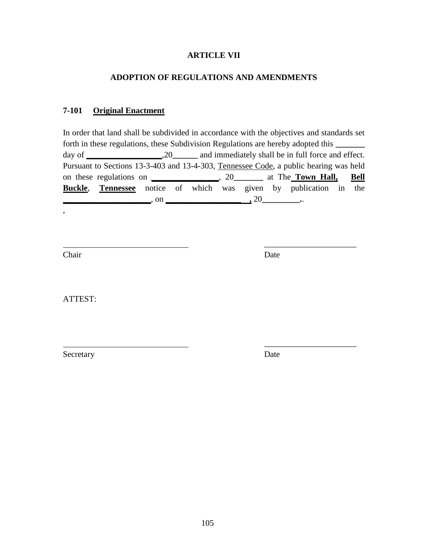## **ARTICLE VII**

## **ADOPTION OF REGULATIONS AND AMENDMENTS**

## **7-101 Original Enactment**

In order that land shall be subdivided in accordance with the objectives and standards set forth in these regulations, these Subdivision Regulations are hereby adopted this **\_\_\_\_\_\_\_** day of **\_\_\_\_\_\_\_\_\_\_\_\_\_\_\_\_\_\_**,20**\_\_\_\_\_\_** and immediately shall be in full force and effect. Pursuant to Sections 13-3-403 and 13-4-303, Tennessee Code, a public hearing was held on these regulations on *\_\_\_\_\_\_\_\_\_\_\_\_\_***\_\_\_**, 20**\_\_\_\_\_\_\_** at The **Town Hall, Bell Buckle**, **Tennessee** notice of which was given by publication in the **\_\_\_\_\_\_\_\_\_\_\_\_\_\_\_\_\_\_\_\_\_**, on **\_\_\_\_\_\_\_\_\_\_\_\_\_\_\_\_\_\_ ,** 20**\_\_\_\_\_\_\_\_\_.**.

Chair Date

,

\_\_\_\_\_\_\_\_\_\_\_\_\_\_\_\_\_\_\_\_\_\_

\_\_\_\_\_\_\_\_\_\_\_\_\_\_\_\_\_\_\_\_\_\_

ATTEST:

Secretary Date **Date**